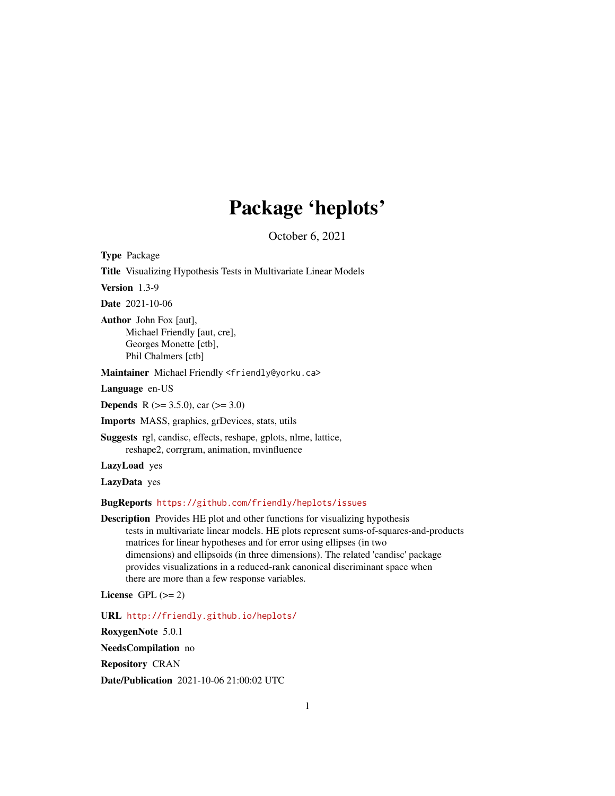## Package 'heplots'

October 6, 2021

<span id="page-0-0"></span>Type Package

Title Visualizing Hypothesis Tests in Multivariate Linear Models

Version 1.3-9

Date 2021-10-06

Author John Fox [aut], Michael Friendly [aut, cre], Georges Monette [ctb], Phil Chalmers [ctb]

Maintainer Michael Friendly <friendly@yorku.ca>

Language en-US

**Depends** R ( $>= 3.5.0$ ), car ( $>= 3.0$ )

Imports MASS, graphics, grDevices, stats, utils

Suggests rgl, candisc, effects, reshape, gplots, nlme, lattice, reshape2, corrgram, animation, mvinfluence

LazyLoad yes

LazyData yes

BugReports <https://github.com/friendly/heplots/issues>

Description Provides HE plot and other functions for visualizing hypothesis tests in multivariate linear models. HE plots represent sums-of-squares-and-products matrices for linear hypotheses and for error using ellipses (in two dimensions) and ellipsoids (in three dimensions). The related 'candisc' package provides visualizations in a reduced-rank canonical discriminant space when there are more than a few response variables.

License GPL  $(>= 2)$ 

URL <http://friendly.github.io/heplots/>

RoxygenNote 5.0.1

NeedsCompilation no

Repository CRAN

Date/Publication 2021-10-06 21:00:02 UTC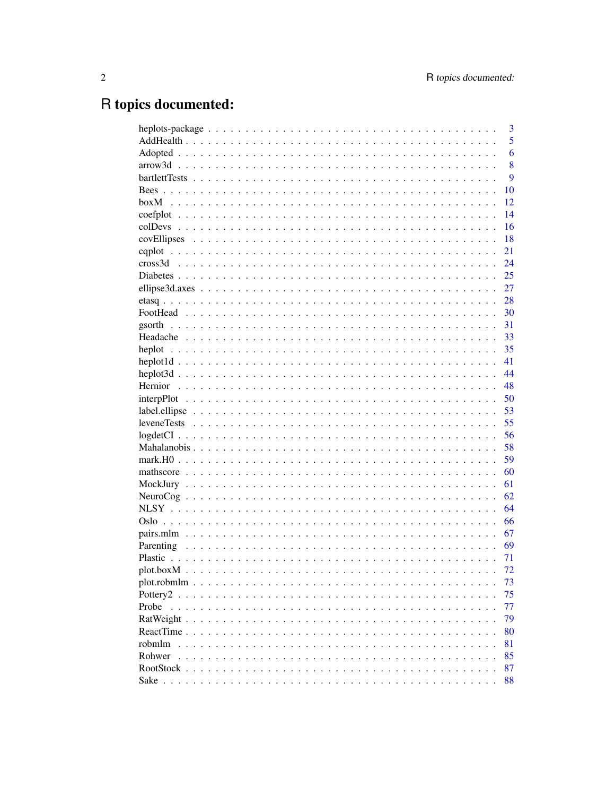# R topics documented:

| 6<br>8<br>9<br>10<br>12<br>14<br>16<br>18<br>21<br>24<br>25<br>27<br>28<br>30<br>31<br>33<br>35<br>41<br>44<br>48<br>50<br>53<br>55<br>56<br>58<br>59<br>60<br>61<br>62<br>64<br>66<br>67<br>69<br>71<br>72<br>73<br>75<br>Pottery <sub>2</sub><br>$\ddot{\phantom{a}}$<br>Probe<br>77<br>79<br>80 | robmlm<br>81<br>Rohwer<br>85<br>87<br>RootStock. | 3 |
|----------------------------------------------------------------------------------------------------------------------------------------------------------------------------------------------------------------------------------------------------------------------------------------------------|--------------------------------------------------|---|
|                                                                                                                                                                                                                                                                                                    |                                                  | 5 |
|                                                                                                                                                                                                                                                                                                    |                                                  |   |
|                                                                                                                                                                                                                                                                                                    |                                                  |   |
|                                                                                                                                                                                                                                                                                                    |                                                  |   |
|                                                                                                                                                                                                                                                                                                    |                                                  |   |
|                                                                                                                                                                                                                                                                                                    |                                                  |   |
|                                                                                                                                                                                                                                                                                                    |                                                  |   |
|                                                                                                                                                                                                                                                                                                    |                                                  |   |
|                                                                                                                                                                                                                                                                                                    |                                                  |   |
|                                                                                                                                                                                                                                                                                                    |                                                  |   |
|                                                                                                                                                                                                                                                                                                    |                                                  |   |
|                                                                                                                                                                                                                                                                                                    |                                                  |   |
|                                                                                                                                                                                                                                                                                                    |                                                  |   |
|                                                                                                                                                                                                                                                                                                    |                                                  |   |
|                                                                                                                                                                                                                                                                                                    |                                                  |   |
|                                                                                                                                                                                                                                                                                                    |                                                  |   |
|                                                                                                                                                                                                                                                                                                    |                                                  |   |
|                                                                                                                                                                                                                                                                                                    |                                                  |   |
|                                                                                                                                                                                                                                                                                                    |                                                  |   |
|                                                                                                                                                                                                                                                                                                    |                                                  |   |
|                                                                                                                                                                                                                                                                                                    |                                                  |   |
|                                                                                                                                                                                                                                                                                                    |                                                  |   |
|                                                                                                                                                                                                                                                                                                    |                                                  |   |
|                                                                                                                                                                                                                                                                                                    |                                                  |   |
|                                                                                                                                                                                                                                                                                                    |                                                  |   |
|                                                                                                                                                                                                                                                                                                    |                                                  |   |
|                                                                                                                                                                                                                                                                                                    |                                                  |   |
|                                                                                                                                                                                                                                                                                                    |                                                  |   |
|                                                                                                                                                                                                                                                                                                    |                                                  |   |
|                                                                                                                                                                                                                                                                                                    |                                                  |   |
|                                                                                                                                                                                                                                                                                                    |                                                  |   |
|                                                                                                                                                                                                                                                                                                    |                                                  |   |
|                                                                                                                                                                                                                                                                                                    |                                                  |   |
|                                                                                                                                                                                                                                                                                                    |                                                  |   |
|                                                                                                                                                                                                                                                                                                    |                                                  |   |
|                                                                                                                                                                                                                                                                                                    |                                                  |   |
|                                                                                                                                                                                                                                                                                                    |                                                  |   |
|                                                                                                                                                                                                                                                                                                    |                                                  |   |
|                                                                                                                                                                                                                                                                                                    |                                                  |   |
|                                                                                                                                                                                                                                                                                                    |                                                  |   |
|                                                                                                                                                                                                                                                                                                    |                                                  |   |
|                                                                                                                                                                                                                                                                                                    |                                                  |   |
|                                                                                                                                                                                                                                                                                                    |                                                  |   |
|                                                                                                                                                                                                                                                                                                    |                                                  |   |
|                                                                                                                                                                                                                                                                                                    | 88                                               |   |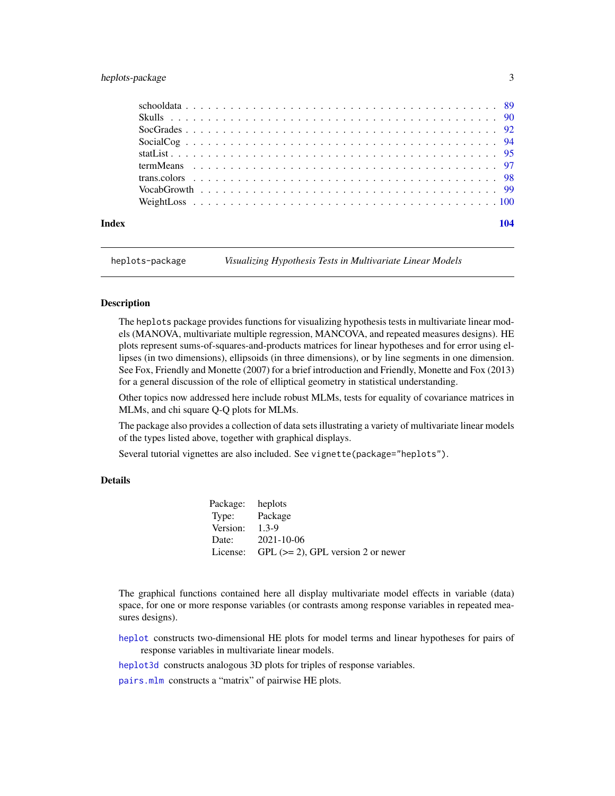### <span id="page-2-0"></span>heplots-package 3

heplots-package *Visualizing Hypothesis Tests in Multivariate Linear Models*

### **Description**

The heplots package provides functions for visualizing hypothesis tests in multivariate linear models (MANOVA, multivariate multiple regression, MANCOVA, and repeated measures designs). HE plots represent sums-of-squares-and-products matrices for linear hypotheses and for error using ellipses (in two dimensions), ellipsoids (in three dimensions), or by line segments in one dimension. See Fox, Friendly and Monette (2007) for a brief introduction and Friendly, Monette and Fox (2013) for a general discussion of the role of elliptical geometry in statistical understanding.

Other topics now addressed here include robust MLMs, tests for equality of covariance matrices in MLMs, and chi square Q-Q plots for MLMs.

The package also provides a collection of data sets illustrating a variety of multivariate linear models of the types listed above, together with graphical displays.

Several tutorial vignettes are also included. See vignette(package="heplots").

### Details

| Package: heplots |                                                |
|------------------|------------------------------------------------|
| Type: Package    |                                                |
| Version:         | $1.3 - 9$                                      |
|                  | Date: 2021-10-06                               |
|                  | License: GPL $(>= 2)$ , GPL version 2 or newer |

The graphical functions contained here all display multivariate model effects in variable (data) space, for one or more response variables (or contrasts among response variables in repeated measures designs).

[heplot](#page-34-1) constructs two-dimensional HE plots for model terms and linear hypotheses for pairs of response variables in multivariate linear models.

[heplot3d](#page-43-1) constructs analogous 3D plots for triples of response variables.

[pairs.mlm](#page-66-1) constructs a "matrix" of pairwise HE plots.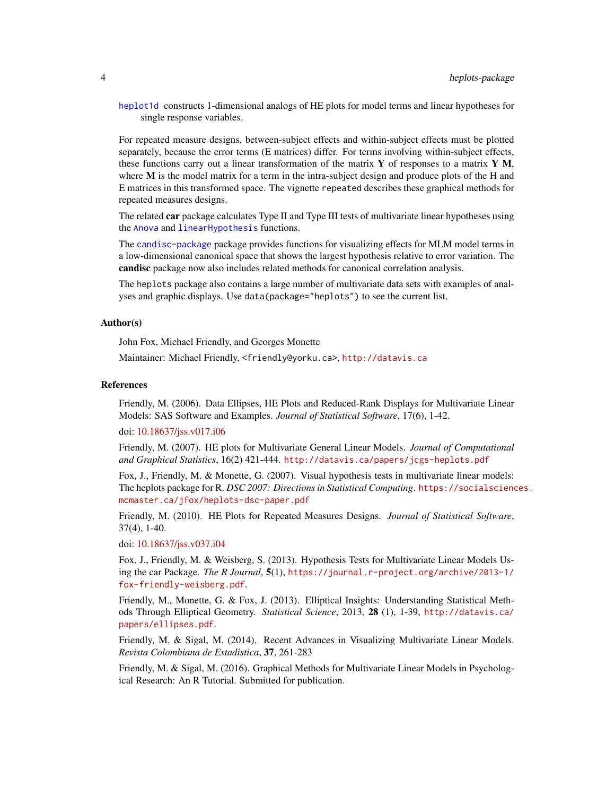[heplot1d](#page-40-1) constructs 1-dimensional analogs of HE plots for model terms and linear hypotheses for single response variables.

For repeated measure designs, between-subject effects and within-subject effects must be plotted separately, because the error terms (E matrices) differ. For terms involving within-subject effects, these functions carry out a linear transformation of the matrix  $\bf{Y}$  of responses to a matrix  $\bf{Y}$  M, where M is the model matrix for a term in the intra-subject design and produce plots of the H and E matrices in this transformed space. The vignette repeated describes these graphical methods for repeated measures designs.

The related car package calculates Type II and Type III tests of multivariate linear hypotheses using the [Anova](#page-0-0) and [linearHypothesis](#page-0-0) functions.

The [candisc-package](#page-0-0) package provides functions for visualizing effects for MLM model terms in a low-dimensional canonical space that shows the largest hypothesis relative to error variation. The candisc package now also includes related methods for canonical correlation analysis.

The heplots package also contains a large number of multivariate data sets with examples of analyses and graphic displays. Use data(package="heplots") to see the current list.

#### Author(s)

John Fox, Michael Friendly, and Georges Monette

Maintainer: Michael Friendly, <friendly@yorku.ca>, <http://datavis.ca>

#### References

Friendly, M. (2006). Data Ellipses, HE Plots and Reduced-Rank Displays for Multivariate Linear Models: SAS Software and Examples. *Journal of Statistical Software*, 17(6), 1-42.

doi: [10.18637/jss.v017.i06](https://doi.org/10.18637/jss.v017.i06)

Friendly, M. (2007). HE plots for Multivariate General Linear Models. *Journal of Computational and Graphical Statistics*, 16(2) 421-444. <http://datavis.ca/papers/jcgs-heplots.pdf>

Fox, J., Friendly, M. & Monette, G. (2007). Visual hypothesis tests in multivariate linear models: The heplots package for R. *DSC 2007: Directions in Statistical Computing*. [https://socialscienc](https://socialsciences.mcmaster.ca/jfox/heplots-dsc-paper.pdf)es. [mcmaster.ca/jfox/heplots-dsc-paper.pdf](https://socialsciences.mcmaster.ca/jfox/heplots-dsc-paper.pdf)

Friendly, M. (2010). HE Plots for Repeated Measures Designs. *Journal of Statistical Software*, 37(4), 1-40.

doi: [10.18637/jss.v037.i04](https://doi.org/10.18637/jss.v037.i04)

Fox, J., Friendly, M. & Weisberg, S. (2013). Hypothesis Tests for Multivariate Linear Models Using the car Package. *The R Journal*, 5(1), [https://journal.r-project.org/archive/2013-1/](https://journal.r-project.org/archive/2013-1/fox-friendly-weisberg.pdf) [fox-friendly-weisberg.pdf](https://journal.r-project.org/archive/2013-1/fox-friendly-weisberg.pdf).

Friendly, M., Monette, G. & Fox, J. (2013). Elliptical Insights: Understanding Statistical Methods Through Elliptical Geometry. *Statistical Science*, 2013, 28 (1), 1-39, [http://datavis.ca/](http://datavis.ca/papers/ellipses.pdf) [papers/ellipses.pdf](http://datavis.ca/papers/ellipses.pdf).

Friendly, M. & Sigal, M. (2014). Recent Advances in Visualizing Multivariate Linear Models. *Revista Colombiana de Estadistica*, 37, 261-283

Friendly, M. & Sigal, M. (2016). Graphical Methods for Multivariate Linear Models in Psychological Research: An R Tutorial. Submitted for publication.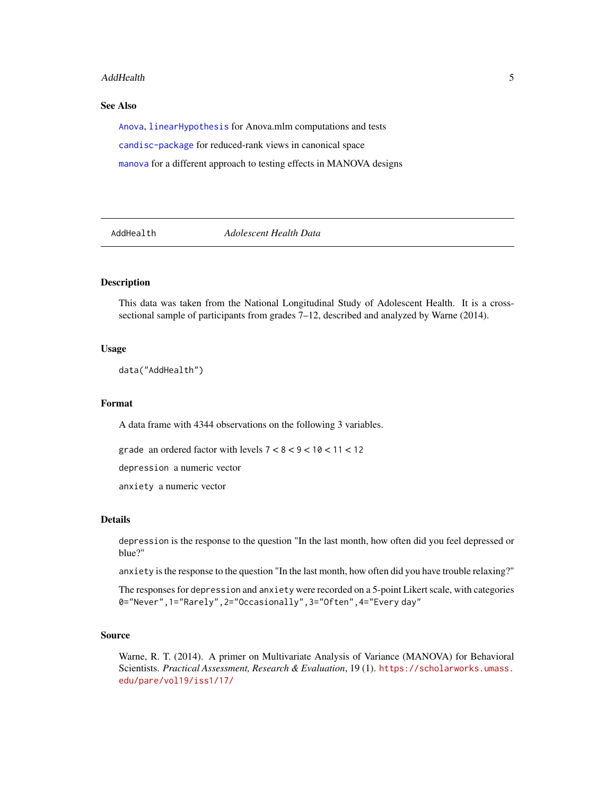#### <span id="page-4-0"></span>AddHealth 5

### See Also

[Anova](#page-0-0), [linearHypothesis](#page-0-0) for Anova.mlm computations and tests [candisc-package](#page-0-0) for reduced-rank views in canonical space [manova](#page-0-0) for a different approach to testing effects in MANOVA designs

AddHealth *Adolescent Health Data*

### Description

This data was taken from the National Longitudinal Study of Adolescent Health. It is a crosssectional sample of participants from grades 7–12, described and analyzed by Warne (2014).

### Usage

data("AddHealth")

### Format

A data frame with 4344 observations on the following 3 variables.

grade an ordered factor with levels  $7 < 8 < 9 < 10 < 11 < 12$ 

depression a numeric vector

anxiety a numeric vector

### Details

depression is the response to the question "In the last month, how often did you feel depressed or blue?"

anxiety is the response to the question "In the last month, how often did you have trouble relaxing?"

The responses for depression and anxiety were recorded on a 5-point Likert scale, with categories 0="Never",1="Rarely",2="Occasionally",3="Often",4="Every day"

### Source

Warne, R. T. (2014). A primer on Multivariate Analysis of Variance (MANOVA) for Behavioral Scientists. *Practical Assessment, Research & Evaluation*, 19 (1). [https://scholarworks.umass.](https://scholarworks.umass.edu/pare/vol19/iss1/17/) [edu/pare/vol19/iss1/17/](https://scholarworks.umass.edu/pare/vol19/iss1/17/)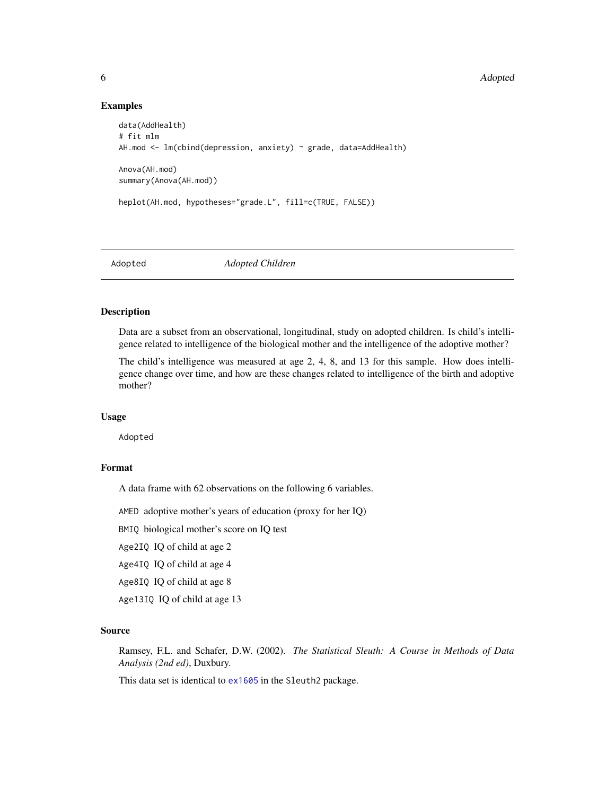### Examples

```
data(AddHealth)
# fit mlm
AH.mod <- lm(cbind(depression, anxiety) ~ grade, data=AddHealth)
Anova(AH.mod)
summary(Anova(AH.mod))
heplot(AH.mod, hypotheses="grade.L", fill=c(TRUE, FALSE))
```
Adopted *Adopted Children*

### Description

Data are a subset from an observational, longitudinal, study on adopted children. Is child's intelligence related to intelligence of the biological mother and the intelligence of the adoptive mother?

The child's intelligence was measured at age 2, 4, 8, and 13 for this sample. How does intelligence change over time, and how are these changes related to intelligence of the birth and adoptive mother?

#### Usage

Adopted

## Format

A data frame with 62 observations on the following 6 variables.

AMED adoptive mother's years of education (proxy for her IQ)

BMIQ biological mother's score on IQ test

Age2IQ IQ of child at age 2

Age4IQ IQ of child at age 4

Age8IQ IQ of child at age 8

Age13IQ IQ of child at age 13

#### Source

Ramsey, F.L. and Schafer, D.W. (2002). *The Statistical Sleuth: A Course in Methods of Data Analysis (2nd ed)*, Duxbury.

This data set is identical to [ex1605](#page-0-0) in the Sleuth2 package.

<span id="page-5-0"></span>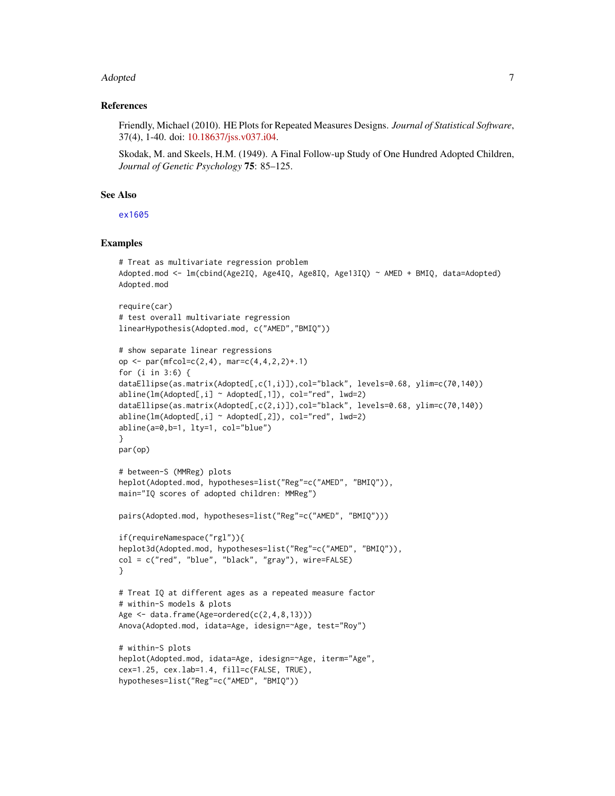#### Adopted 7

### References

Friendly, Michael (2010). HE Plots for Repeated Measures Designs. *Journal of Statistical Software*, 37(4), 1-40. doi: [10.18637/jss.v037.i04.](https://doi.org/10.18637/jss.v037.i04)

Skodak, M. and Skeels, H.M. (1949). A Final Follow-up Study of One Hundred Adopted Children, *Journal of Genetic Psychology* 75: 85–125.

### See Also

[ex1605](#page-0-0)

```
# Treat as multivariate regression problem
Adopted.mod <- lm(cbind(Age2IQ, Age4IQ, Age8IQ, Age13IQ) ~ AMED + BMIQ, data=Adopted)
Adopted.mod
require(car)
# test overall multivariate regression
linearHypothesis(Adopted.mod, c("AMED","BMIQ"))
# show separate linear regressions
op \leq par(mfcol=c(2,4), mar=c(4,4,2,2)+.1)
for (i in 3:6) {
dataEllipse(as.matrix(Adopted[,c(1,i)]),col="black", levels=0.68, ylim=c(70,140))
abline(lm(Adopted[,i] ~\sim ~Adopted[,1]), col="red", lmd=2)dataEllipse(as.matrix(Adopted[,c(2,i)]),col="black", levels=0.68, ylim=c(70,140))
abline(lm(\text{Adopted}[,i] \sim \text{Adopted}[,2]), col="red", lmd=2)abline(a=0,b=1, lty=1, col="blue")
}
par(op)
# between-S (MMReg) plots
heplot(Adopted.mod, hypotheses=list("Reg"=c("AMED", "BMIQ")),
main="IQ scores of adopted children: MMReg")
pairs(Adopted.mod, hypotheses=list("Reg"=c("AMED", "BMIQ")))
if(requireNamespace("rgl")){
heplot3d(Adopted.mod, hypotheses=list("Reg"=c("AMED", "BMIQ")),
col = c("red", "blue", "black", "gray"), wire=FALSE)
}
# Treat IQ at different ages as a repeated measure factor
# within-S models & plots
Age \leq data.frame(Age=ordered(c(2,4,8,13)))
Anova(Adopted.mod, idata=Age, idesign=~Age, test="Roy")
# within-S plots
heplot(Adopted.mod, idata=Age, idesign=~Age, iterm="Age",
cex=1.25, cex.lab=1.4, fill=c(FALSE, TRUE),
hypotheses=list("Reg"=c("AMED", "BMIQ"))
```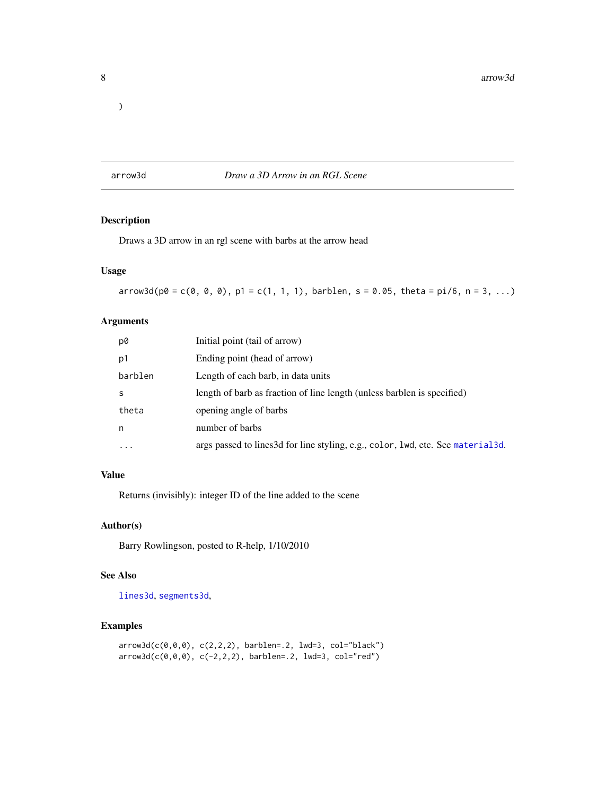<span id="page-7-0"></span> $\overline{\phantom{a}}$ 

arrow3d *Draw a 3D Arrow in an RGL Scene*

### Description

Draws a 3D arrow in an rgl scene with barbs at the arrow head

### Usage

 $arrow3d(p0 = c(0, 0, 0), p1 = c(1, 1, 1), barblen, s = 0.05, theta = pi/6, n = 3, ...)$ 

### Arguments

| p0        | Initial point (tail of arrow)                                                     |
|-----------|-----------------------------------------------------------------------------------|
| p1        | Ending point (head of arrow)                                                      |
| barblen   | Length of each barb, in data units                                                |
| S         | length of barb as fraction of line length (unless barblen is specified)           |
| theta     | opening angle of barbs                                                            |
| n         | number of barbs                                                                   |
| $\ddotsc$ | args passed to lines 3d for line styling, e.g., color, lwd, etc. See material 3d. |

### Value

Returns (invisibly): integer ID of the line added to the scene

### Author(s)

Barry Rowlingson, posted to R-help, 1/10/2010

### See Also

[lines3d](#page-0-0), [segments3d](#page-0-0),

```
arrow3d(c(0,0,0), c(2,2,2), barblen=.2, lwd=3, col="black")
arrow3d(c(0,0,0), c(-2,2,2), barblen=.2, lwd=3, col="red")
```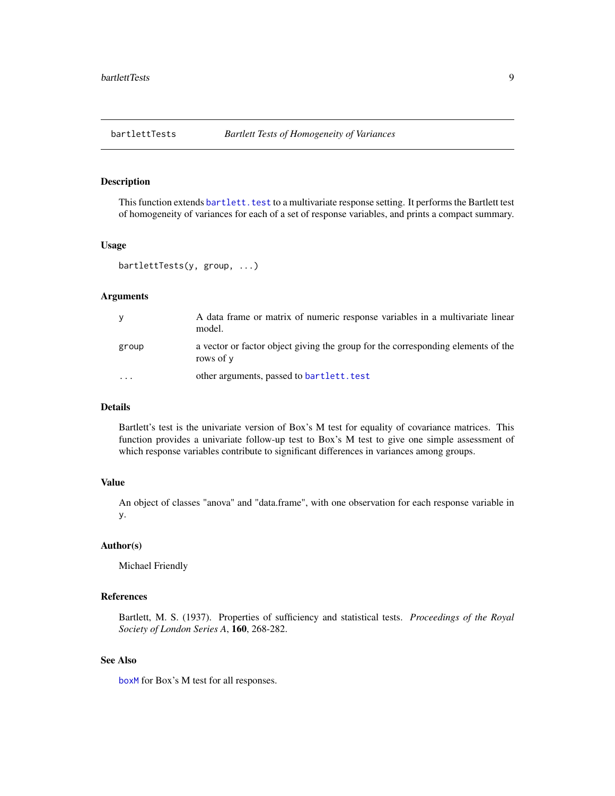### <span id="page-8-0"></span>Description

This function extends bartlett. test to a multivariate response setting. It performs the Bartlett test of homogeneity of variances for each of a set of response variables, and prints a compact summary.

#### Usage

bartlettTests(y, group, ...)

#### Arguments

| y     | A data frame or matrix of numeric response variables in a multivariate linear<br>model.       |
|-------|-----------------------------------------------------------------------------------------------|
| group | a vector or factor object giving the group for the corresponding elements of the<br>rows of y |
|       | other arguments, passed to bartlett. test                                                     |

### Details

Bartlett's test is the univariate version of Box's M test for equality of covariance matrices. This function provides a univariate follow-up test to Box's M test to give one simple assessment of which response variables contribute to significant differences in variances among groups.

### Value

An object of classes "anova" and "data.frame", with one observation for each response variable in y.

### Author(s)

Michael Friendly

### References

Bartlett, M. S. (1937). Properties of sufficiency and statistical tests. *Proceedings of the Royal Society of London Series A*, 160, 268-282.

### See Also

[boxM](#page-11-1) for Box's M test for all responses.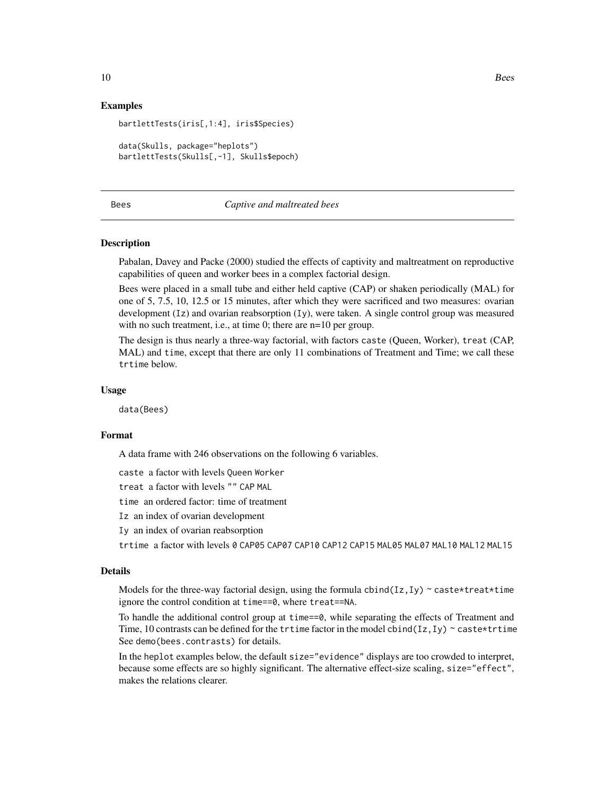### Examples

bartlettTests(iris[,1:4], iris\$Species) data(Skulls, package="heplots") bartlettTests(Skulls[,-1], Skulls\$epoch)

#### Bees *Captive and maltreated bees*

#### Description

Pabalan, Davey and Packe (2000) studied the effects of captivity and maltreatment on reproductive capabilities of queen and worker bees in a complex factorial design.

Bees were placed in a small tube and either held captive (CAP) or shaken periodically (MAL) for one of 5, 7.5, 10, 12.5 or 15 minutes, after which they were sacrificed and two measures: ovarian development (Iz) and ovarian reabsorption (Iy), were taken. A single control group was measured with no such treatment, i.e., at time 0; there are n=10 per group.

The design is thus nearly a three-way factorial, with factors caste (Queen, Worker), treat (CAP, MAL) and time, except that there are only 11 combinations of Treatment and Time; we call these trtime below.

#### Usage

data(Bees)

### Format

A data frame with 246 observations on the following 6 variables.

caste a factor with levels Queen Worker

treat a factor with levels "" CAP MAL

time an ordered factor: time of treatment

- Iz an index of ovarian development
- Iy an index of ovarian reabsorption

trtime a factor with levels 0 CAP05 CAP07 CAP10 CAP12 CAP15 MAL05 MAL07 MAL10 MAL12 MAL15

#### Details

Models for the three-way factorial design, using the formula  $\text{cbind}(Iz,Iy)$  ~ caste\*treat\*time ignore the control condition at time==0, where treat==NA.

To handle the additional control group at time==0, while separating the effects of Treatment and Time, 10 contrasts can be defined for the trtime factor in the model cbind(Iz, Iy)  $\sim$  caste $\star$ trtime See demo(bees.contrasts) for details.

In the heplot examples below, the default size="evidence" displays are too crowded to interpret, because some effects are so highly significant. The alternative effect-size scaling, size="effect", makes the relations clearer.

<span id="page-9-0"></span>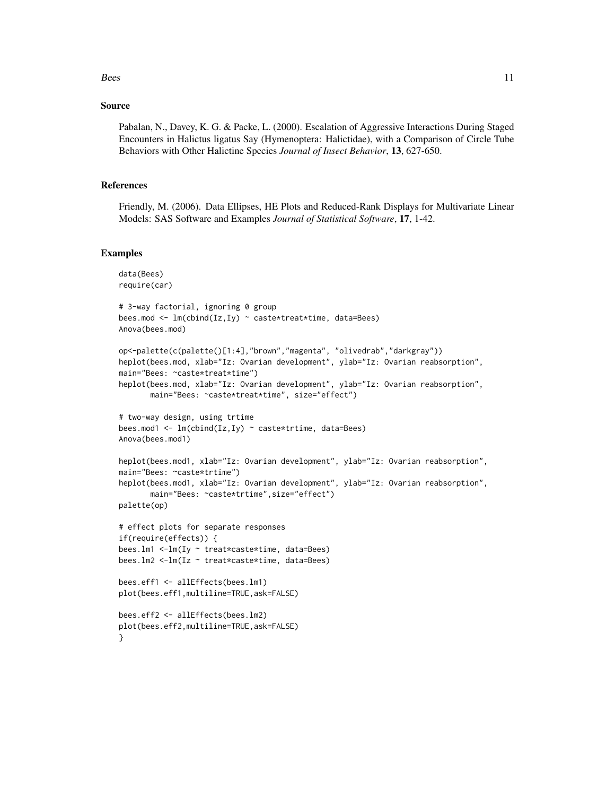#### $Bees$  11

### Source

Pabalan, N., Davey, K. G. & Packe, L. (2000). Escalation of Aggressive Interactions During Staged Encounters in Halictus ligatus Say (Hymenoptera: Halictidae), with a Comparison of Circle Tube Behaviors with Other Halictine Species *Journal of Insect Behavior*, 13, 627-650.

#### References

Friendly, M. (2006). Data Ellipses, HE Plots and Reduced-Rank Displays for Multivariate Linear Models: SAS Software and Examples *Journal of Statistical Software*, 17, 1-42.

```
data(Bees)
require(car)
# 3-way factorial, ignoring 0 group
bees.mod <- lm(cbind(Iz,Iy) ~ caste*treat*time, data=Bees)
Anova(bees.mod)
op<-palette(c(palette()[1:4],"brown","magenta", "olivedrab","darkgray"))
heplot(bees.mod, xlab="Iz: Ovarian development", ylab="Iz: Ovarian reabsorption",
main="Bees: ~caste*treat*time")
heplot(bees.mod, xlab="Iz: Ovarian development", ylab="Iz: Ovarian reabsorption",
      main="Bees: ~caste*treat*time", size="effect")
# two-way design, using trtime
bees.mod1 <- lm(cbind(Iz,Iy) ~ caste*trtime, data=Bees)
Anova(bees.mod1)
heplot(bees.mod1, xlab="Iz: Ovarian development", ylab="Iz: Ovarian reabsorption",
main="Bees: ~caste*trtime")
heplot(bees.mod1, xlab="Iz: Ovarian development", ylab="Iz: Ovarian reabsorption",
      main="Bees: ~caste*trtime",size="effect")
palette(op)
# effect plots for separate responses
if(require(effects)) {
bees.lm1 <-lm(Iy ~ treat*caste*time, data=Bees)
bees.lm2 <-lm(Iz ~ treat*caste*time, data=Bees)
bees.eff1 <- allEffects(bees.lm1)
plot(bees.eff1,multiline=TRUE,ask=FALSE)
bees.eff2 <- allEffects(bees.lm2)
plot(bees.eff2,multiline=TRUE,ask=FALSE)
}
```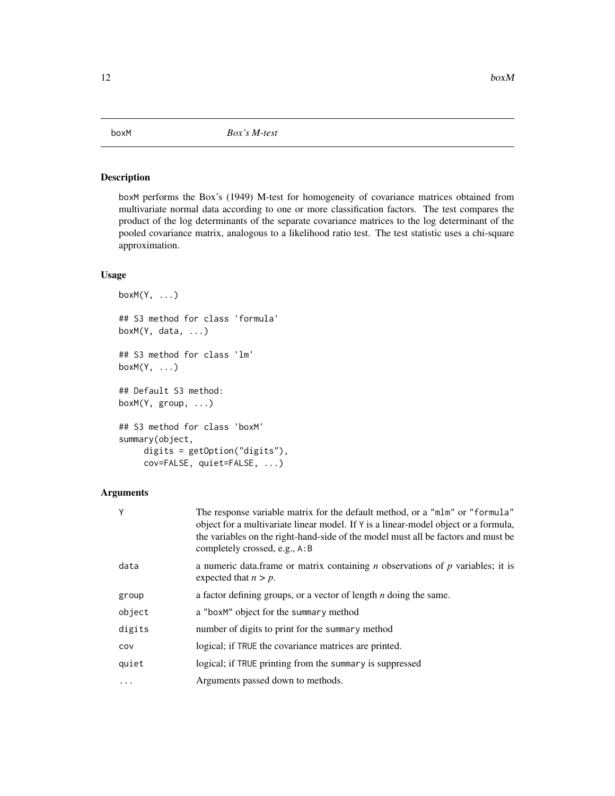### <span id="page-11-1"></span><span id="page-11-0"></span>Description

boxM performs the Box's (1949) M-test for homogeneity of covariance matrices obtained from multivariate normal data according to one or more classification factors. The test compares the product of the log determinants of the separate covariance matrices to the log determinant of the pooled covariance matrix, analogous to a likelihood ratio test. The test statistic uses a chi-square approximation.

### Usage

```
boxM(Y, \ldots)## S3 method for class 'formula'
boxM(Y, data, ...)## S3 method for class 'lm'
boxM(Y, ...)
## Default S3 method:
boxM(Y, group, ...)
## S3 method for class 'boxM'
summary(object,
     digits = getOption("digits"),
     cov=FALSE, quiet=FALSE, ...)
```
#### Arguments

| γ        | The response variable matrix for the default method, or a "mlm" or "formula"<br>object for a multivariate linear model. If Y is a linear-model object or a formula,<br>the variables on the right-hand-side of the model must all be factors and must be<br>completely crossed, e.g., A:B |
|----------|-------------------------------------------------------------------------------------------------------------------------------------------------------------------------------------------------------------------------------------------------------------------------------------------|
| data     | a numeric data.frame or matrix containing <i>n</i> observations of <i>p</i> variables; it is<br>expected that $n > p$ .                                                                                                                                                                   |
| group    | a factor defining groups, or a vector of length $n$ doing the same.                                                                                                                                                                                                                       |
| object   | a "boxM" object for the summary method                                                                                                                                                                                                                                                    |
| digits   | number of digits to print for the summary method                                                                                                                                                                                                                                          |
| cov      | logical; if TRUE the covariance matrices are printed.                                                                                                                                                                                                                                     |
| quiet    | logical; if TRUE printing from the summary is suppressed                                                                                                                                                                                                                                  |
| $\cdots$ | Arguments passed down to methods.                                                                                                                                                                                                                                                         |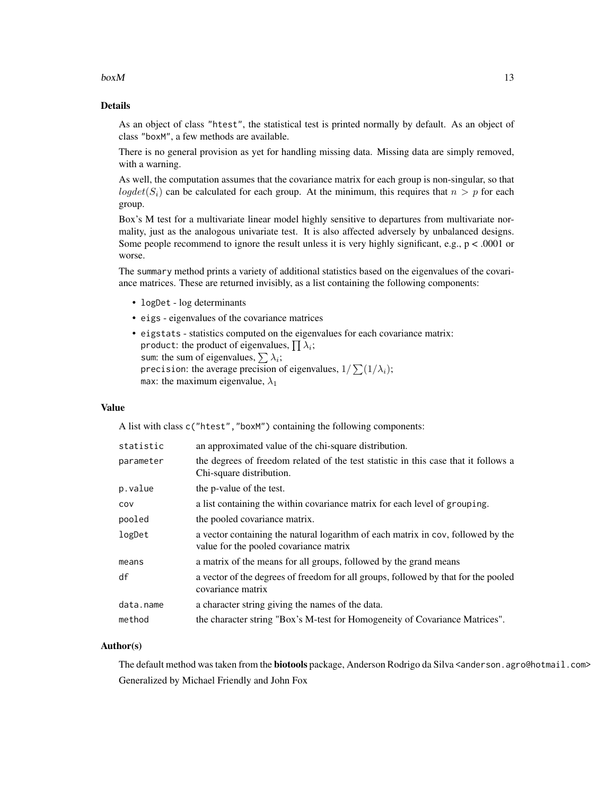#### $b$ ox $M$  13

### Details

As an object of class "htest", the statistical test is printed normally by default. As an object of class "boxM", a few methods are available.

There is no general provision as yet for handling missing data. Missing data are simply removed, with a warning.

As well, the computation assumes that the covariance matrix for each group is non-singular, so that logdet(S<sub>i</sub>) can be calculated for each group. At the minimum, this requires that  $n > p$  for each group.

Box's M test for a multivariate linear model highly sensitive to departures from multivariate normality, just as the analogous univariate test. It is also affected adversely by unbalanced designs. Some people recommend to ignore the result unless it is very highly significant, e.g., p < .0001 or worse.

The summary method prints a variety of additional statistics based on the eigenvalues of the covariance matrices. These are returned invisibly, as a list containing the following components:

- logDet log determinants
- eigs eigenvalues of the covariance matrices
- eigstats statistics computed on the eigenvalues for each covariance matrix: product: the product of eigenvalues,  $\prod \lambda_i;$ sum: the sum of eigenvalues,  $\sum \lambda_i$ ; precision: the average precision of eigenvalues,  $1/\sum (1/\lambda_i);$ max: the maximum eigenvalue,  $\lambda_1$

#### Value

A list with class c("htest","boxM") containing the following components:

| statistic | an approximated value of the chi-square distribution.                                                                      |
|-----------|----------------------------------------------------------------------------------------------------------------------------|
| parameter | the degrees of freedom related of the test statistic in this case that it follows a<br>Chi-square distribution.            |
| p.value   | the p-value of the test.                                                                                                   |
| COV       | a list containing the within covariance matrix for each level of grouping.                                                 |
| pooled    | the pooled covariance matrix.                                                                                              |
| logDet    | a vector containing the natural logarithm of each matrix in cov, followed by the<br>value for the pooled covariance matrix |
| means     | a matrix of the means for all groups, followed by the grand means                                                          |
| df        | a vector of the degrees of freedom for all groups, followed by that for the pooled<br>covariance matrix                    |
| data.name | a character string giving the names of the data.                                                                           |
| method    | the character string "Box's M-test for Homogeneity of Covariance Matrices".                                                |

### Author(s)

The default method was taken from the **biotools** package, Anderson Rodrigo da Silva <anderson.agro@hotmail.com> Generalized by Michael Friendly and John Fox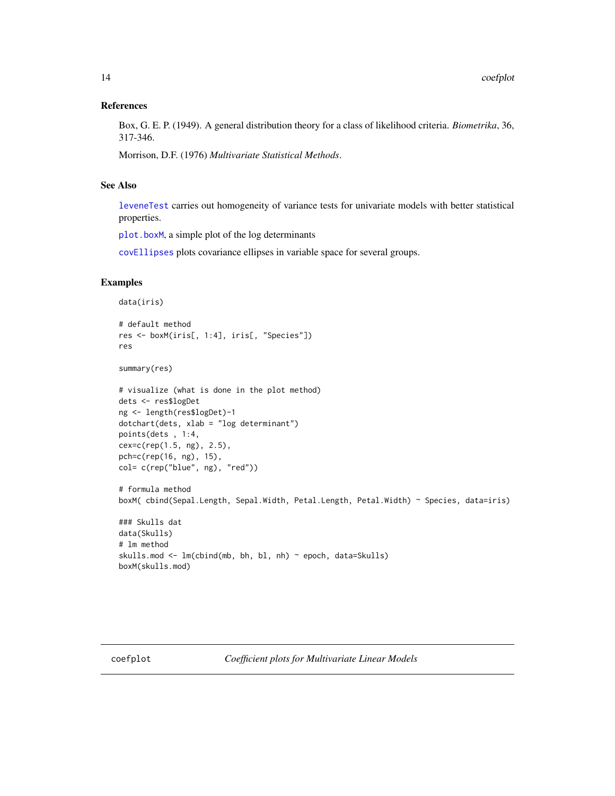#### <span id="page-13-0"></span>References

Box, G. E. P. (1949). A general distribution theory for a class of likelihood criteria. *Biometrika*, 36, 317-346.

Morrison, D.F. (1976) *Multivariate Statistical Methods*.

#### See Also

[leveneTest](#page-0-0) carries out homogeneity of variance tests for univariate models with better statistical properties.

[plot.boxM](#page-71-1), a simple plot of the log determinants

[covEllipses](#page-17-1) plots covariance ellipses in variable space for several groups.

```
data(iris)
# default method
res <- boxM(iris[, 1:4], iris[, "Species"])
res
summary(res)
# visualize (what is done in the plot method)
dets <- res$logDet
ng <- length(res$logDet)-1
dotchart(dets, xlab = "log determinant")
points(dets , 1:4,
cex=c(rep(1.5, ng), 2.5),
pch=c(rep(16, ng), 15),
col= c(rep("blue", ng), "red"))
# formula method
boxM( cbind(Sepal.Length, Sepal.Width, Petal.Length, Petal.Width) ~ Species, data=iris)
### Skulls dat
data(Skulls)
# lm method
skulls.mod <- lm(cbind(mb, bh, bl, nh) ~ epoch, data=Skulls)
boxM(skulls.mod)
```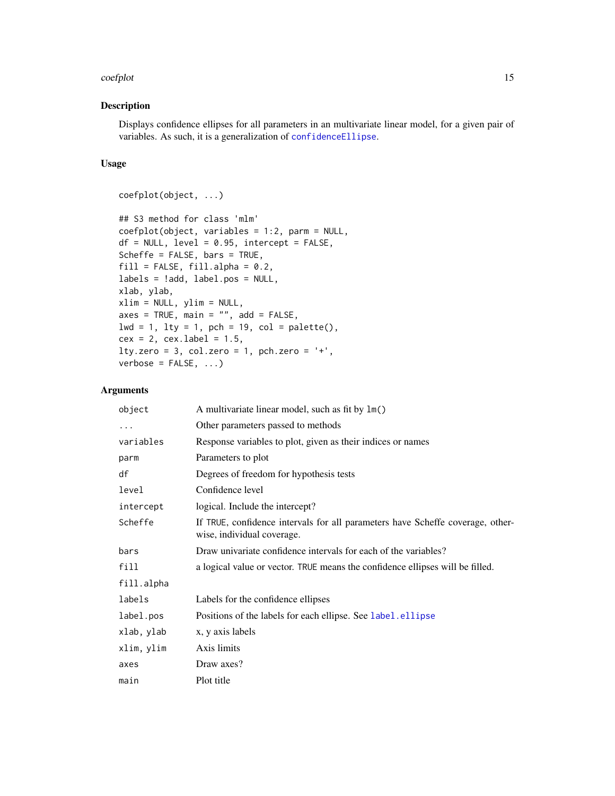#### coefplot that the coefplot that the coefplot that the coefplot that the coefplot that the coefplot that the coefplot that the coefplot that the coefplot that the coefplot that the coefplot that the coefplot that the coefpl

### Description

Displays confidence ellipses for all parameters in an multivariate linear model, for a given pair of variables. As such, it is a generalization of [confidenceEllipse](#page-0-0).

### Usage

```
coefplot(object, ...)
## S3 method for class 'mlm'
coefplot(object, variables = 1:2, parm = NULL,
df = NULL, level = 0.95, intercept = FALSE,
Scheffe = FALSE, bars = TRUE,
fill = FALSE, fill.alpha = 0.2,labels = !add, label.pos = NULL,
xlab, ylab,
xlim = NULL, ylim = NULL,
axes = TRUE, main = "", add = FALSE,lwd = 1, lty = 1, pch = 19, col = palette(),
cex = 2, cex.label = 1.5,
lty.zero = 3, col.zero = 1, pch.zero = '+,
verbose = FALSE, ...)
```
### Arguments

| object     | A multivariate linear model, such as fit by 1m()                                                             |
|------------|--------------------------------------------------------------------------------------------------------------|
| $\cdots$   | Other parameters passed to methods                                                                           |
| variables  | Response variables to plot, given as their indices or names                                                  |
| parm       | Parameters to plot                                                                                           |
| df         | Degrees of freedom for hypothesis tests                                                                      |
| level      | Confidence level                                                                                             |
| intercept  | logical. Include the intercept?                                                                              |
| Scheffe    | If TRUE, confidence intervals for all parameters have Scheffe coverage, other-<br>wise, individual coverage. |
| bars       | Draw univariate confidence intervals for each of the variables?                                              |
| fill       | a logical value or vector. TRUE means the confidence ellipses will be filled.                                |
| fill.alpha |                                                                                                              |
| labels     | Labels for the confidence ellipses                                                                           |
| label.pos  | Positions of the labels for each ellipse. See label.ellipse                                                  |
| xlab, ylab | x, y axis labels                                                                                             |
| xlim, ylim | Axis limits                                                                                                  |
| axes       | Draw axes?                                                                                                   |
| main       | Plot title                                                                                                   |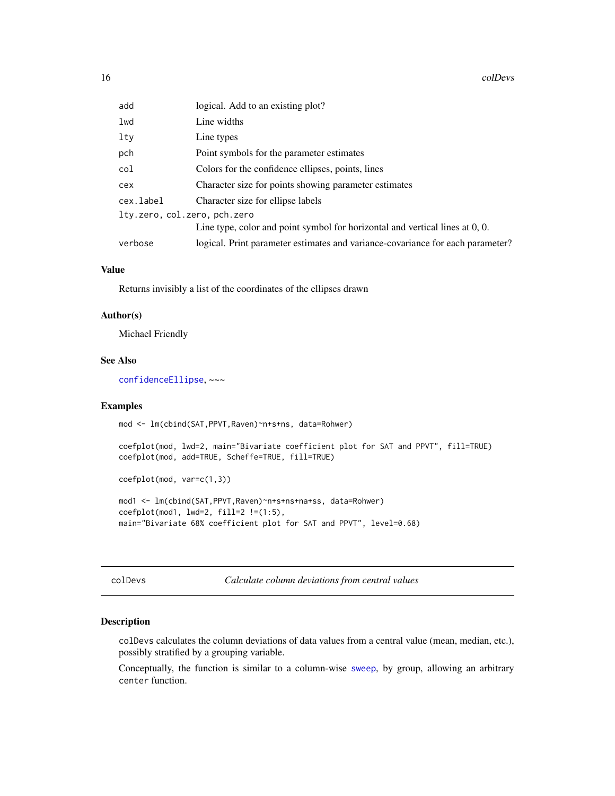<span id="page-15-0"></span>16 colDevs and the cold of the cold of the cold of the cold of the cold of the cold of the cold of the cold of the cold of the cold of the cold of the cold of the cold of the cold of the cold of the cold of the cold of the

| add                          | logical. Add to an existing plot?                                               |
|------------------------------|---------------------------------------------------------------------------------|
| lwd                          | Line widths                                                                     |
| $1$ ty                       | Line types                                                                      |
| pch                          | Point symbols for the parameter estimates                                       |
| col                          | Colors for the confidence ellipses, points, lines                               |
| cex                          | Character size for points showing parameter estimates                           |
| cex.label                    | Character size for ellipse labels                                               |
| lty.zero, col.zero, pch.zero |                                                                                 |
|                              | Line type, color and point symbol for horizontal and vertical lines at $0, 0$ . |
| verbose                      | logical. Print parameter estimates and variance-covariance for each parameter?  |

### Value

Returns invisibly a list of the coordinates of the ellipses drawn

#### Author(s)

Michael Friendly

#### See Also

[confidenceEllipse](#page-0-0), ~~~

#### Examples

mod <- lm(cbind(SAT,PPVT,Raven)~n+s+ns, data=Rohwer)

coefplot(mod, lwd=2, main="Bivariate coefficient plot for SAT and PPVT", fill=TRUE) coefplot(mod, add=TRUE, Scheffe=TRUE, fill=TRUE)

coefplot(mod, var=c(1,3))

mod1 <- lm(cbind(SAT,PPVT,Raven)~n+s+ns+na+ss, data=Rohwer) coefplot(mod1, lwd=2, fill=2 !=(1:5), main="Bivariate 68% coefficient plot for SAT and PPVT", level=0.68)

colDevs *Calculate column deviations from central values*

### Description

colDevs calculates the column deviations of data values from a central value (mean, median, etc.), possibly stratified by a grouping variable.

Conceptually, the function is similar to a column-wise [sweep](#page-0-0), by group, allowing an arbitrary center function.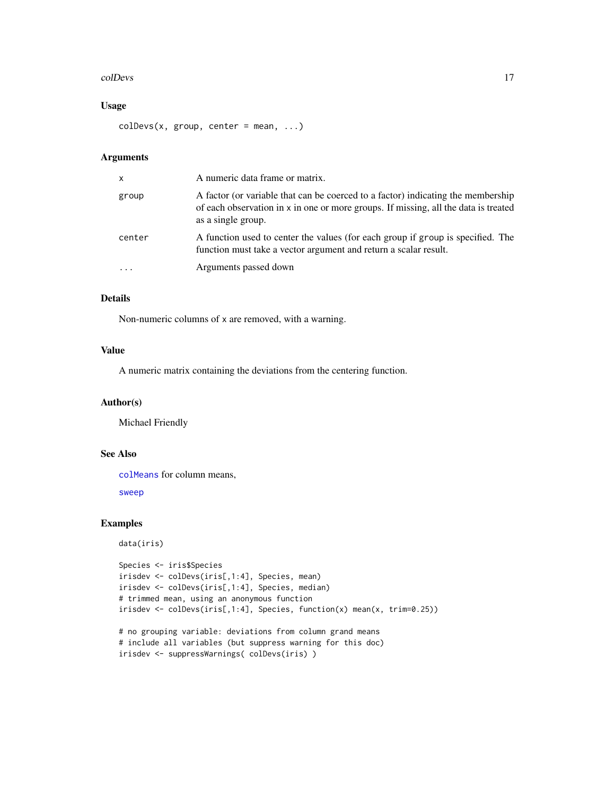#### colDevs and the cold of the cold of the cold of the cold of the cold of the cold of the cold of the cold of the cold of the cold of the cold of the cold of the cold of the cold of the cold of the cold of the cold of the co

### Usage

 $colDevs(x, group, center = mean, ...)$ 

### Arguments

| X         | A numeric data frame or matrix.                                                                                                                                                               |
|-----------|-----------------------------------------------------------------------------------------------------------------------------------------------------------------------------------------------|
| group     | A factor (or variable that can be coerced to a factor) indicating the membership<br>of each observation in x in one or more groups. If missing, all the data is treated<br>as a single group. |
| center    | A function used to center the values (for each group if group is specified. The<br>function must take a vector argument and return a scalar result.                                           |
| $\ddotsc$ | Arguments passed down                                                                                                                                                                         |

### Details

Non-numeric columns of x are removed, with a warning.

### Value

A numeric matrix containing the deviations from the centering function.

### Author(s)

Michael Friendly

### See Also

[colMeans](#page-0-0) for column means,

[sweep](#page-0-0)

```
data(iris)
Species <- iris$Species
irisdev <- colDevs(iris[,1:4], Species, mean)
irisdev <- colDevs(iris[,1:4], Species, median)
# trimmed mean, using an anonymous function
irisdev <- colDevs(iris[,1:4], Species, function(x) mean(x, trim=0.25))
# no grouping variable: deviations from column grand means
# include all variables (but suppress warning for this doc)
```

```
irisdev <- suppressWarnings( colDevs(iris) )
```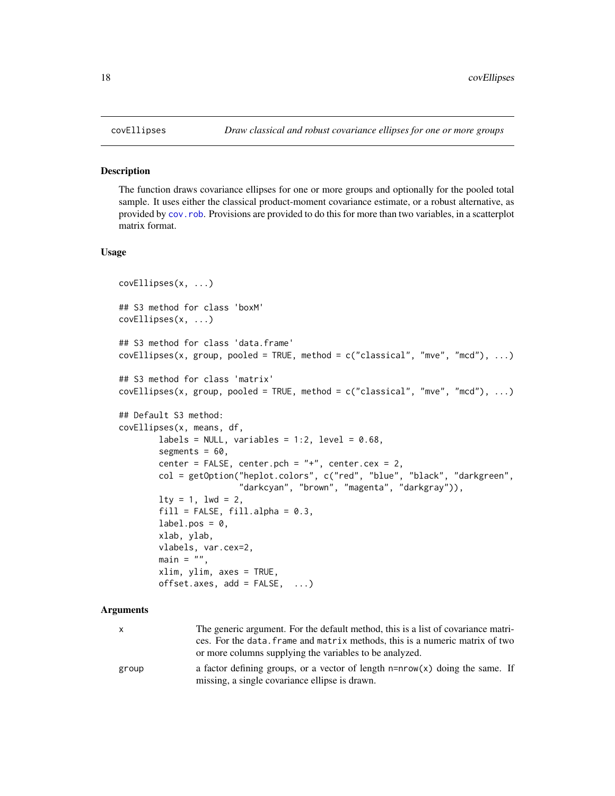#### Description

The function draws covariance ellipses for one or more groups and optionally for the pooled total sample. It uses either the classical product-moment covariance estimate, or a robust alternative, as provided by [cov.rob](#page-0-0). Provisions are provided to do this for more than two variables, in a scatterplot matrix format.

### Usage

```
covEllipses(x, ...)
## S3 method for class 'boxM'
covEllipses(x, ...)
## S3 method for class 'data.frame'
covEllipses(x, group, pooled = TRUE, method = c("classical", "mve", "mcd"), ... )## S3 method for class 'matrix'
covEllipses(x, group, pooled = TRUE, method = c("classical", "mve", "mod"), ...)## Default S3 method:
covEllipses(x, means, df,
       labels = NULL, variables = 1:2, level = 0.68,
       segments = 60,
       center = FALSE, center.pch = "+", center.cex = 2,
       col = getOption("heplot.colors", c("red", "blue", "black", "darkgreen",
                        "darkcyan", "brown", "magenta", "darkgray")),
       lty = 1, lwd = 2,fill = FALSE, fill.alpha = 0.3,label.pos = 0,
       xlab, ylab,
       vlabels, var.cex=2,
       main = "",xlim, ylim, axes = TRUE,
       offset.axes, add = FALSE, ...)
```
#### Arguments

| x     | The generic argument. For the default method, this is a list of covariance matri- |
|-------|-----------------------------------------------------------------------------------|
|       | ces. For the data, frame and matrix methods, this is a numeric matrix of two      |
|       | or more columns supplying the variables to be analyzed.                           |
| group | a factor defining groups, or a vector of length $n= nrow(x)$ doing the same. If   |
|       | missing, a single covariance ellipse is drawn.                                    |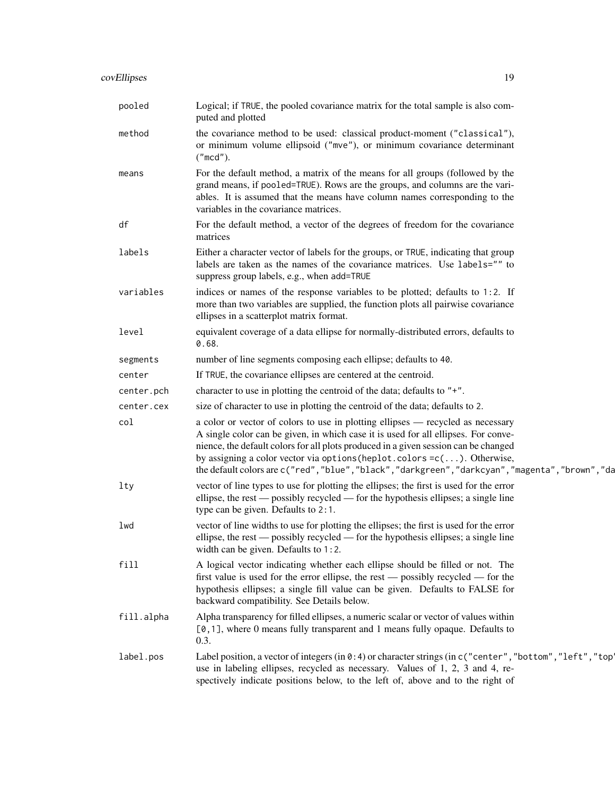| pooled     | Logical; if TRUE, the pooled covariance matrix for the total sample is also com-<br>puted and plotted                                                                                                                                                                                                                                                                                                                                         |
|------------|-----------------------------------------------------------------------------------------------------------------------------------------------------------------------------------------------------------------------------------------------------------------------------------------------------------------------------------------------------------------------------------------------------------------------------------------------|
| method     | the covariance method to be used: classical product-moment ("classical"),<br>or minimum volume ellipsoid ("mve"), or minimum covariance determinant<br>("mod").                                                                                                                                                                                                                                                                               |
| means      | For the default method, a matrix of the means for all groups (followed by the<br>grand means, if pooled=TRUE). Rows are the groups, and columns are the vari-<br>ables. It is assumed that the means have column names corresponding to the<br>variables in the covariance matrices.                                                                                                                                                          |
| df         | For the default method, a vector of the degrees of freedom for the covariance<br>matrices                                                                                                                                                                                                                                                                                                                                                     |
| labels     | Either a character vector of labels for the groups, or TRUE, indicating that group<br>labels are taken as the names of the covariance matrices. Use labels="" to<br>suppress group labels, e.g., when add=TRUE                                                                                                                                                                                                                                |
| variables  | indices or names of the response variables to be plotted; defaults to 1:2. If<br>more than two variables are supplied, the function plots all pairwise covariance<br>ellipses in a scatterplot matrix format.                                                                                                                                                                                                                                 |
| level      | equivalent coverage of a data ellipse for normally-distributed errors, defaults to<br>0.68.                                                                                                                                                                                                                                                                                                                                                   |
| segments   | number of line segments composing each ellipse; defaults to 40.                                                                                                                                                                                                                                                                                                                                                                               |
| center     | If TRUE, the covariance ellipses are centered at the centroid.                                                                                                                                                                                                                                                                                                                                                                                |
| center.pch | character to use in plotting the centroid of the data; defaults to $"$ +".                                                                                                                                                                                                                                                                                                                                                                    |
| center.cex | size of character to use in plotting the centroid of the data; defaults to 2.                                                                                                                                                                                                                                                                                                                                                                 |
| col        | a color or vector of colors to use in plotting ellipses - recycled as necessary<br>A single color can be given, in which case it is used for all ellipses. For conve-<br>nience, the default colors for all plots produced in a given session can be changed<br>by assigning a color vector via options (heplot.colors = c(). Otherwise,<br>the default colors are c("red", "blue", "black", "darkgreen", "darkcyan", "magenta", "brown", "da |
| lty        | vector of line types to use for plotting the ellipses; the first is used for the error<br>ellipse, the rest — possibly recycled — for the hypothesis ellipses; a single line<br>type can be given. Defaults to 2:1.                                                                                                                                                                                                                           |
| lwd        | vector of line widths to use for plotting the ellipses; the first is used for the error<br>ellipse, the rest — possibly recycled — for the hypothesis ellipses; a single line<br>width can be given. Defaults to $1:2$ .                                                                                                                                                                                                                      |
| fill       | A logical vector indicating whether each ellipse should be filled or not. The<br>first value is used for the error ellipse, the rest — possibly recycled — for the<br>hypothesis ellipses; a single fill value can be given. Defaults to FALSE for<br>backward compatibility. See Details below.                                                                                                                                              |
| fill.alpha | Alpha transparency for filled ellipses, a numeric scalar or vector of values within<br>$[0, 1]$ , where 0 means fully transparent and 1 means fully opaque. Defaults to<br>0.3.                                                                                                                                                                                                                                                               |
| label.pos  | Label position, a vector of integers (in 0:4) or character strings (in c ("center", "bottom", "left", "top<br>use in labeling ellipses, recycled as necessary. Values of 1, 2, 3 and 4, re-<br>spectively indicate positions below, to the left of, above and to the right of                                                                                                                                                                 |
|            |                                                                                                                                                                                                                                                                                                                                                                                                                                               |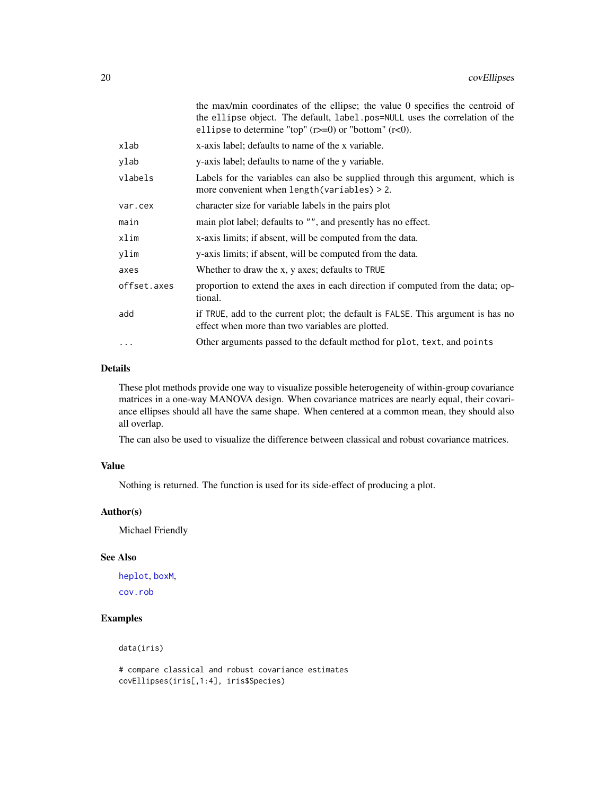|                                                                                                                                            | the max/min coordinates of the ellipse; the value 0 specifies the centroid of<br>the ellipse object. The default, label.pos=NULL uses the correlation of the<br>ellipse to determine "top" $(r>=0)$ or "bottom" $(r<0)$ . |  |
|--------------------------------------------------------------------------------------------------------------------------------------------|---------------------------------------------------------------------------------------------------------------------------------------------------------------------------------------------------------------------------|--|
| xlab                                                                                                                                       | x-axis label; defaults to name of the x variable.                                                                                                                                                                         |  |
| ylab                                                                                                                                       | y-axis label; defaults to name of the y variable.                                                                                                                                                                         |  |
| vlabels<br>Labels for the variables can also be supplied through this argument, which is<br>more convenient when $length(variables) > 2$ . |                                                                                                                                                                                                                           |  |
| var.cex                                                                                                                                    | character size for variable labels in the pairs plot                                                                                                                                                                      |  |
| main                                                                                                                                       | main plot label; defaults to "", and presently has no effect.                                                                                                                                                             |  |
| xlim                                                                                                                                       | x-axis limits; if absent, will be computed from the data.                                                                                                                                                                 |  |
| ylim                                                                                                                                       | y-axis limits; if absent, will be computed from the data.                                                                                                                                                                 |  |
| axes                                                                                                                                       | Whether to draw the x, y axes; defaults to TRUE                                                                                                                                                                           |  |
| offset.axes                                                                                                                                | proportion to extend the axes in each direction if computed from the data; op-<br>tional.                                                                                                                                 |  |
| add                                                                                                                                        | if TRUE, add to the current plot; the default is FALSE. This argument is has no<br>effect when more than two variables are plotted.                                                                                       |  |
| $\cdots$                                                                                                                                   | Other arguments passed to the default method for plot, text, and points                                                                                                                                                   |  |

### Details

These plot methods provide one way to visualize possible heterogeneity of within-group covariance matrices in a one-way MANOVA design. When covariance matrices are nearly equal, their covariance ellipses should all have the same shape. When centered at a common mean, they should also all overlap.

The can also be used to visualize the difference between classical and robust covariance matrices.

### Value

Nothing is returned. The function is used for its side-effect of producing a plot.

### Author(s)

Michael Friendly

#### See Also

[heplot](#page-34-1), [boxM](#page-11-1),

[cov.rob](#page-0-0)

### Examples

data(iris)

# compare classical and robust covariance estimates covEllipses(iris[,1:4], iris\$Species)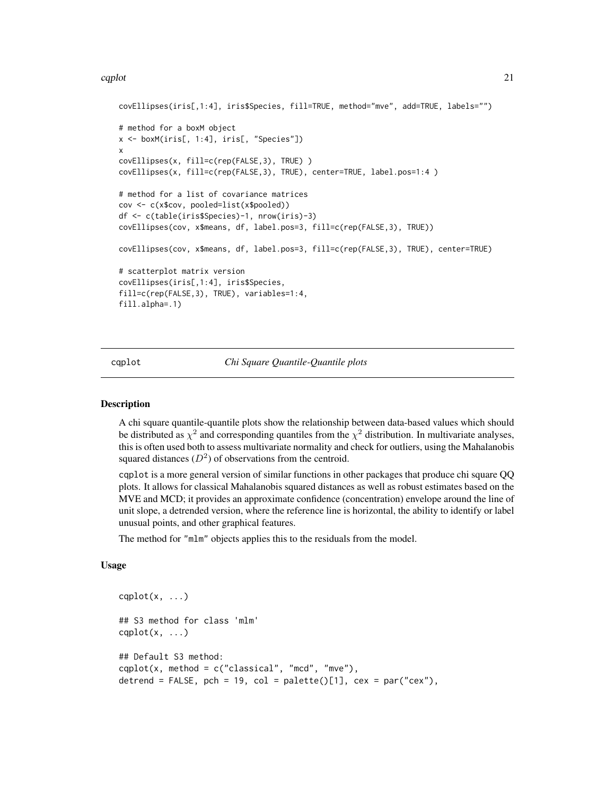#### <span id="page-20-0"></span> $\alpha$  cqplot  $\alpha$  21

```
covEllipses(iris[,1:4], iris$Species, fill=TRUE, method="mve", add=TRUE, labels="")
# method for a boxM object
x <- boxM(iris[, 1:4], iris[, "Species"])
x
covEllipses(x, fill=c(rep(FALSE,3), TRUE) )
covEllipses(x, fill=c(rep(FALSE,3), TRUE), center=TRUE, label.pos=1:4 )
# method for a list of covariance matrices
cov <- c(x$cov, pooled=list(x$pooled))
df <- c(table(iris$Species)-1, nrow(iris)-3)
covEllipses(cov, x$means, df, label.pos=3, fill=c(rep(FALSE,3), TRUE))
covEllipses(cov, x$means, df, label.pos=3, fill=c(rep(FALSE,3), TRUE), center=TRUE)
# scatterplot matrix version
covEllipses(iris[,1:4], iris$Species,
fill=c(rep(FALSE,3), TRUE), variables=1:4,
fill.alpha=.1)
```
cqplot *Chi Square Quantile-Quantile plots*

### Description

A chi square quantile-quantile plots show the relationship between data-based values which should be distributed as  $\chi^2$  and corresponding quantiles from the  $\chi^2$  distribution. In multivariate analyses, this is often used both to assess multivariate normality and check for outliers, using the Mahalanobis squared distances  $(D^2)$  of observations from the centroid.

cqplot is a more general version of similar functions in other packages that produce chi square QQ plots. It allows for classical Mahalanobis squared distances as well as robust estimates based on the MVE and MCD; it provides an approximate confidence (concentration) envelope around the line of unit slope, a detrended version, where the reference line is horizontal, the ability to identify or label unusual points, and other graphical features.

The method for "mlm" objects applies this to the residuals from the model.

### Usage

```
caplot(x, \ldots)## S3 method for class 'mlm'
caplot(x, \ldots)## Default S3 method:
caplot(x, method = c("classical", "mod", "mve"),detrend = FALSE, pch = 19, col = palette()[1], cex = par("cex"),
```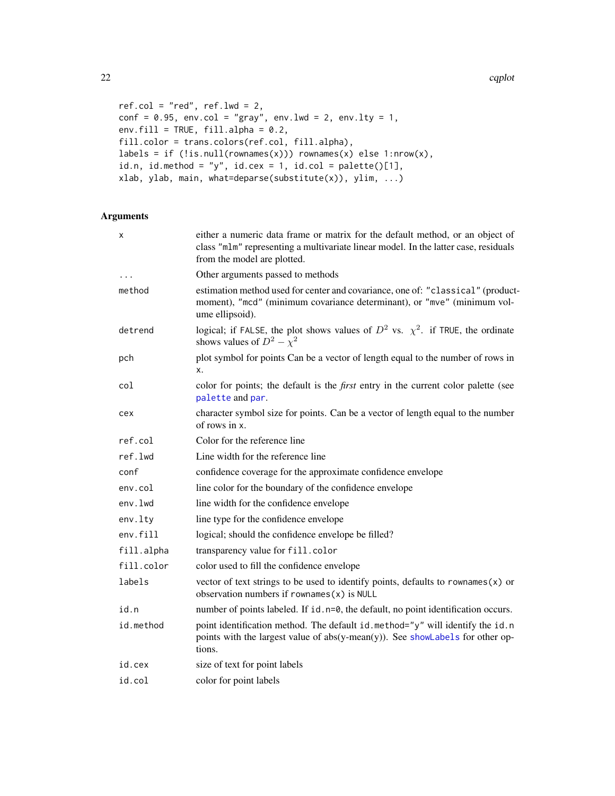22 cqplot

```
ref.col = "red", ref.lwd = 2,conf = 0.95, env.col = "gray", env.lwd = 2, env.lty = 1,env.fill = TRUE, fill.alpha = 0.2,
fill.color = trans.colors(ref.col, fill.alpha),
labels = if (!is-null(rownames(x))) rownames(x) else 1:nrow(x),
id.n, id.method = "y", id.cex = 1, id.col = palette()[1],
xlab, ylab, main, what=deparse(substitute(x)), ylim, ...)
```
## Arguments

| x          | either a numeric data frame or matrix for the default method, or an object of<br>class "mlm" representing a multivariate linear model. In the latter case, residuals<br>from the model are plotted. |  |
|------------|-----------------------------------------------------------------------------------------------------------------------------------------------------------------------------------------------------|--|
| $\cdots$   | Other arguments passed to methods                                                                                                                                                                   |  |
| method     | estimation method used for center and covariance, one of: "classical" (product-<br>moment), "mcd" (minimum covariance determinant), or "mve" (minimum vol-<br>ume ellipsoid).                       |  |
| detrend    | logical; if FALSE, the plot shows values of $D^2$ vs. $\chi^2$ . if TRUE, the ordinate<br>shows values of $D^2 - \chi^2$                                                                            |  |
| pch        | plot symbol for points Can be a vector of length equal to the number of rows in<br>х.                                                                                                               |  |
| col        | color for points; the default is the <i>first</i> entry in the current color palette (see<br>palette and par.                                                                                       |  |
| cex        | character symbol size for points. Can be a vector of length equal to the number<br>of rows in x.                                                                                                    |  |
| ref.col    | Color for the reference line                                                                                                                                                                        |  |
| ref.lwd    | Line width for the reference line                                                                                                                                                                   |  |
| conf       | confidence coverage for the approximate confidence envelope                                                                                                                                         |  |
| env.col    | line color for the boundary of the confidence envelope                                                                                                                                              |  |
| env.lwd    | line width for the confidence envelope                                                                                                                                                              |  |
| env.lty    | line type for the confidence envelope                                                                                                                                                               |  |
| env.fill   | logical; should the confidence envelope be filled?                                                                                                                                                  |  |
| fill.alpha | transparency value for fill.color                                                                                                                                                                   |  |
| fill.color | color used to fill the confidence envelope                                                                                                                                                          |  |
| labels     | vector of text strings to be used to identify points, defaults to rownames $(x)$ or<br>observation numbers if $rownames(x)$ is NULL                                                                 |  |
| id.n       | number of points labeled. If id. n=0, the default, no point identification occurs.                                                                                                                  |  |
| id.method  | point identification method. The default id.method="y" will identify the id.n<br>points with the largest value of $abs(y-mean(y))$ . See showLabels for other op-<br>tions.                         |  |
| id.cex     | size of text for point labels                                                                                                                                                                       |  |
| id.col     | color for point labels                                                                                                                                                                              |  |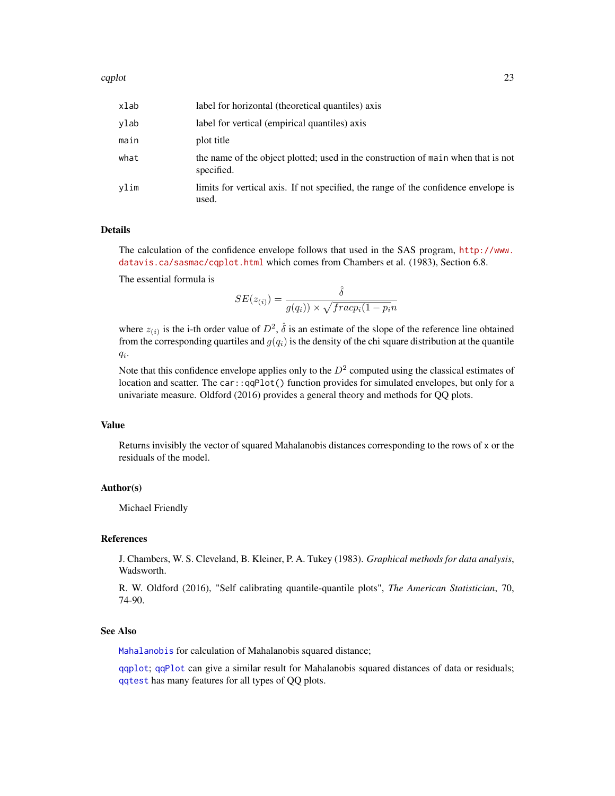#### cqplot 23

| xlab | label for horizontal (theoretical quantiles) axis                                               |
|------|-------------------------------------------------------------------------------------------------|
| vlab | label for vertical (empirical quantiles) axis                                                   |
| main | plot title                                                                                      |
| what | the name of the object plotted; used in the construction of main when that is not<br>specified. |
| vlim | limits for vertical axis. If not specified, the range of the confidence envelope is<br>used.    |

#### Details

The calculation of the confidence envelope follows that used in the SAS program, [http://www.](http://www.datavis.ca/sasmac/cqplot.html) [datavis.ca/sasmac/cqplot.html](http://www.datavis.ca/sasmac/cqplot.html) which comes from Chambers et al. (1983), Section 6.8.

The essential formula is

$$
SE(z_{(i)}) = \frac{\hat{\delta}}{g(q_i)) \times \sqrt{frac(1 - p_i n}{n}}
$$

where  $z_{(i)}$  is the i-th order value of  $D^2$ ,  $\hat{\delta}$  is an estimate of the slope of the reference line obtained from the corresponding quartiles and  $g(q_i)$  is the density of the chi square distribution at the quantile  $q_i$ .

Note that this confidence envelope applies only to the  $D<sup>2</sup>$  computed using the classical estimates of location and scatter. The car::qqPlot() function provides for simulated envelopes, but only for a univariate measure. Oldford (2016) provides a general theory and methods for QQ plots.

### Value

Returns invisibly the vector of squared Mahalanobis distances corresponding to the rows of x or the residuals of the model.

### Author(s)

Michael Friendly

### References

J. Chambers, W. S. Cleveland, B. Kleiner, P. A. Tukey (1983). *Graphical methods for data analysis*, Wadsworth.

R. W. Oldford (2016), "Self calibrating quantile-quantile plots", *The American Statistician*, 70, 74-90.

### See Also

[Mahalanobis](#page-57-1) for calculation of Mahalanobis squared distance;

[qqplot](#page-0-0); [qqPlot](#page-0-0) can give a similar result for Mahalanobis squared distances of data or residuals; [qqtest](#page-0-0) has many features for all types of QQ plots.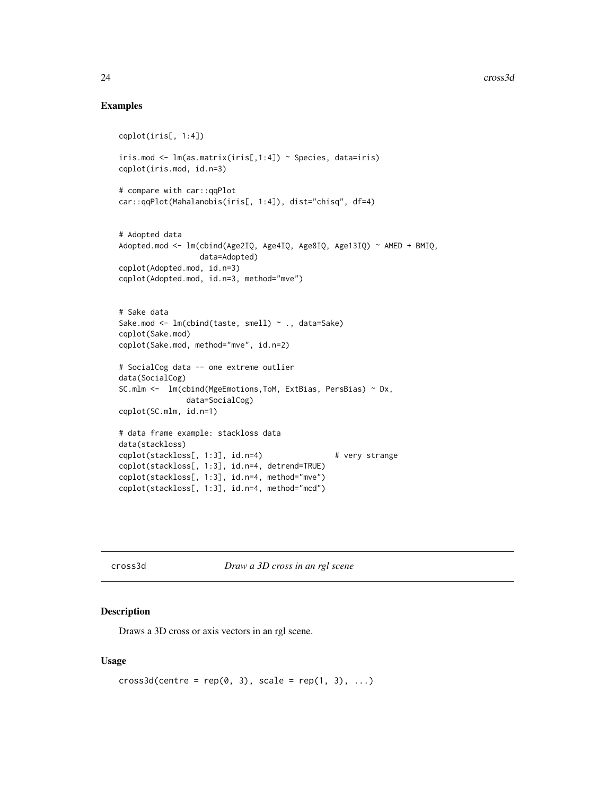### Examples

```
cqplot(iris[, 1:4])
iris.mod <- lm(as.matrix(iris[,1:4]) ~ Species, data=iris)
cqplot(iris.mod, id.n=3)
# compare with car::qqPlot
car::qqPlot(Mahalanobis(iris[, 1:4]), dist="chisq", df=4)
# Adopted data
Adopted.mod <- lm(cbind(Age2IQ, Age4IQ, Age8IQ, Age13IQ) ~ AMED + BMIQ,
                 data=Adopted)
cqplot(Adopted.mod, id.n=3)
cqplot(Adopted.mod, id.n=3, method="mve")
# Sake data
Sake.mod <- lm(cbind(taste, smell) ~ ., data=Sake)
cqplot(Sake.mod)
cqplot(Sake.mod, method="mve", id.n=2)
# SocialCog data -- one extreme outlier
data(SocialCog)
SC.mlm <- lm(cbind(MgeEmotions,ToM, ExtBias, PersBias) ~ Dx,
               data=SocialCog)
cqplot(SC.mlm, id.n=1)
# data frame example: stackloss data
data(stackloss)
cqplot(stackloss[, 1:3], id.n=4) # very strange
cqplot(stackloss[, 1:3], id.n=4, detrend=TRUE)
cqplot(stackloss[, 1:3], id.n=4, method="mve")
cqplot(stackloss[, 1:3], id.n=4, method="mcd")
```
cross3d *Draw a 3D cross in an rgl scene*

#### Description

Draws a 3D cross or axis vectors in an rgl scene.

### Usage

```
cross3d(centre = rep(0, 3), scale = rep(1, 3), ...)
```
<span id="page-23-0"></span>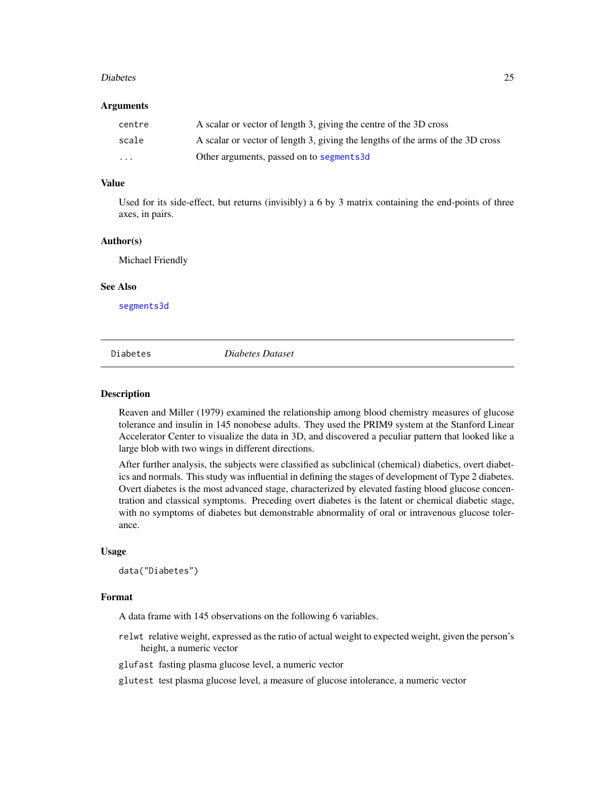#### <span id="page-24-0"></span>Diabetes 25

### Arguments

| centre | A scalar or vector of length 3, giving the centre of the 3D cross              |
|--------|--------------------------------------------------------------------------------|
| scale  | A scalar or vector of length 3, giving the lengths of the arms of the 3D cross |
| .      | Other arguments, passed on to segments3d                                       |

### Value

Used for its side-effect, but returns (invisibly) a 6 by 3 matrix containing the end-points of three axes, in pairs.

#### Author(s)

Michael Friendly

### See Also

[segments3d](#page-0-0)

Diabetes *Diabetes Dataset*

#### Description

Reaven and Miller (1979) examined the relationship among blood chemistry measures of glucose tolerance and insulin in 145 nonobese adults. They used the PRIM9 system at the Stanford Linear Accelerator Center to visualize the data in 3D, and discovered a peculiar pattern that looked like a large blob with two wings in different directions.

After further analysis, the subjects were classified as subclinical (chemical) diabetics, overt diabetics and normals. This study was influential in defining the stages of development of Type 2 diabetes. Overt diabetes is the most advanced stage, characterized by elevated fasting blood glucose concentration and classical symptoms. Preceding overt diabetes is the latent or chemical diabetic stage, with no symptoms of diabetes but demonstrable abnormality of oral or intravenous glucose tolerance.

### Usage

data("Diabetes")

### Format

A data frame with 145 observations on the following 6 variables.

relwt relative weight, expressed as the ratio of actual weight to expected weight, given the person's height, a numeric vector

glufast fasting plasma glucose level, a numeric vector

glutest test plasma glucose level, a measure of glucose intolerance, a numeric vector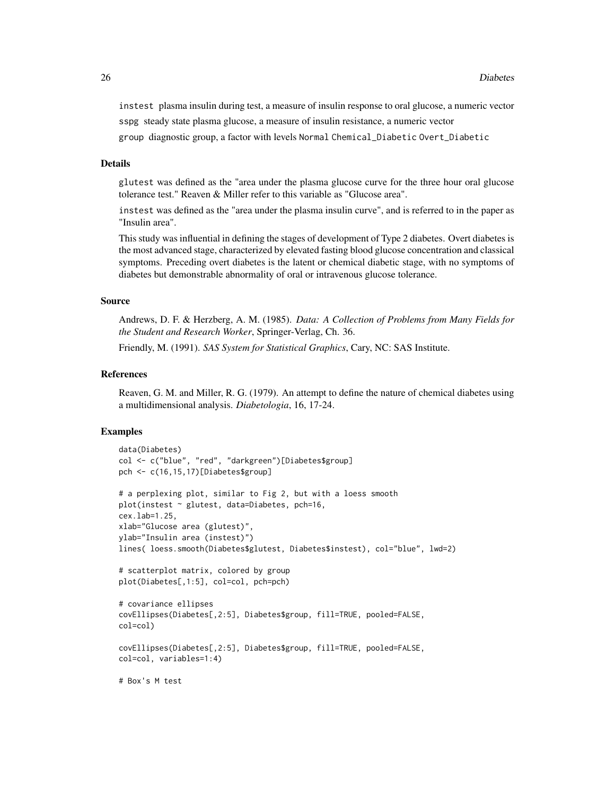instest plasma insulin during test, a measure of insulin response to oral glucose, a numeric vector sspg steady state plasma glucose, a measure of insulin resistance, a numeric vector

group diagnostic group, a factor with levels Normal Chemical\_Diabetic Overt\_Diabetic

#### Details

glutest was defined as the "area under the plasma glucose curve for the three hour oral glucose tolerance test." Reaven & Miller refer to this variable as "Glucose area".

instest was defined as the "area under the plasma insulin curve", and is referred to in the paper as "Insulin area".

This study was influential in defining the stages of development of Type 2 diabetes. Overt diabetes is the most advanced stage, characterized by elevated fasting blood glucose concentration and classical symptoms. Preceding overt diabetes is the latent or chemical diabetic stage, with no symptoms of diabetes but demonstrable abnormality of oral or intravenous glucose tolerance.

#### Source

Andrews, D. F. & Herzberg, A. M. (1985). *Data: A Collection of Problems from Many Fields for the Student and Research Worker*, Springer-Verlag, Ch. 36.

Friendly, M. (1991). *SAS System for Statistical Graphics*, Cary, NC: SAS Institute.

#### References

Reaven, G. M. and Miller, R. G. (1979). An attempt to define the nature of chemical diabetes using a multidimensional analysis. *Diabetologia*, 16, 17-24.

```
data(Diabetes)
col <- c("blue", "red", "darkgreen")[Diabetes$group]
pch <- c(16,15,17)[Diabetes$group]
# a perplexing plot, similar to Fig 2, but with a loess smooth
plot(instest ~ glutest, data=Diabetes, pch=16,
cex.lab=1.25,
xlab="Glucose area (glutest)",
ylab="Insulin area (instest)")
lines( loess.smooth(Diabetes$glutest, Diabetes$instest), col="blue", lwd=2)
# scatterplot matrix, colored by group
plot(Diabetes[,1:5], col=col, pch=pch)
# covariance ellipses
covEllipses(Diabetes[,2:5], Diabetes$group, fill=TRUE, pooled=FALSE,
col=col)
covEllipses(Diabetes[,2:5], Diabetes$group, fill=TRUE, pooled=FALSE,
col=col, variables=1:4)
# Box's M test
```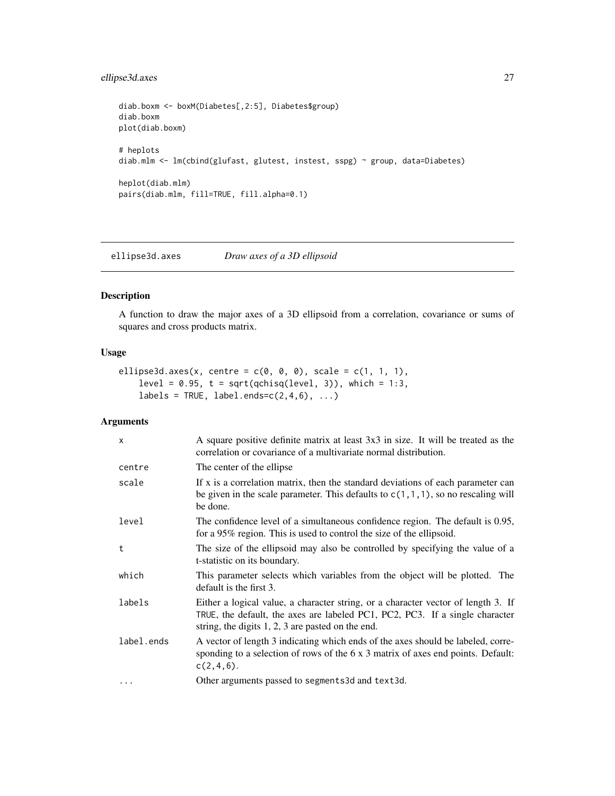### <span id="page-26-0"></span>ellipse3d.axes 27

```
diab.boxm <- boxM(Diabetes[,2:5], Diabetes$group)
diab.boxm
plot(diab.boxm)
# heplots
diab.mlm <- lm(cbind(glufast, glutest, instest, sspg) ~ group, data=Diabetes)
heplot(diab.mlm)
pairs(diab.mlm, fill=TRUE, fill.alpha=0.1)
```
ellipse3d.axes *Draw axes of a 3D ellipsoid*

### Description

A function to draw the major axes of a 3D ellipsoid from a correlation, covariance or sums of squares and cross products matrix.

### Usage

```
ellipse3d.axes(x, centre = c(0, 0, 0), scale = c(1, 1, 1),
   level = 0.95, t = sqrt(qchisq(level, 3)), which = 1:3,
    labels = TRUE, label.ends=c(2,4,6), ...)
```
### Arguments

| $\mathsf{x}$ | A square positive definite matrix at least 3x3 in size. It will be treated as the<br>correlation or covariance of a multivariate normal distribution.                                                                    |
|--------------|--------------------------------------------------------------------------------------------------------------------------------------------------------------------------------------------------------------------------|
| centre       | The center of the ellipse                                                                                                                                                                                                |
| scale        | If x is a correlation matrix, then the standard deviations of each parameter can<br>be given in the scale parameter. This defaults to $c(1,1,1)$ , so no rescaling will<br>be done.                                      |
| level        | The confidence level of a simultaneous confidence region. The default is 0.95,<br>for a 95% region. This is used to control the size of the ellipsoid.                                                                   |
| t            | The size of the ellipsoid may also be controlled by specifying the value of a<br>t-statistic on its boundary.                                                                                                            |
| which        | This parameter selects which variables from the object will be plotted. The<br>default is the first 3.                                                                                                                   |
| labels       | Either a logical value, a character string, or a character vector of length 3. If<br>TRUE, the default, the axes are labeled PC1, PC2, PC3. If a single character<br>string, the digits $1, 2, 3$ are pasted on the end. |
| label.ends   | A vector of length 3 indicating which ends of the axes should be labeled, corre-<br>sponding to a selection of rows of the 6 x 3 matrix of axes end points. Default:<br>$c(2, 4, 6)$ .                                   |
| $\cdots$     | Other arguments passed to segments3d and text3d.                                                                                                                                                                         |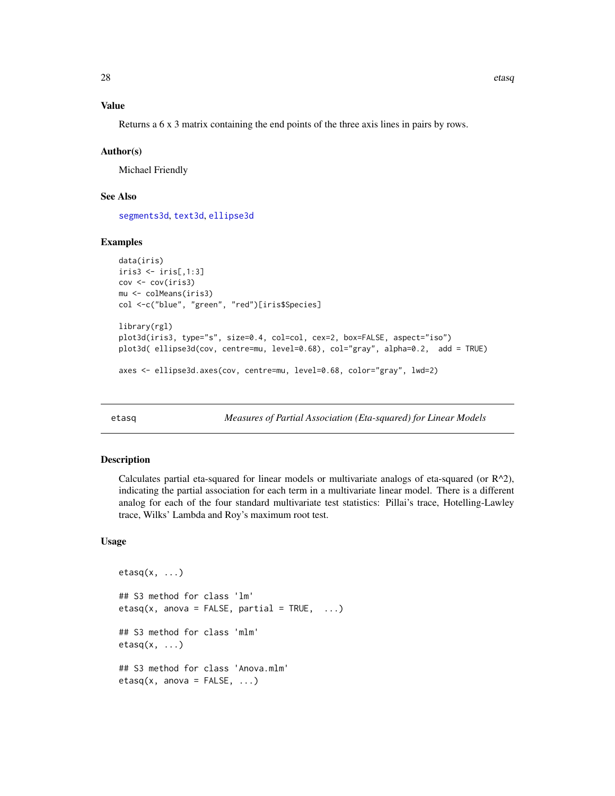### <span id="page-27-0"></span>Value

Returns a 6 x 3 matrix containing the end points of the three axis lines in pairs by rows.

#### Author(s)

Michael Friendly

### See Also

[segments3d](#page-0-0), [text3d](#page-0-0), [ellipse3d](#page-0-0)

### Examples

```
data(iris)
iris3 <- iris[,1:3]
cov <- cov(iris3)
mu <- colMeans(iris3)
col <-c("blue", "green", "red")[iris$Species]
library(rgl)
plot3d(iris3, type="s", size=0.4, col=col, cex=2, box=FALSE, aspect="iso")
plot3d( ellipse3d(cov, centre=mu, level=0.68), col="gray", alpha=0.2, add = TRUE)
axes <- ellipse3d.axes(cov, centre=mu, level=0.68, color="gray", lwd=2)
```
etasq *Measures of Partial Association (Eta-squared) for Linear Models*

#### **Description**

Calculates partial eta-squared for linear models or multivariate analogs of eta-squared (or  $R^2$ ), indicating the partial association for each term in a multivariate linear model. There is a different analog for each of the four standard multivariate test statistics: Pillai's trace, Hotelling-Lawley trace, Wilks' Lambda and Roy's maximum root test.

### Usage

```
etasq(x, ...)## S3 method for class 'lm'
etasq(x, anova = FALSE, partial = TRUE, ...)## S3 method for class 'mlm'
etasq(x, \ldots)## S3 method for class 'Anova.mlm'
etasq(x, anos = FALSE, ...)
```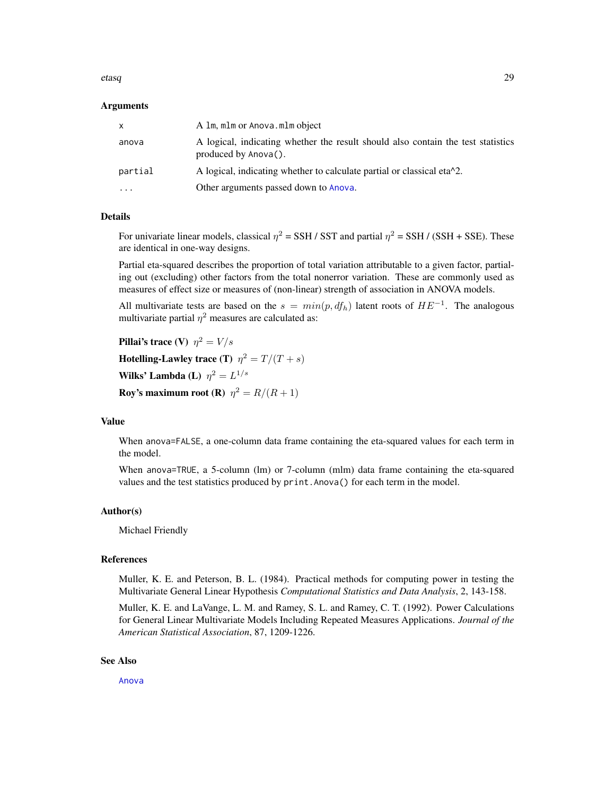#### etasq 29

#### Arguments

| X         | A 1m, m1m or Anova.m1m object                                                                            |
|-----------|----------------------------------------------------------------------------------------------------------|
| anova     | A logical, indicating whether the result should also contain the test statistics<br>produced by Anova(). |
| partial   | A logical, indicating whether to calculate partial or classical eta $\lambda$ 2.                         |
| $\ddotsc$ | Other arguments passed down to Anova.                                                                    |

### Details

For univariate linear models, classical  $\eta^2 =$  SSH / SST and partial  $\eta^2 =$  SSH / (SSH + SSE). These are identical in one-way designs.

Partial eta-squared describes the proportion of total variation attributable to a given factor, partialing out (excluding) other factors from the total nonerror variation. These are commonly used as measures of effect size or measures of (non-linear) strength of association in ANOVA models.

All multivariate tests are based on the  $s = min(p, df_h)$  latent roots of  $HE^{-1}$ . The analogous multivariate partial  $\eta^2$  measures are calculated as:

Pillai's trace (V)  $\eta^2 = V/s$ 

Hotelling-Lawley trace (T)  $\eta^2 = T/(T + s)$ 

Wilks' Lambda (L)  $\eta^2 = L^{1/s}$ 

**Roy's maximum root (R)**  $\eta^2 = R/(R+1)$ 

#### Value

When anova=FALSE, a one-column data frame containing the eta-squared values for each term in the model.

When anova=TRUE, a 5-column (lm) or 7-column (mlm) data frame containing the eta-squared values and the test statistics produced by print.Anova() for each term in the model.

#### Author(s)

Michael Friendly

#### References

Muller, K. E. and Peterson, B. L. (1984). Practical methods for computing power in testing the Multivariate General Linear Hypothesis *Computational Statistics and Data Analysis*, 2, 143-158.

Muller, K. E. and LaVange, L. M. and Ramey, S. L. and Ramey, C. T. (1992). Power Calculations for General Linear Multivariate Models Including Repeated Measures Applications. *Journal of the American Statistical Association*, 87, 1209-1226.

### See Also

[Anova](#page-0-0)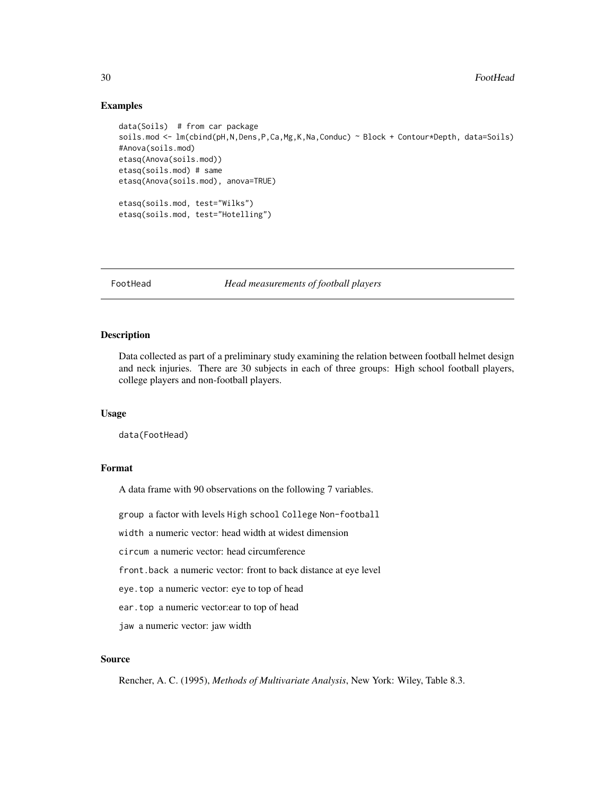### Examples

```
data(Soils) # from car package
soils.mod <- lm(cbind(pH,N,Dens,P,Ca,Mg,K,Na,Conduc) ~ Block + Contour*Depth, data=Soils)
#Anova(soils.mod)
etasq(Anova(soils.mod))
etasq(soils.mod) # same
etasq(Anova(soils.mod), anova=TRUE)
etasq(soils.mod, test="Wilks")
etasq(soils.mod, test="Hotelling")
```
FootHead *Head measurements of football players*

#### Description

Data collected as part of a preliminary study examining the relation between football helmet design and neck injuries. There are 30 subjects in each of three groups: High school football players, college players and non-football players.

#### Usage

data(FootHead)

### Format

A data frame with 90 observations on the following 7 variables.

group a factor with levels High school College Non-football

width a numeric vector: head width at widest dimension

circum a numeric vector: head circumference

front.back a numeric vector: front to back distance at eye level

eye.top a numeric vector: eye to top of head

ear.top a numeric vector:ear to top of head

jaw a numeric vector: jaw width

### Source

Rencher, A. C. (1995), *Methods of Multivariate Analysis*, New York: Wiley, Table 8.3.

<span id="page-29-0"></span>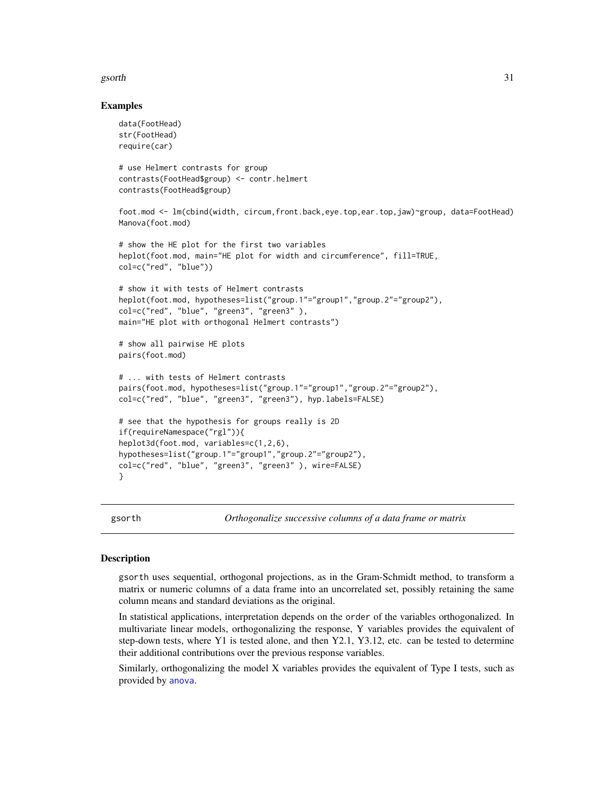#### <span id="page-30-0"></span>gsorth 31

### Examples

```
data(FootHead)
str(FootHead)
require(car)
# use Helmert contrasts for group
contrasts(FootHead$group) <- contr.helmert
contrasts(FootHead$group)
foot.mod <- lm(cbind(width, circum,front.back,eye.top,ear.top,jaw)~group, data=FootHead)
Manova(foot.mod)
# show the HE plot for the first two variables
heplot(foot.mod, main="HE plot for width and circumference", fill=TRUE,
col=c("red", "blue"))
# show it with tests of Helmert contrasts
heplot(foot.mod, hypotheses=list("group.1"="group1","group.2"="group2"),
col=c("red", "blue", "green3", "green3" ),
main="HE plot with orthogonal Helmert contrasts")
# show all pairwise HE plots
pairs(foot.mod)
# ... with tests of Helmert contrasts
pairs(foot.mod, hypotheses=list("group.1"="group1","group.2"="group2"),
col=c("red", "blue", "green3", "green3"), hyp.labels=FALSE)
# see that the hypothesis for groups really is 2D
if(requireNamespace("rgl")){
heplot3d(foot.mod, variables=c(1,2,6),
hypotheses=list("group.1"="group1","group.2"="group2"),
col=c("red", "blue", "green3", "green3" ), wire=FALSE)
}
```
gsorth *Orthogonalize successive columns of a data frame or matrix*

### Description

gsorth uses sequential, orthogonal projections, as in the Gram-Schmidt method, to transform a matrix or numeric columns of a data frame into an uncorrelated set, possibly retaining the same column means and standard deviations as the original.

In statistical applications, interpretation depends on the order of the variables orthogonalized. In multivariate linear models, orthogonalizing the response, Y variables provides the equivalent of step-down tests, where Y1 is tested alone, and then Y2.1, Y3.12, etc. can be tested to determine their additional contributions over the previous response variables.

Similarly, orthogonalizing the model X variables provides the equivalent of Type I tests, such as provided by [anova](#page-0-0).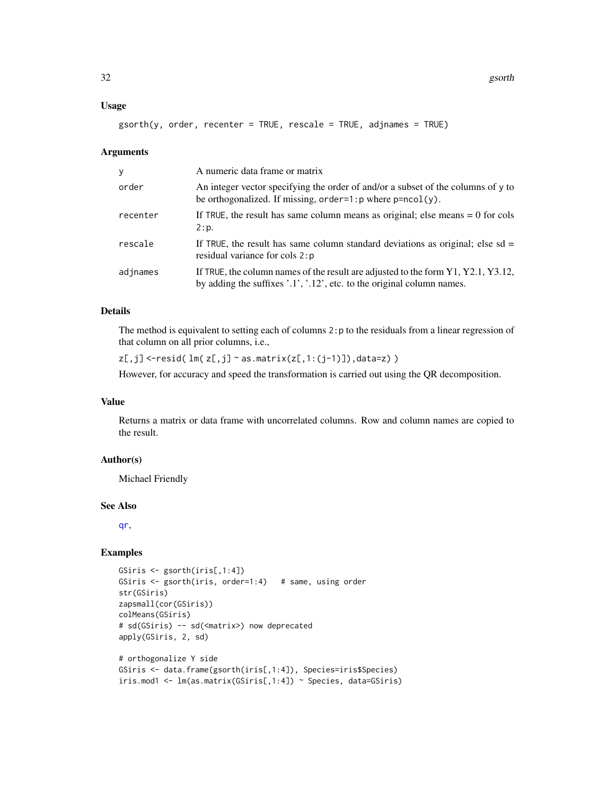#### Usage

```
gsorth(y, order, recenter = TRUE, rescale = TRUE, adjnames = TRUE)
```
#### Arguments

| y        | A numeric data frame or matrix                                                                                                                                              |
|----------|-----------------------------------------------------------------------------------------------------------------------------------------------------------------------------|
| order    | An integer vector specifying the order of and/or a subset of the columns of y to<br>be orthogonalized. If missing, $order=1:p$ where $p=ncol(y)$ .                          |
| recenter | If TRUE, the result has same column means as original; else means $= 0$ for cols<br>2:p.                                                                                    |
| rescale  | If TRUE, the result has same column standard deviations as original; else sd =<br>residual variance for cols 2: p                                                           |
| adjnames | If TRUE, the column names of the result are adjusted to the form $Y1, Y2.1, Y3.12,$<br>by adding the suffixes $\cdot$ .1', $\cdot$ .12', etc. to the original column names. |

### Details

The method is equivalent to setting each of columns 2:p to the residuals from a linear regression of that column on all prior columns, i.e.,

 $z[$ ,j] <-resid(  $lm(z[,j]$   $\sim$  as.matrix( $z[$ ,1:(j-1)]),data=z))

However, for accuracy and speed the transformation is carried out using the QR decomposition.

### Value

Returns a matrix or data frame with uncorrelated columns. Row and column names are copied to the result.

### Author(s)

Michael Friendly

#### See Also

[qr](#page-0-0),

```
GSiris <- gsorth(iris[,1:4])
GSiris <- gsorth(iris, order=1:4) # same, using order
str(GSiris)
zapsmall(cor(GSiris))
colMeans(GSiris)
# sd(GSiris) -- sd(<matrix>) now deprecated
apply(GSiris, 2, sd)
# orthogonalize Y side
```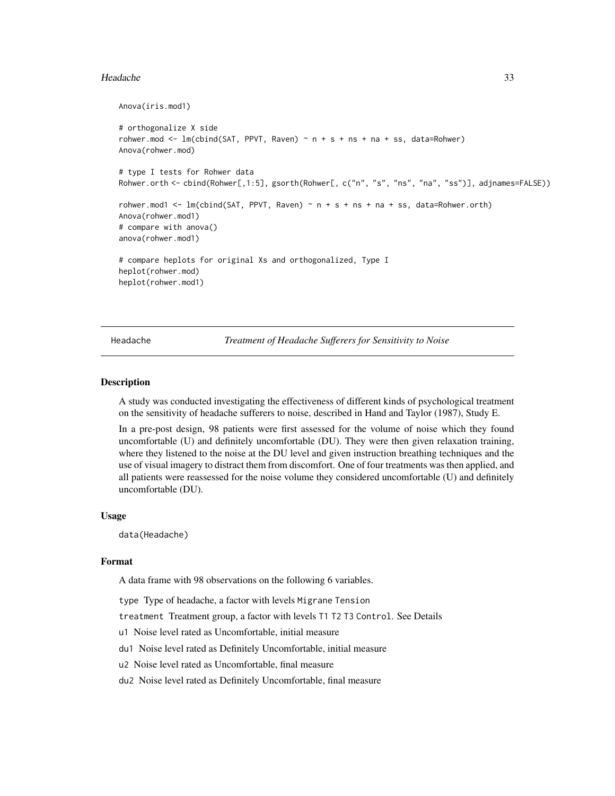#### <span id="page-32-0"></span>Headache 33

```
Anova(iris.mod1)
# orthogonalize X side
rohwer.mod <- lm(cbind(SAT, PPVT, Raven) ~ n + s + ns + na + ss, data=Rohwer)Anova(rohwer.mod)
# type I tests for Rohwer data
Rohwer.orth <- cbind(Rohwer[,1:5], gsorth(Rohwer[, c("n", "s", "ns", "na", "ss")], adjnames=FALSE))
rohwer.mod1 <- lm(cbind(SAT, PPVT, Raven) \sim n + s + ns + na + ss, data=Rohwer.orth)Anova(rohwer.mod1)
# compare with anova()
anova(rohwer.mod1)
# compare heplots for original Xs and orthogonalized, Type I
heplot(rohwer.mod)
heplot(rohwer.mod1)
```
Headache *Treatment of Headache Sufferers for Sensitivity to Noise*

#### Description

A study was conducted investigating the effectiveness of different kinds of psychological treatment on the sensitivity of headache sufferers to noise, described in Hand and Taylor (1987), Study E.

In a pre-post design, 98 patients were first assessed for the volume of noise which they found uncomfortable (U) and definitely uncomfortable (DU). They were then given relaxation training, where they listened to the noise at the DU level and given instruction breathing techniques and the use of visual imagery to distract them from discomfort. One of four treatments was then applied, and all patients were reassessed for the noise volume they considered uncomfortable (U) and definitely uncomfortable (DU).

### Usage

data(Headache)

#### Format

A data frame with 98 observations on the following 6 variables.

type Type of headache, a factor with levels Migrane Tension

treatment Treatment group, a factor with levels T1 T2 T3 Control. See Details

u1 Noise level rated as Uncomfortable, initial measure

du1 Noise level rated as Definitely Uncomfortable, initial measure

u2 Noise level rated as Uncomfortable, final measure

du2 Noise level rated as Definitely Uncomfortable, final measure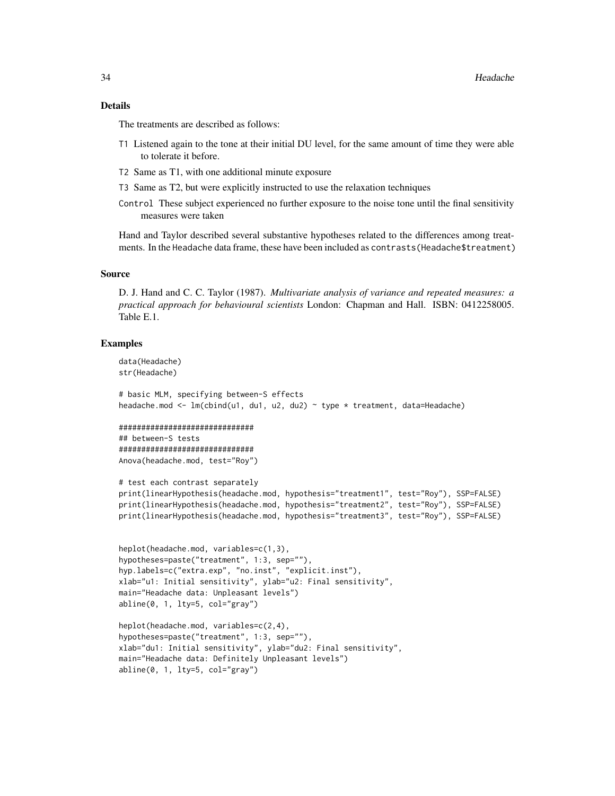### Details

The treatments are described as follows:

- T1 Listened again to the tone at their initial DU level, for the same amount of time they were able to tolerate it before.
- T2 Same as T1, with one additional minute exposure

main="Headache data: Definitely Unpleasant levels")

 $abline(0, 1, 1ty=5, col="gray")$ 

- T3 Same as T2, but were explicitly instructed to use the relaxation techniques
- Control These subject experienced no further exposure to the noise tone until the final sensitivity measures were taken

Hand and Taylor described several substantive hypotheses related to the differences among treatments. In the Headache data frame, these have been included as contrasts(Headache\$treatment)

### Source

D. J. Hand and C. C. Taylor (1987). *Multivariate analysis of variance and repeated measures: a practical approach for behavioural scientists* London: Chapman and Hall. ISBN: 0412258005. Table E.1.

```
data(Headache)
str(Headache)
# basic MLM, specifying between-S effects
headache.mod <- lm(cbind(u1, du1, u2, du2) ~ type * treatment, data=Headache)
##############################
## between-S tests
##############################
Anova(headache.mod, test="Roy")
# test each contrast separately
print(linearHypothesis(headache.mod, hypothesis="treatment1", test="Roy"), SSP=FALSE)
print(linearHypothesis(headache.mod, hypothesis="treatment2", test="Roy"), SSP=FALSE)
print(linearHypothesis(headache.mod, hypothesis="treatment3", test="Roy"), SSP=FALSE)
heplot(headache.mod, variables=c(1,3),
hypotheses=paste("treatment", 1:3, sep=""),
hyp.labels=c("extra.exp", "no.inst", "explicit.inst"),
xlab="u1: Initial sensitivity", ylab="u2: Final sensitivity",
main="Headache data: Unpleasant levels")
abline(0, 1, lty=5, col="gray")
heplot(headache.mod, variables=c(2,4),
hypotheses=paste("treatment", 1:3, sep=""),
xlab="du1: Initial sensitivity", ylab="du2: Final sensitivity",
```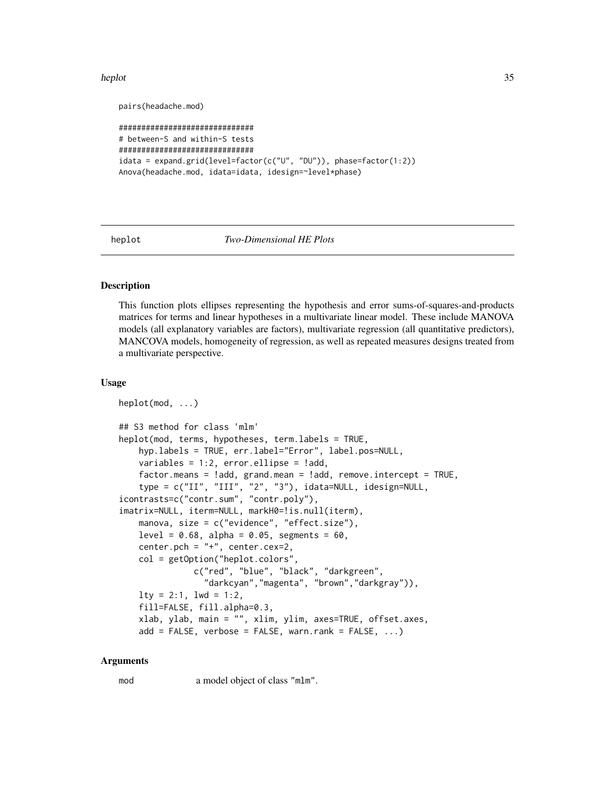#### <span id="page-34-0"></span>heplot 35

```
pairs(headache.mod)
```

```
##############################
# between-S and within-S tests
##############################
idata = expand.grid(level=factor(c("U", "DU")), phase=factor(1:2))
Anova(headache.mod, idata=idata, idesign=~level*phase)
```
<span id="page-34-1"></span>

#### heplot *Two-Dimensional HE Plots*

### **Description**

This function plots ellipses representing the hypothesis and error sums-of-squares-and-products matrices for terms and linear hypotheses in a multivariate linear model. These include MANOVA models (all explanatory variables are factors), multivariate regression (all quantitative predictors), MANCOVA models, homogeneity of regression, as well as repeated measures designs treated from a multivariate perspective.

### Usage

```
heplot(mod, ...)
## S3 method for class 'mlm'
heplot(mod, terms, hypotheses, term.labels = TRUE,
    hyp.labels = TRUE, err.label="Error", label.pos=NULL,
   variables = 1:2, error.ellipse = !add,
    factor.means = !add, grand.mean = !add, remove.intercept = TRUE,
    type = c("II", "III", "2", "3"), idata=NULL, idesign=NULL,
icontrasts=c("contr.sum", "contr.poly"),
imatrix=NULL, iterm=NULL, markH0=!is.null(iterm),
   manova, size = c("evidence", "effect.size"),
   level = 0.68, alpha = 0.05, segments = 60,
   center.pch = "+", center.cex=2,
   col = getOption("heplot.colors",
               c("red", "blue", "black", "darkgreen",
                 "darkcyan","magenta", "brown","darkgray")),
   lty = 2:1, lwd = 1:2,
    fill=FALSE, fill.alpha=0.3,
   xlab, ylab, main = "", xlim, ylim, axes=TRUE, offset.axes,
    add = FALSE, verbose = FALSE, warnrank = FALSE, ...)
```
#### Arguments

mod a model object of class "mlm".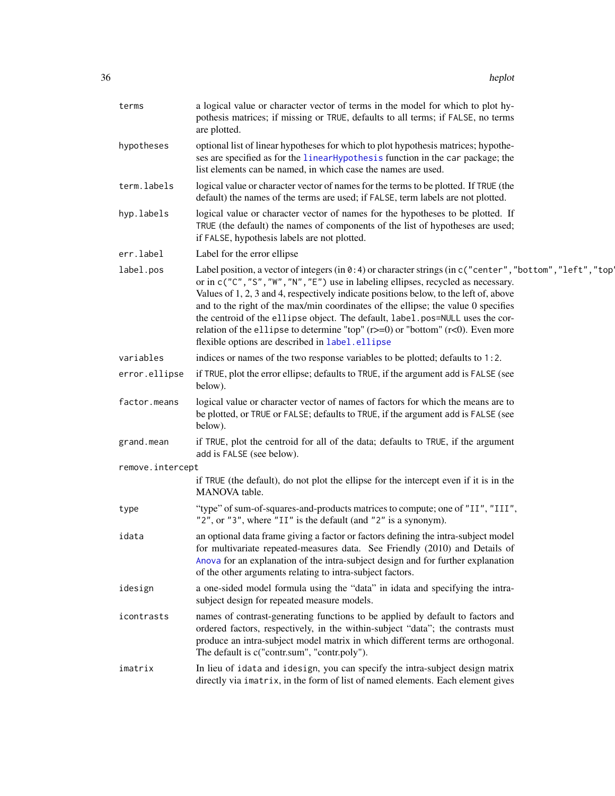| terms            | a logical value or character vector of terms in the model for which to plot hy-<br>pothesis matrices; if missing or TRUE, defaults to all terms; if FALSE, no terms<br>are plotted.                                                                                                                                                                                                                                                                                                                                                                                                                       |
|------------------|-----------------------------------------------------------------------------------------------------------------------------------------------------------------------------------------------------------------------------------------------------------------------------------------------------------------------------------------------------------------------------------------------------------------------------------------------------------------------------------------------------------------------------------------------------------------------------------------------------------|
| hypotheses       | optional list of linear hypotheses for which to plot hypothesis matrices; hypothe-<br>ses are specified as for the linear Hypothesis function in the car package; the<br>list elements can be named, in which case the names are used.                                                                                                                                                                                                                                                                                                                                                                    |
| term.labels      | logical value or character vector of names for the terms to be plotted. If TRUE (the<br>default) the names of the terms are used; if FALSE, term labels are not plotted.                                                                                                                                                                                                                                                                                                                                                                                                                                  |
| hyp.labels       | logical value or character vector of names for the hypotheses to be plotted. If<br>TRUE (the default) the names of components of the list of hypotheses are used;<br>if FALSE, hypothesis labels are not plotted.                                                                                                                                                                                                                                                                                                                                                                                         |
| err.label        | Label for the error ellipse                                                                                                                                                                                                                                                                                                                                                                                                                                                                                                                                                                               |
| label.pos        | Label position, a vector of integers (in 0:4) or character strings (in c ("center", "bottom", "left", "top'<br>or in c("C", "S", "W", "N", "E") use in labeling ellipses, recycled as necessary.<br>Values of 1, 2, 3 and 4, respectively indicate positions below, to the left of, above<br>and to the right of the max/min coordinates of the ellipse; the value 0 specifies<br>the centroid of the ellipse object. The default, label.pos=NULL uses the cor-<br>relation of the ellipse to determine "top" $(r>=0)$ or "bottom" $(r<0)$ . Even more<br>flexible options are described in label.ellipse |
| variables        | indices or names of the two response variables to be plotted; defaults to 1:2.                                                                                                                                                                                                                                                                                                                                                                                                                                                                                                                            |
| error.ellipse    | if TRUE, plot the error ellipse; defaults to TRUE, if the argument add is FALSE (see<br>below).                                                                                                                                                                                                                                                                                                                                                                                                                                                                                                           |
| factor.means     | logical value or character vector of names of factors for which the means are to<br>be plotted, or TRUE or FALSE; defaults to TRUE, if the argument add is FALSE (see<br>below).                                                                                                                                                                                                                                                                                                                                                                                                                          |
| grand.mean       | if TRUE, plot the centroid for all of the data; defaults to TRUE, if the argument<br>add is FALSE (see below).                                                                                                                                                                                                                                                                                                                                                                                                                                                                                            |
| remove.intercept |                                                                                                                                                                                                                                                                                                                                                                                                                                                                                                                                                                                                           |
|                  | if TRUE (the default), do not plot the ellipse for the intercept even if it is in the<br>MANOVA table.                                                                                                                                                                                                                                                                                                                                                                                                                                                                                                    |
| type             | "type" of sum-of-squares-and-products matrices to compute; one of "II", "III",<br>"2", or "3", where "II" is the default (and "2" is a synonym).                                                                                                                                                                                                                                                                                                                                                                                                                                                          |
| idata            | an optional data frame giving a factor or factors defining the intra-subject model<br>for multivariate repeated-measures data. See Friendly (2010) and Details of<br>Anova for an explanation of the intra-subject design and for further explanation<br>of the other arguments relating to intra-subject factors.                                                                                                                                                                                                                                                                                        |
| idesign          | a one-sided model formula using the "data" in idata and specifying the intra-<br>subject design for repeated measure models.                                                                                                                                                                                                                                                                                                                                                                                                                                                                              |
| icontrasts       | names of contrast-generating functions to be applied by default to factors and<br>ordered factors, respectively, in the within-subject "data"; the contrasts must<br>produce an intra-subject model matrix in which different terms are orthogonal.<br>The default is c("contr.sum", "contr.poly").                                                                                                                                                                                                                                                                                                       |
| imatrix          | In lieu of idata and idesign, you can specify the intra-subject design matrix<br>directly via imatrix, in the form of list of named elements. Each element gives                                                                                                                                                                                                                                                                                                                                                                                                                                          |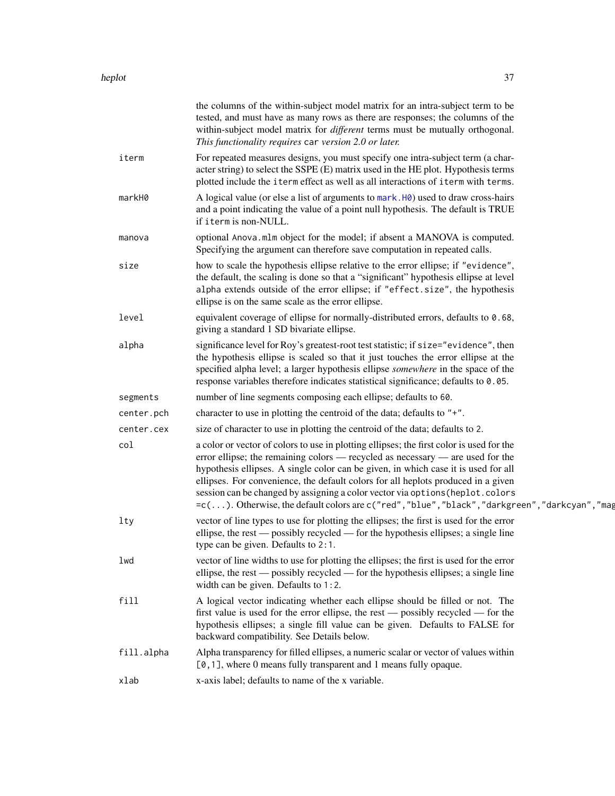|            | the columns of the within-subject model matrix for an intra-subject term to be<br>tested, and must have as many rows as there are responses; the columns of the<br>within-subject model matrix for different terms must be mutually orthogonal.<br>This functionality requires car version 2.0 or later.                                                                                                                                                                                                                                  |
|------------|-------------------------------------------------------------------------------------------------------------------------------------------------------------------------------------------------------------------------------------------------------------------------------------------------------------------------------------------------------------------------------------------------------------------------------------------------------------------------------------------------------------------------------------------|
| iterm      | For repeated measures designs, you must specify one intra-subject term (a char-<br>acter string) to select the SSPE (E) matrix used in the HE plot. Hypothesis terms<br>plotted include the iterm effect as well as all interactions of iterm with terms.                                                                                                                                                                                                                                                                                 |
| markH0     | A logical value (or else a list of arguments to mark. H0) used to draw cross-hairs<br>and a point indicating the value of a point null hypothesis. The default is TRUE<br>if iterm is non-NULL.                                                                                                                                                                                                                                                                                                                                           |
| manova     | optional Anova.mlm object for the model; if absent a MANOVA is computed.<br>Specifying the argument can therefore save computation in repeated calls.                                                                                                                                                                                                                                                                                                                                                                                     |
| size       | how to scale the hypothesis ellipse relative to the error ellipse; if "evidence",<br>the default, the scaling is done so that a "significant" hypothesis ellipse at level<br>alpha extends outside of the error ellipse; if "effect.size", the hypothesis<br>ellipse is on the same scale as the error ellipse.                                                                                                                                                                                                                           |
| level      | equivalent coverage of ellipse for normally-distributed errors, defaults to 0.68,<br>giving a standard 1 SD bivariate ellipse.                                                                                                                                                                                                                                                                                                                                                                                                            |
| alpha      | significance level for Roy's greatest-root test statistic; if size="evidence", then<br>the hypothesis ellipse is scaled so that it just touches the error ellipse at the<br>specified alpha level; a larger hypothesis ellipse somewhere in the space of the<br>response variables therefore indicates statistical significance; defaults to 0.05.                                                                                                                                                                                        |
| segments   | number of line segments composing each ellipse; defaults to 60.                                                                                                                                                                                                                                                                                                                                                                                                                                                                           |
| center.pch | character to use in plotting the centroid of the data; defaults to "+".                                                                                                                                                                                                                                                                                                                                                                                                                                                                   |
| center.cex | size of character to use in plotting the centroid of the data; defaults to 2.                                                                                                                                                                                                                                                                                                                                                                                                                                                             |
| col        | a color or vector of colors to use in plotting ellipses; the first color is used for the<br>error ellipse; the remaining colors — recycled as necessary — are used for the<br>hypothesis ellipses. A single color can be given, in which case it is used for all<br>ellipses. For convenience, the default colors for all heplots produced in a given<br>session can be changed by assigning a color vector via options (heplot.colors<br>=c(). Otherwise, the default colors are c("red", "blue", "black", "darkgreen", "darkcyan", "mag |
| 1ty        | vector of line types to use for plotting the ellipses; the first is used for the error<br>ellipse, the rest — possibly recycled — for the hypothesis ellipses; a single line<br>type can be given. Defaults to 2:1.                                                                                                                                                                                                                                                                                                                       |
| lwd        | vector of line widths to use for plotting the ellipses; the first is used for the error<br>ellipse, the rest — possibly recycled — for the hypothesis ellipses; a single line<br>width can be given. Defaults to 1:2.                                                                                                                                                                                                                                                                                                                     |
| fill       | A logical vector indicating whether each ellipse should be filled or not. The<br>first value is used for the error ellipse, the rest — possibly recycled — for the<br>hypothesis ellipses; a single fill value can be given. Defaults to FALSE for<br>backward compatibility. See Details below.                                                                                                                                                                                                                                          |
| fill.alpha | Alpha transparency for filled ellipses, a numeric scalar or vector of values within<br>[0,1], where 0 means fully transparent and 1 means fully opaque.                                                                                                                                                                                                                                                                                                                                                                                   |
| xlab       | x-axis label; defaults to name of the x variable.                                                                                                                                                                                                                                                                                                                                                                                                                                                                                         |
|            |                                                                                                                                                                                                                                                                                                                                                                                                                                                                                                                                           |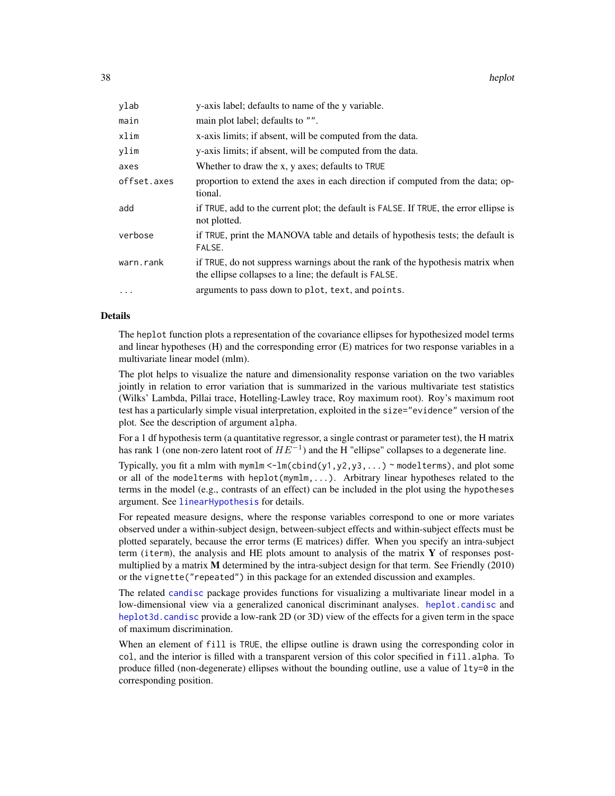| ylab        | y-axis label; defaults to name of the y variable.                                                                                        |
|-------------|------------------------------------------------------------------------------------------------------------------------------------------|
| main        | main plot label; defaults to "".                                                                                                         |
| xlim        | x-axis limits; if absent, will be computed from the data.                                                                                |
| ylim        | y-axis limits; if absent, will be computed from the data.                                                                                |
| axes        | Whether to draw the x, y axes; defaults to TRUE                                                                                          |
| offset.axes | proportion to extend the axes in each direction if computed from the data; op-<br>tional.                                                |
| add         | if TRUE, add to the current plot; the default is FALSE. If TRUE, the error ellipse is<br>not plotted.                                    |
| verbose     | if TRUE, print the MANOVA table and details of hypothesis tests; the default is<br>FALSE.                                                |
| warn.rank   | if TRUE, do not suppress warnings about the rank of the hypothesis matrix when<br>the ellipse collapses to a line; the default is FALSE. |
| $\cdots$    | arguments to pass down to plot, text, and points.                                                                                        |

# Details

The heplot function plots a representation of the covariance ellipses for hypothesized model terms and linear hypotheses (H) and the corresponding error (E) matrices for two response variables in a multivariate linear model (mlm).

The plot helps to visualize the nature and dimensionality response variation on the two variables jointly in relation to error variation that is summarized in the various multivariate test statistics (Wilks' Lambda, Pillai trace, Hotelling-Lawley trace, Roy maximum root). Roy's maximum root test has a particularly simple visual interpretation, exploited in the size="evidence" version of the plot. See the description of argument alpha.

For a 1 df hypothesis term (a quantitative regressor, a single contrast or parameter test), the H matrix has rank 1 (one non-zero latent root of  $HE^{-1}$ ) and the H "ellipse" collapses to a degenerate line.

Typically, you fit a mlm with mymlm  $\leq -\ln(\text{cbind}(y1,y2,y3,...))$   $\sim$  modelterms), and plot some or all of the modelterms with heplot(mymlm,...). Arbitrary linear hypotheses related to the terms in the model (e.g., contrasts of an effect) can be included in the plot using the hypotheses argument. See [linearHypothesis](#page-0-0) for details.

For repeated measure designs, where the response variables correspond to one or more variates observed under a within-subject design, between-subject effects and within-subject effects must be plotted separately, because the error terms (E matrices) differ. When you specify an intra-subject term (iterm), the analysis and HE plots amount to analysis of the matrix  $\bf{Y}$  of responses postmultiplied by a matrix M determined by the intra-subject design for that term. See Friendly (2010) or the vignette("repeated") in this package for an extended discussion and examples.

The related [candisc](#page-0-0) package provides functions for visualizing a multivariate linear model in a low-dimensional view via a generalized canonical discriminant analyses. [heplot.candisc](#page-0-0) and [heplot3d.candisc](#page-0-0) provide a low-rank 2D (or 3D) view of the effects for a given term in the space of maximum discrimination.

When an element of fill is TRUE, the ellipse outline is drawn using the corresponding color in col, and the interior is filled with a transparent version of this color specified in fill.alpha. To produce filled (non-degenerate) ellipses without the bounding outline, use a value of lty=0 in the corresponding position.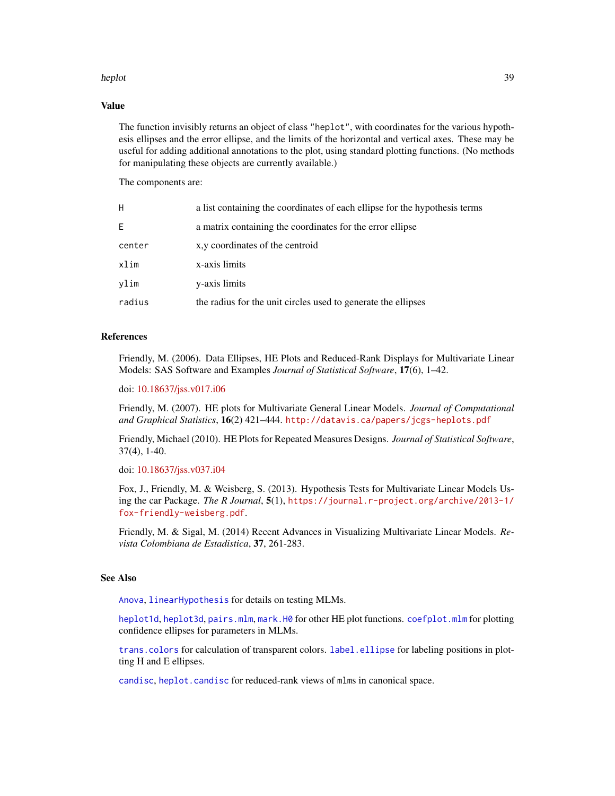#### heplot 39

#### Value

The function invisibly returns an object of class "heplot", with coordinates for the various hypothesis ellipses and the error ellipse, and the limits of the horizontal and vertical axes. These may be useful for adding additional annotations to the plot, using standard plotting functions. (No methods for manipulating these objects are currently available.)

The components are:

| H      | a list containing the coordinates of each ellipse for the hypothesis terms |
|--------|----------------------------------------------------------------------------|
| E.     | a matrix containing the coordinates for the error ellipse                  |
| center | x, y coordinates of the centroid                                           |
| xlim   | x-axis limits                                                              |
| vlim   | y-axis limits                                                              |
| radius | the radius for the unit circles used to generate the ellipses              |

# References

Friendly, M. (2006). Data Ellipses, HE Plots and Reduced-Rank Displays for Multivariate Linear Models: SAS Software and Examples *Journal of Statistical Software*, 17(6), 1–42.

doi: [10.18637/jss.v017.i06](https://doi.org/10.18637/jss.v017.i06)

Friendly, M. (2007). HE plots for Multivariate General Linear Models. *Journal of Computational and Graphical Statistics*, 16(2) 421–444. <http://datavis.ca/papers/jcgs-heplots.pdf>

Friendly, Michael (2010). HE Plots for Repeated Measures Designs. *Journal of Statistical Software*, 37(4), 1-40.

doi: [10.18637/jss.v037.i04](https://doi.org/10.18637/jss.v037.i04)

Fox, J., Friendly, M. & Weisberg, S. (2013). Hypothesis Tests for Multivariate Linear Models Using the car Package. *The R Journal*, 5(1), [https://journal.r-project.org/archive/2013-1/](https://journal.r-project.org/archive/2013-1/fox-friendly-weisberg.pdf) [fox-friendly-weisberg.pdf](https://journal.r-project.org/archive/2013-1/fox-friendly-weisberg.pdf).

Friendly, M. & Sigal, M. (2014) Recent Advances in Visualizing Multivariate Linear Models. *Revista Colombiana de Estadistica*, 37, 261-283.

# See Also

[Anova](#page-0-0), [linearHypothesis](#page-0-0) for details on testing MLMs.

[heplot1d](#page-40-0), [heplot3d](#page-43-0), [pairs.mlm](#page-66-0), [mark.H0](#page-58-0) for other HE plot functions. [coefplot.mlm](#page-13-0) for plotting confidence ellipses for parameters in MLMs.

[trans.colors](#page-97-0) for calculation of transparent colors. [label.ellipse](#page-52-0) for labeling positions in plotting H and E ellipses.

[candisc](#page-0-0), [heplot.candisc](#page-0-0) for reduced-rank views of mlms in canonical space.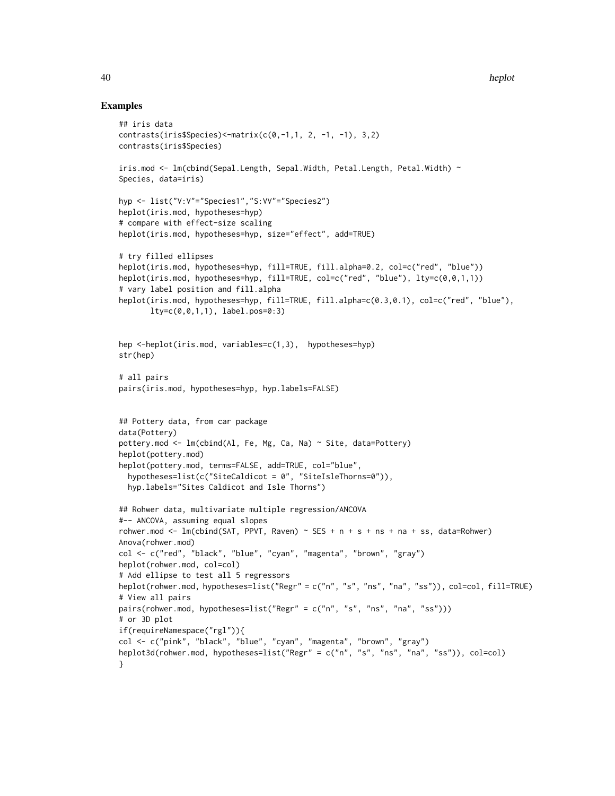```
## iris data
contrasts(iris$Species)<-matrix(c(0,-1,1, 2, -1, -1), 3,2)
contrasts(iris$Species)
iris.mod <- lm(cbind(Sepal.Length, Sepal.Width, Petal.Length, Petal.Width) ~
Species, data=iris)
hyp <- list("V:V"="Species1","S:VV"="Species2")
heplot(iris.mod, hypotheses=hyp)
# compare with effect-size scaling
heplot(iris.mod, hypotheses=hyp, size="effect", add=TRUE)
# try filled ellipses
heplot(iris.mod, hypotheses=hyp, fill=TRUE, fill.alpha=0.2, col=c("red", "blue"))
heplot(iris.mod, hypotheses=hyp, fill=TRUE, col=c("red", "blue"), lty=c(0,0,1,1))
# vary label position and fill.alpha
heplot(iris.mod, hypotheses=hyp, fill=TRUE, fill.alpha=c(0.3,0.1), col=c("red", "blue"),
       lty=c(0,0,1,1), label.pos=0:3)
hep <-heplot(iris.mod, variables=c(1,3), hypotheses=hyp)
str(hep)
# all pairs
pairs(iris.mod, hypotheses=hyp, hyp.labels=FALSE)
## Pottery data, from car package
data(Pottery)
pottery.mod <- lm(cbind(Al, Fe, Mg, Ca, Na) ~ Site, data=Pottery)
heplot(pottery.mod)
heplot(pottery.mod, terms=FALSE, add=TRUE, col="blue",
  hypotheses=list(c("SiteCaldicot = 0", "SiteIsleThorns=0")),
  hyp.labels="Sites Caldicot and Isle Thorns")
## Rohwer data, multivariate multiple regression/ANCOVA
#-- ANCOVA, assuming equal slopes
rohwer.mod \leq lm(cbind(SAT, PPVT, Raven) \sim SES + n + s + ns + na + ss, data=Rohwer)
Anova(rohwer.mod)
col <- c("red", "black", "blue", "cyan", "magenta", "brown", "gray")
heplot(rohwer.mod, col=col)
# Add ellipse to test all 5 regressors
heplot(rohwer.mod, hypotheses=list("Regr" = c("n", "s", "ns", "na", "ss")), col=col, fill=TRUE)
# View all pairs
pairs(rohwer.mod, hypotheses=list("Regr" = c("n", "s", "ns", "na", "ss")))
# or 3D plot
if(requireNamespace("rgl")){
col <- c("pink", "black", "blue", "cyan", "magenta", "brown", "gray")
heplot3d(rohwer.mod, hypotheses=list("Regr" = c("n", "s", "ns", "na", "ss")), col=col)
}
```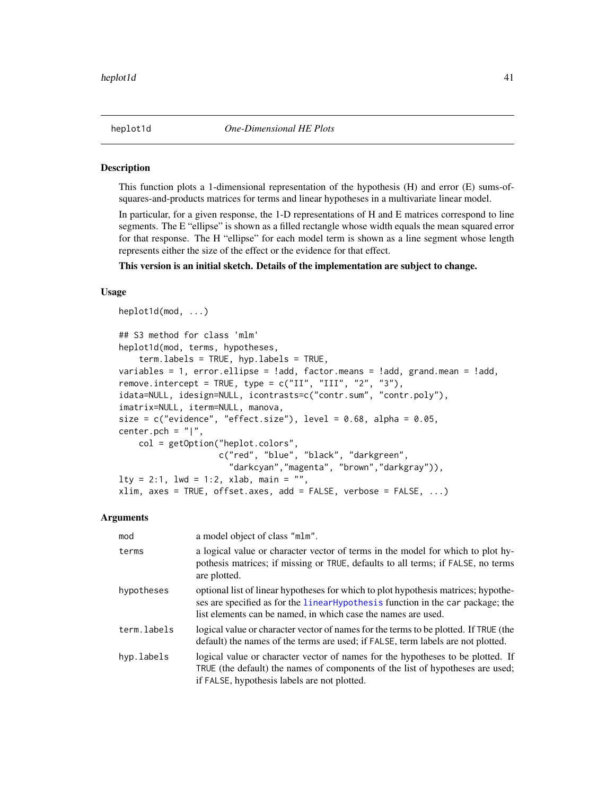<span id="page-40-0"></span>This function plots a 1-dimensional representation of the hypothesis (H) and error (E) sums-ofsquares-and-products matrices for terms and linear hypotheses in a multivariate linear model.

In particular, for a given response, the 1-D representations of H and E matrices correspond to line segments. The E "ellipse" is shown as a filled rectangle whose width equals the mean squared error for that response. The H "ellipse" for each model term is shown as a line segment whose length represents either the size of the effect or the evidence for that effect.

This version is an initial sketch. Details of the implementation are subject to change.

## Usage

```
heplot1d(mod, ...)
## S3 method for class 'mlm'
heplot1d(mod, terms, hypotheses,
    term.labels = TRUE, hyp.labels = TRUE,
variables = 1, error.ellipse = !add, factor.means = !add, grand.mean = !add,
remove.intercept = TRUE, type = c("II", "III", "2", "3"),idata=NULL, idesign=NULL, icontrasts=c("contr.sum", "contr.poly"),
imatrix=NULL, iterm=NULL, manova,
size = c("evidence", "effect.size"), level = 0.68, alpha = 0.05,center.pch = "|",
    col = getOption("heplot.colors",
                    c("red", "blue", "black", "darkgreen",
                      "darkcyan","magenta", "brown","darkgray")),
lty = 2:1, lwd = 1:2, xlab, main = "",
xlim, axes = TRUE, offset.axes, add = FALSE, verbose = FALSE, ...)
```
## Arguments

| mod         | a model object of class "mlm".                                                                                                                                                                                                         |
|-------------|----------------------------------------------------------------------------------------------------------------------------------------------------------------------------------------------------------------------------------------|
| terms       | a logical value or character vector of terms in the model for which to plot hy-<br>pothesis matrices; if missing or TRUE, defaults to all terms; if FALSE, no terms<br>are plotted.                                                    |
| hypotheses  | optional list of linear hypotheses for which to plot hypothesis matrices; hypothe-<br>ses are specified as for the linear Hypothesis function in the car package; the<br>list elements can be named, in which case the names are used. |
| term.labels | logical value or character vector of names for the terms to be plotted. If TRUE (the<br>default) the names of the terms are used; if FALSE, term labels are not plotted.                                                               |
| hyp.labels  | logical value or character vector of names for the hypotheses to be plotted. If<br>TRUE (the default) the names of components of the list of hypotheses are used;<br>if FALSE, hypothesis labels are not plotted.                      |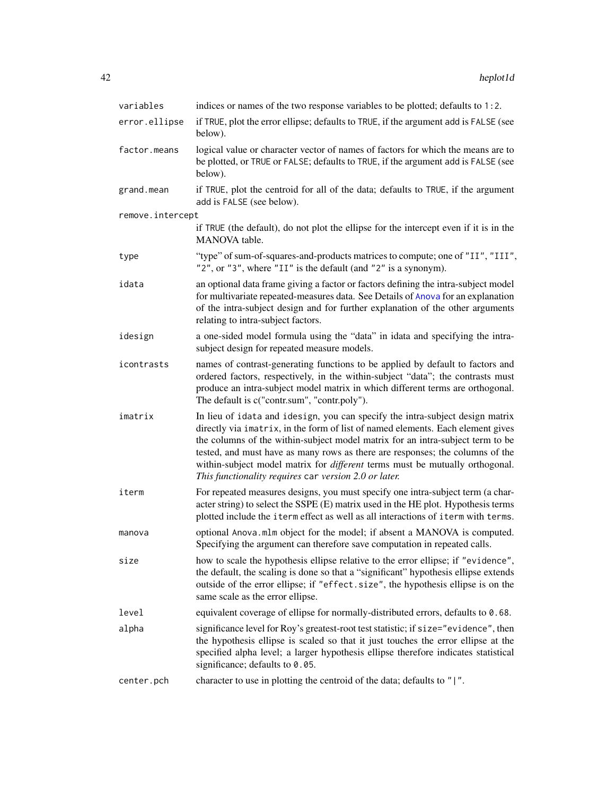| variables        | indices or names of the two response variables to be plotted; defaults to 1:2.                                                                                                                                                                                                                                                                                                                                                                                                      |
|------------------|-------------------------------------------------------------------------------------------------------------------------------------------------------------------------------------------------------------------------------------------------------------------------------------------------------------------------------------------------------------------------------------------------------------------------------------------------------------------------------------|
| error.ellipse    | if TRUE, plot the error ellipse; defaults to TRUE, if the argument add is FALSE (see<br>below).                                                                                                                                                                                                                                                                                                                                                                                     |
| factor.means     | logical value or character vector of names of factors for which the means are to<br>be plotted, or TRUE or FALSE; defaults to TRUE, if the argument add is FALSE (see<br>below).                                                                                                                                                                                                                                                                                                    |
| grand.mean       | if TRUE, plot the centroid for all of the data; defaults to TRUE, if the argument<br>add is FALSE (see below).                                                                                                                                                                                                                                                                                                                                                                      |
| remove.intercept |                                                                                                                                                                                                                                                                                                                                                                                                                                                                                     |
|                  | if TRUE (the default), do not plot the ellipse for the intercept even if it is in the<br>MANOVA table.                                                                                                                                                                                                                                                                                                                                                                              |
| type             | "type" of sum-of-squares-and-products matrices to compute; one of "II", "III",<br>"2", or "3", where "II" is the default (and "2" is a synonym).                                                                                                                                                                                                                                                                                                                                    |
| idata            | an optional data frame giving a factor or factors defining the intra-subject model<br>for multivariate repeated-measures data. See Details of Anova for an explanation<br>of the intra-subject design and for further explanation of the other arguments<br>relating to intra-subject factors.                                                                                                                                                                                      |
| idesign          | a one-sided model formula using the "data" in idata and specifying the intra-<br>subject design for repeated measure models.                                                                                                                                                                                                                                                                                                                                                        |
| icontrasts       | names of contrast-generating functions to be applied by default to factors and<br>ordered factors, respectively, in the within-subject "data"; the contrasts must<br>produce an intra-subject model matrix in which different terms are orthogonal.<br>The default is c("contr.sum", "contr.poly").                                                                                                                                                                                 |
| imatrix          | In lieu of idata and idesign, you can specify the intra-subject design matrix<br>directly via imatrix, in the form of list of named elements. Each element gives<br>the columns of the within-subject model matrix for an intra-subject term to be<br>tested, and must have as many rows as there are responses; the columns of the<br>within-subject model matrix for <i>different</i> terms must be mutually orthogonal.<br>This functionality requires car version 2.0 or later. |
| iterm            | For repeated measures designs, you must specify one intra-subject term (a char-<br>acter string) to select the SSPE (E) matrix used in the HE plot. Hypothesis terms<br>plotted include the iterm effect as well as all interactions of iterm with terms.                                                                                                                                                                                                                           |
| manova           | optional Anova.mlm object for the model; if absent a MANOVA is computed.<br>Specifying the argument can therefore save computation in repeated calls.                                                                                                                                                                                                                                                                                                                               |
| size             | how to scale the hypothesis ellipse relative to the error ellipse; if "evidence",<br>the default, the scaling is done so that a "significant" hypothesis ellipse extends<br>outside of the error ellipse; if "effect.size", the hypothesis ellipse is on the<br>same scale as the error ellipse.                                                                                                                                                                                    |
| level            | equivalent coverage of ellipse for normally-distributed errors, defaults to 0.68.                                                                                                                                                                                                                                                                                                                                                                                                   |
| alpha            | significance level for Roy's greatest-root test statistic; if size="evidence", then<br>the hypothesis ellipse is scaled so that it just touches the error ellipse at the<br>specified alpha level; a larger hypothesis ellipse therefore indicates statistical<br>significance; defaults to 0.05.                                                                                                                                                                                   |
| center.pch       | character to use in plotting the centroid of the data; defaults to " ".                                                                                                                                                                                                                                                                                                                                                                                                             |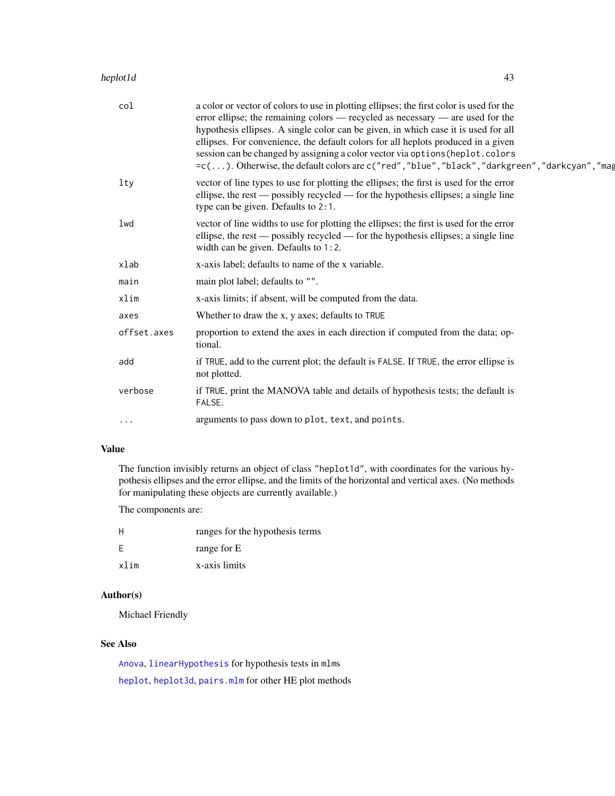# heplot1d 43

| col         | a color or vector of colors to use in plotting ellipses; the first color is used for the<br>error ellipse; the remaining colors — recycled as necessary — are used for the<br>hypothesis ellipses. A single color can be given, in which case it is used for all<br>ellipses. For convenience, the default colors for all heplots produced in a given<br>session can be changed by assigning a color vector via options (heplot.colors<br>=c(). Otherwise, the default colors are c("red", "blue", "black", "darkgreen", "darkcyan", "mag |
|-------------|-------------------------------------------------------------------------------------------------------------------------------------------------------------------------------------------------------------------------------------------------------------------------------------------------------------------------------------------------------------------------------------------------------------------------------------------------------------------------------------------------------------------------------------------|
| $1$ ty      | vector of line types to use for plotting the ellipses; the first is used for the error<br>ellipse, the rest — possibly recycled — for the hypothesis ellipses; a single line<br>type can be given. Defaults to 2:1.                                                                                                                                                                                                                                                                                                                       |
| lwd         | vector of line widths to use for plotting the ellipses; the first is used for the error<br>ellipse, the rest — possibly recycled — for the hypothesis ellipses; a single line<br>width can be given. Defaults to 1:2.                                                                                                                                                                                                                                                                                                                     |
| xlab        | x-axis label; defaults to name of the x variable.                                                                                                                                                                                                                                                                                                                                                                                                                                                                                         |
| main        | main plot label; defaults to "".                                                                                                                                                                                                                                                                                                                                                                                                                                                                                                          |
| xlim        | x-axis limits; if absent, will be computed from the data.                                                                                                                                                                                                                                                                                                                                                                                                                                                                                 |
| axes        | Whether to draw the x, y axes; defaults to TRUE                                                                                                                                                                                                                                                                                                                                                                                                                                                                                           |
| offset.axes | proportion to extend the axes in each direction if computed from the data; op-<br>tional.                                                                                                                                                                                                                                                                                                                                                                                                                                                 |
| add         | if TRUE, add to the current plot; the default is FALSE. If TRUE, the error ellipse is<br>not plotted.                                                                                                                                                                                                                                                                                                                                                                                                                                     |
| verbose     | if TRUE, print the MANOVA table and details of hypothesis tests; the default is<br>FALSE.                                                                                                                                                                                                                                                                                                                                                                                                                                                 |
| $\cdots$    | arguments to pass down to plot, text, and points.                                                                                                                                                                                                                                                                                                                                                                                                                                                                                         |

# Value

The function invisibly returns an object of class "heplot1d", with coordinates for the various hypothesis ellipses and the error ellipse, and the limits of the horizontal and vertical axes. (No methods for manipulating these objects are currently available.)

The components are:

| H    | ranges for the hypothesis terms |
|------|---------------------------------|
| -F   | range for E                     |
| xlim | x-axis limits                   |

# Author(s)

Michael Friendly

# See Also

[Anova](#page-0-0), [linearHypothesis](#page-0-0) for hypothesis tests in mlms [heplot](#page-34-0), [heplot3d](#page-43-0), [pairs.mlm](#page-66-0) for other HE plot methods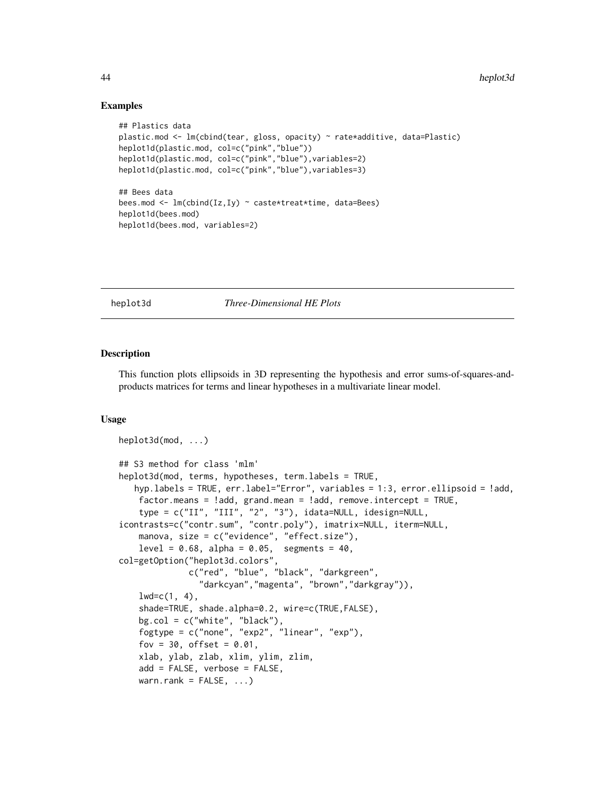# Examples

```
## Plastics data
plastic.mod <- lm(cbind(tear, gloss, opacity) ~ rate*additive, data=Plastic)
heplot1d(plastic.mod, col=c("pink","blue"))
heplot1d(plastic.mod, col=c("pink","blue"),variables=2)
heplot1d(plastic.mod, col=c("pink","blue"),variables=3)
## Bees data
bees.mod <- lm(cbind(Iz,Iy) ~ caste*treat*time, data=Bees)
heplot1d(bees.mod)
heplot1d(bees.mod, variables=2)
```
# <span id="page-43-0"></span>heplot3d *Three-Dimensional HE Plots*

#### Description

This function plots ellipsoids in 3D representing the hypothesis and error sums-of-squares-andproducts matrices for terms and linear hypotheses in a multivariate linear model.

## Usage

```
heplot3d(mod, ...)
## S3 method for class 'mlm'
heplot3d(mod, terms, hypotheses, term.labels = TRUE,
   hyp.labels = TRUE, err.label="Error", variables = 1:3, error.ellipsoid = !add,
    factor.means = !add, grand.mean = !add, remove.intercept = TRUE,
    type = c("II", "III", "2", "3"), idata=NULL, idesign=NULL,
icontrasts=c("contr.sum", "contr.poly"), imatrix=NULL, iterm=NULL,
    manova, size = c("evidence", "effect.size"),
    level = 0.68, alpha = 0.05, segments = 40,
col=getOption("heplot3d.colors",
              c("red", "blue", "black", "darkgreen",
                "darkcyan","magenta", "brown","darkgray")),
    lwd=c(1, 4),shade=TRUE, shade.alpha=0.2, wire=c(TRUE,FALSE),
    bg.col = c("white", "black"),
    fogtype = c("none", "exp2", "linear", "exp"),
    fov = 30, offset = 0.01,
    xlab, ylab, zlab, xlim, ylim, zlim,
    add = FALSE, verbose = FALSE,
    warn.rank = FALSE, \dots)
```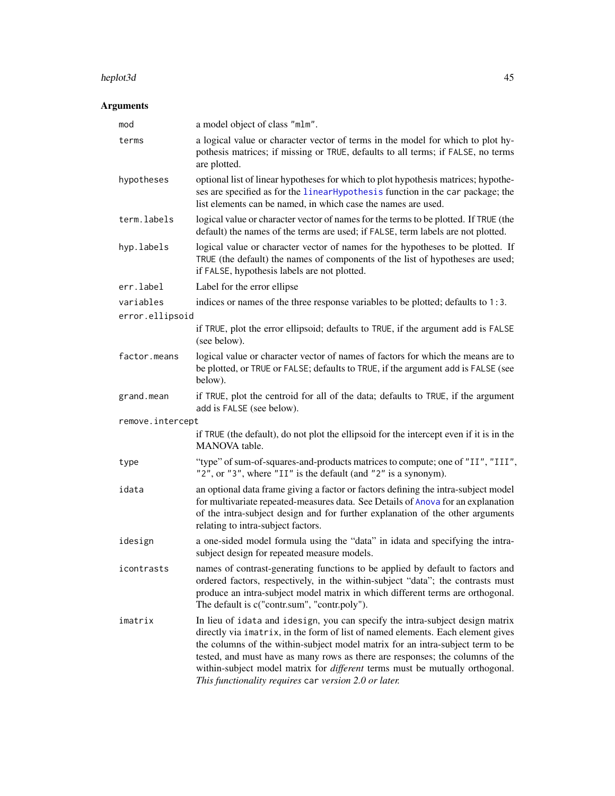#### heplot3d 45

# Arguments

| mod                          | a model object of class "mlm".                                                                                                                                                                                                                                                                                                                                                                                                                                                      |
|------------------------------|-------------------------------------------------------------------------------------------------------------------------------------------------------------------------------------------------------------------------------------------------------------------------------------------------------------------------------------------------------------------------------------------------------------------------------------------------------------------------------------|
| terms                        | a logical value or character vector of terms in the model for which to plot hy-<br>pothesis matrices; if missing or TRUE, defaults to all terms; if FALSE, no terms<br>are plotted.                                                                                                                                                                                                                                                                                                 |
| hypotheses                   | optional list of linear hypotheses for which to plot hypothesis matrices; hypothe-<br>ses are specified as for the linear Hypothesis function in the car package; the<br>list elements can be named, in which case the names are used.                                                                                                                                                                                                                                              |
| term.labels                  | logical value or character vector of names for the terms to be plotted. If TRUE (the<br>default) the names of the terms are used; if FALSE, term labels are not plotted.                                                                                                                                                                                                                                                                                                            |
| hyp.labels                   | logical value or character vector of names for the hypotheses to be plotted. If<br>TRUE (the default) the names of components of the list of hypotheses are used;<br>if FALSE, hypothesis labels are not plotted.                                                                                                                                                                                                                                                                   |
| err.label                    | Label for the error ellipse                                                                                                                                                                                                                                                                                                                                                                                                                                                         |
| variables<br>error.ellipsoid | indices or names of the three response variables to be plotted; defaults to 1:3.                                                                                                                                                                                                                                                                                                                                                                                                    |
|                              | if TRUE, plot the error ellipsoid; defaults to TRUE, if the argument add is FALSE<br>(see below).                                                                                                                                                                                                                                                                                                                                                                                   |
| factor.means                 | logical value or character vector of names of factors for which the means are to<br>be plotted, or TRUE or FALSE; defaults to TRUE, if the argument add is FALSE (see<br>below).                                                                                                                                                                                                                                                                                                    |
| grand.mean                   | if TRUE, plot the centroid for all of the data; defaults to TRUE, if the argument<br>add is FALSE (see below).                                                                                                                                                                                                                                                                                                                                                                      |
| remove.intercept             |                                                                                                                                                                                                                                                                                                                                                                                                                                                                                     |
|                              | if TRUE (the default), do not plot the ellipsoid for the intercept even if it is in the<br>MANOVA table.                                                                                                                                                                                                                                                                                                                                                                            |
| type                         | "type" of sum-of-squares-and-products matrices to compute; one of "II", "III",<br>"2", or "3", where "II" is the default (and "2" is a synonym).                                                                                                                                                                                                                                                                                                                                    |
| idata                        | an optional data frame giving a factor or factors defining the intra-subject model<br>for multivariate repeated-measures data. See Details of Anova for an explanation<br>of the intra-subject design and for further explanation of the other arguments<br>relating to intra-subject factors.                                                                                                                                                                                      |
| idesign                      | a one-sided model formula using the "data" in idata and specifying the intra-<br>subject design for repeated measure models.                                                                                                                                                                                                                                                                                                                                                        |
| icontrasts                   | names of contrast-generating functions to be applied by default to factors and<br>ordered factors, respectively, in the within-subject "data"; the contrasts must<br>produce an intra-subject model matrix in which different terms are orthogonal.<br>The default is c("contr.sum", "contr.poly").                                                                                                                                                                                 |
| imatrix                      | In lieu of idata and idesign, you can specify the intra-subject design matrix<br>directly via imatrix, in the form of list of named elements. Each element gives<br>the columns of the within-subject model matrix for an intra-subject term to be<br>tested, and must have as many rows as there are responses; the columns of the<br>within-subject model matrix for <i>different</i> terms must be mutually orthogonal.<br>This functionality requires car version 2.0 or later. |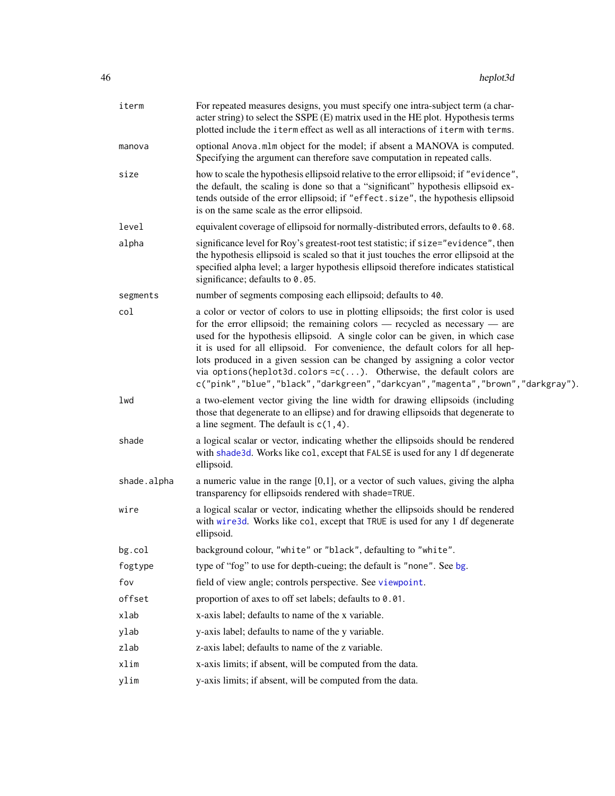| iterm       | For repeated measures designs, you must specify one intra-subject term (a char-<br>acter string) to select the SSPE (E) matrix used in the HE plot. Hypothesis terms<br>plotted include the iterm effect as well as all interactions of iterm with terms.                                                                                                                                                                                                                                                                                                                                 |
|-------------|-------------------------------------------------------------------------------------------------------------------------------------------------------------------------------------------------------------------------------------------------------------------------------------------------------------------------------------------------------------------------------------------------------------------------------------------------------------------------------------------------------------------------------------------------------------------------------------------|
| manova      | optional Anova.mlm object for the model; if absent a MANOVA is computed.<br>Specifying the argument can therefore save computation in repeated calls.                                                                                                                                                                                                                                                                                                                                                                                                                                     |
| size        | how to scale the hypothesis ellipsoid relative to the error ellipsoid; if "evidence",<br>the default, the scaling is done so that a "significant" hypothesis ellipsoid ex-<br>tends outside of the error ellipsoid; if "effect.size", the hypothesis ellipsoid<br>is on the same scale as the error ellipsoid.                                                                                                                                                                                                                                                                            |
| level       | equivalent coverage of ellipsoid for normally-distributed errors, defaults to 0.68.                                                                                                                                                                                                                                                                                                                                                                                                                                                                                                       |
| alpha       | significance level for Roy's greatest-root test statistic; if size="evidence", then<br>the hypothesis ellipsoid is scaled so that it just touches the error ellipsoid at the<br>specified alpha level; a larger hypothesis ellipsoid therefore indicates statistical<br>significance; defaults to 0.05.                                                                                                                                                                                                                                                                                   |
| segments    | number of segments composing each ellipsoid; defaults to 40.                                                                                                                                                                                                                                                                                                                                                                                                                                                                                                                              |
| col         | a color or vector of colors to use in plotting ellipsoids; the first color is used<br>for the error ellipsoid; the remaining colors $-$ recycled as necessary $-$ are<br>used for the hypothesis ellipsoid. A single color can be given, in which case<br>it is used for all ellipsoid. For convenience, the default colors for all hep-<br>lots produced in a given session can be changed by assigning a color vector<br>via options (heplot3d.colors= $c(\ldots)$ . Otherwise, the default colors are<br>c("pink","blue","black","darkgreen","darkcyan","magenta","brown","darkgray"). |
| lwd         | a two-element vector giving the line width for drawing ellipsoids (including<br>those that degenerate to an ellipse) and for drawing ellipsoids that degenerate to<br>a line segment. The default is $c(1, 4)$ .                                                                                                                                                                                                                                                                                                                                                                          |
| shade       | a logical scalar or vector, indicating whether the ellipsoids should be rendered<br>with shade3d. Works like co1, except that FALSE is used for any 1 df degenerate<br>ellipsoid.                                                                                                                                                                                                                                                                                                                                                                                                         |
| shade.alpha | a numeric value in the range $[0,1]$ , or a vector of such values, giving the alpha<br>transparency for ellipsoids rendered with shade=TRUE.                                                                                                                                                                                                                                                                                                                                                                                                                                              |
| wire        | a logical scalar or vector, indicating whether the ellipsoids should be rendered<br>with wire3d. Works like col, except that TRUE is used for any 1 df degenerate<br>ellipsoid.                                                                                                                                                                                                                                                                                                                                                                                                           |
| $bg$ .col   | background colour, "white" or "black", defaulting to "white".                                                                                                                                                                                                                                                                                                                                                                                                                                                                                                                             |
| fogtype     | type of "fog" to use for depth-cueing; the default is "none". See bg.                                                                                                                                                                                                                                                                                                                                                                                                                                                                                                                     |
| fov         | field of view angle; controls perspective. See viewpoint.                                                                                                                                                                                                                                                                                                                                                                                                                                                                                                                                 |
| offset      | proportion of axes to off set labels; defaults to 0.01.                                                                                                                                                                                                                                                                                                                                                                                                                                                                                                                                   |
| xlab        | x-axis label; defaults to name of the x variable.                                                                                                                                                                                                                                                                                                                                                                                                                                                                                                                                         |
| ylab        | y-axis label; defaults to name of the y variable.                                                                                                                                                                                                                                                                                                                                                                                                                                                                                                                                         |
| zlab        | z-axis label; defaults to name of the z variable.                                                                                                                                                                                                                                                                                                                                                                                                                                                                                                                                         |
| xlim        | x-axis limits; if absent, will be computed from the data.                                                                                                                                                                                                                                                                                                                                                                                                                                                                                                                                 |
| ylim        | y-axis limits; if absent, will be computed from the data.                                                                                                                                                                                                                                                                                                                                                                                                                                                                                                                                 |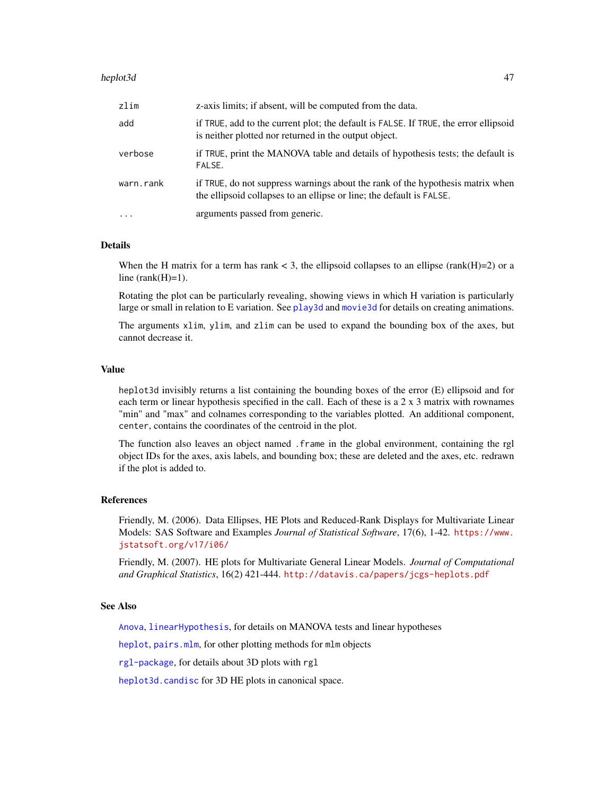#### heplot3d 47

| zlim      | z-axis limits; if absent, will be computed from the data.                                                                                              |
|-----------|--------------------------------------------------------------------------------------------------------------------------------------------------------|
| add       | if TRUE, add to the current plot; the default is FALSE. If TRUE, the error ellipsoid<br>is neither plotted nor returned in the output object.          |
| verbose   | if TRUE, print the MANOVA table and details of hypothesis tests; the default is<br>FALSE.                                                              |
| warn.rank | if TRUE, do not suppress warnings about the rank of the hypothesis matrix when<br>the ellipsoid collapses to an ellipse or line; the default is FALSE. |
| $\cdot$   | arguments passed from generic.                                                                                                                         |

# Details

When the H matrix for a term has rank  $<$  3, the ellipsoid collapses to an ellipse (rank(H)=2) or a line  $(rank(H)=1)$ .

Rotating the plot can be particularly revealing, showing views in which H variation is particularly large or small in relation to E variation. See [play3d](#page-0-0) and [movie3d](#page-0-0) for details on creating animations.

The arguments xlim, ylim, and zlim can be used to expand the bounding box of the axes, but cannot decrease it.

#### Value

heplot3d invisibly returns a list containing the bounding boxes of the error (E) ellipsoid and for each term or linear hypothesis specified in the call. Each of these is a 2 x 3 matrix with rownames "min" and "max" and colnames corresponding to the variables plotted. An additional component, center, contains the coordinates of the centroid in the plot.

The function also leaves an object named .frame in the global environment, containing the rgl object IDs for the axes, axis labels, and bounding box; these are deleted and the axes, etc. redrawn if the plot is added to.

## References

Friendly, M. (2006). Data Ellipses, HE Plots and Reduced-Rank Displays for Multivariate Linear Models: SAS Software and Examples *Journal of Statistical Software*, 17(6), 1-42. [https://www.](https://www.jstatsoft.org/v17/i06/) [jstatsoft.org/v17/i06/](https://www.jstatsoft.org/v17/i06/)

Friendly, M. (2007). HE plots for Multivariate General Linear Models. *Journal of Computational and Graphical Statistics*, 16(2) 421-444. <http://datavis.ca/papers/jcgs-heplots.pdf>

## See Also

[Anova](#page-0-0), [linearHypothesis](#page-0-0), for details on MANOVA tests and linear hypotheses

[heplot](#page-34-0), [pairs.mlm](#page-66-0), for other plotting methods for mlm objects

[rgl-package](#page-0-0), for details about 3D plots with rgl

[heplot3d.candisc](#page-0-0) for 3D HE plots in canonical space.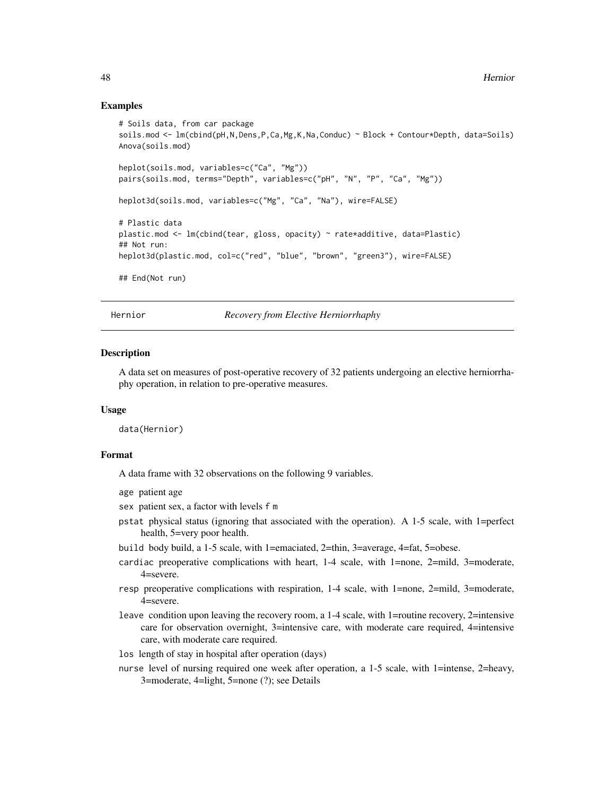## Examples

```
# Soils data, from car package
soils.mod <- lm(cbind(pH,N,Dens,P,Ca,Mg,K,Na,Conduc) ~ Block + Contour*Depth, data=Soils)
Anova(soils.mod)
heplot(soils.mod, variables=c("Ca", "Mg"))
pairs(soils.mod, terms="Depth", variables=c("pH", "N", "P", "Ca", "Mg"))
heplot3d(soils.mod, variables=c("Mg", "Ca", "Na"), wire=FALSE)
# Plastic data
plastic.mod <- lm(cbind(tear, gloss, opacity) ~ rate*additive, data=Plastic)
## Not run:
heplot3d(plastic.mod, col=c("red", "blue", "brown", "green3"), wire=FALSE)
## End(Not run)
```
Hernior *Recovery from Elective Herniorrhaphy*

## Description

A data set on measures of post-operative recovery of 32 patients undergoing an elective herniorrhaphy operation, in relation to pre-operative measures.

# Usage

data(Hernior)

# Format

A data frame with 32 observations on the following 9 variables.

```
age patient age
```
sex patient sex, a factor with levels f m

- pstat physical status (ignoring that associated with the operation). A 1-5 scale, with 1=perfect health, 5=very poor health.
- build body build, a 1-5 scale, with 1=emaciated, 2=thin, 3=average, 4=fat, 5=obese.
- cardiac preoperative complications with heart, 1-4 scale, with 1=none, 2=mild, 3=moderate, 4=severe.
- resp preoperative complications with respiration, 1-4 scale, with 1=none, 2=mild, 3=moderate, 4=severe.
- leave condition upon leaving the recovery room, a 1-4 scale, with 1=routine recovery, 2=intensive care for observation overnight, 3=intensive care, with moderate care required, 4=intensive care, with moderate care required.
- los length of stay in hospital after operation (days)
- nurse level of nursing required one week after operation, a 1-5 scale, with 1=intense, 2=heavy, 3=moderate, 4=light, 5=none (?); see Details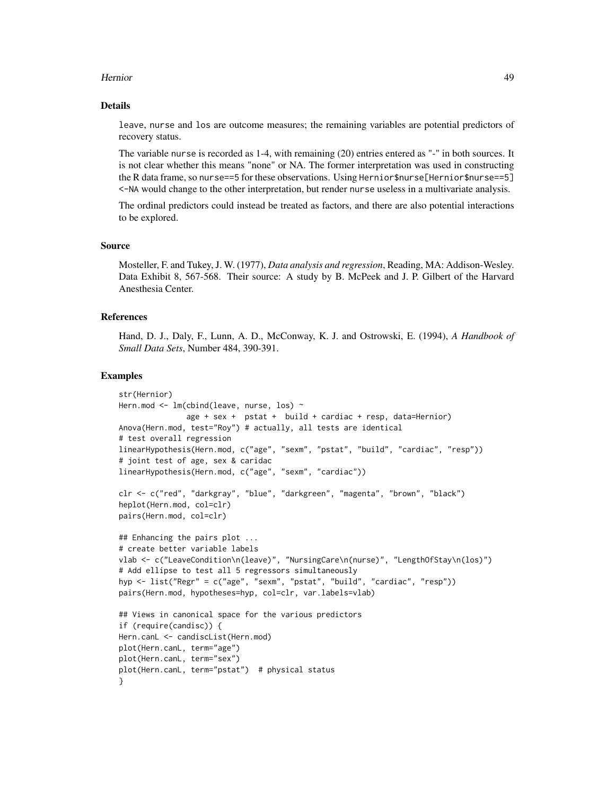#### Hernior 49

#### Details

leave, nurse and los are outcome measures; the remaining variables are potential predictors of recovery status.

The variable nurse is recorded as 1-4, with remaining (20) entries entered as "-" in both sources. It is not clear whether this means "none" or NA. The former interpretation was used in constructing the R data frame, so nurse==5 for these observations. Using Hernior\$nurse[Hernior\$nurse==5] <-NA would change to the other interpretation, but render nurse useless in a multivariate analysis.

The ordinal predictors could instead be treated as factors, and there are also potential interactions to be explored.

#### Source

Mosteller, F. and Tukey, J. W. (1977), *Data analysis and regression*, Reading, MA: Addison-Wesley. Data Exhibit 8, 567-568. Their source: A study by B. McPeek and J. P. Gilbert of the Harvard Anesthesia Center.

## References

Hand, D. J., Daly, F., Lunn, A. D., McConway, K. J. and Ostrowski, E. (1994), *A Handbook of Small Data Sets*, Number 484, 390-391.

```
str(Hernior)
Hern.mod <- lm(cbind(leave, nurse, los) ~
               age + sex + pstat + build + cardiac + resp, data=Hernior)
Anova(Hern.mod, test="Roy") # actually, all tests are identical
# test overall regression
linearHypothesis(Hern.mod, c("age", "sexm", "pstat", "build", "cardiac", "resp"))
# joint test of age, sex & caridac
linearHypothesis(Hern.mod, c("age", "sexm", "cardiac"))
clr <- c("red", "darkgray", "blue", "darkgreen", "magenta", "brown", "black")
heplot(Hern.mod, col=clr)
pairs(Hern.mod, col=clr)
## Enhancing the pairs plot ...
# create better variable labels
vlab <- c("LeaveCondition\n(leave)", "NursingCare\n(nurse)", "LengthOfStay\n(los)")
# Add ellipse to test all 5 regressors simultaneously
hyp <- list("Regr" = c("age", "sexm", "pstat", "build", "cardiac", "resp"))
pairs(Hern.mod, hypotheses=hyp, col=clr, var.labels=vlab)
## Views in canonical space for the various predictors
if (require(candisc)) {
Hern.canL <- candiscList(Hern.mod)
plot(Hern.canL, term="age")
plot(Hern.canL, term="sex")
plot(Hern.canL, term="pstat") # physical status
}
```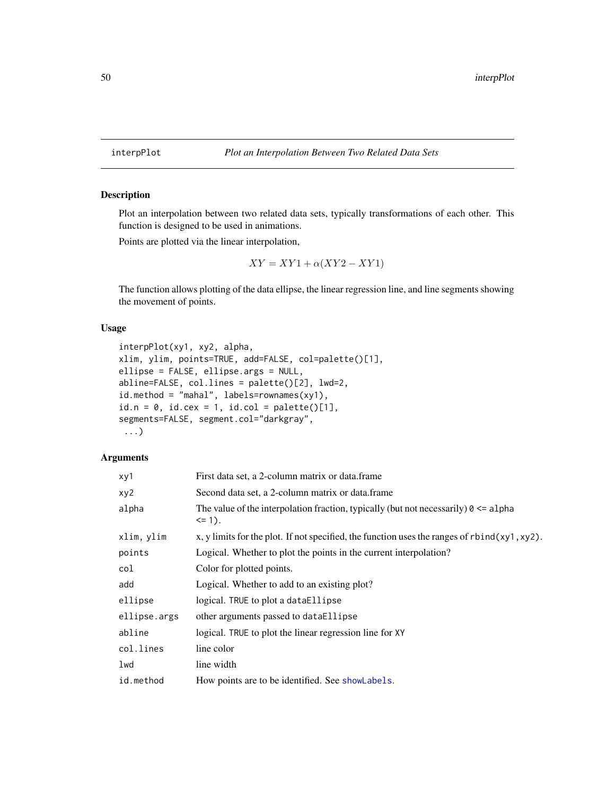Plot an interpolation between two related data sets, typically transformations of each other. This function is designed to be used in animations.

Points are plotted via the linear interpolation,

$$
XY = XY1 + \alpha (XY2 - XY1)
$$

The function allows plotting of the data ellipse, the linear regression line, and line segments showing the movement of points.

# Usage

```
interpPlot(xy1, xy2, alpha,
xlim, ylim, points=TRUE, add=FALSE, col=palette()[1],
ellipse = FALSE, ellipse.args = NULL,
abline=FALSE, col.lines = palette()[2], lwd=2,
id.method = "mahal", labels=rownames(xy1),
id.n = 0, id.cex = 1, id.col = palette()[1],segments=FALSE, segment.col="darkgray",
 ...)
```
## Arguments

| xy1          | First data set, a 2-column matrix or data.frame                                                                   |
|--------------|-------------------------------------------------------------------------------------------------------------------|
| xy2          | Second data set, a 2-column matrix or data.frame                                                                  |
| alpha        | The value of the interpolation fraction, typically (but not necessarily) $\theta \leq \alpha$ alpha<br>$\leq$ 1). |
| xlim, ylim   | x, y limits for the plot. If not specified, the function uses the ranges of $rbind(xy1, xy2)$ .                   |
| points       | Logical. Whether to plot the points in the current interpolation?                                                 |
| col          | Color for plotted points.                                                                                         |
| add          | Logical. Whether to add to an existing plot?                                                                      |
| ellipse      | logical. TRUE to plot a dataEllipse                                                                               |
| ellipse.args | other arguments passed to dataEllipse                                                                             |
| abline       | logical. TRUE to plot the linear regression line for XY                                                           |
| col.lines    | line color                                                                                                        |
| lwd          | line width                                                                                                        |
| id.method    | How points are to be identified. See showLabels.                                                                  |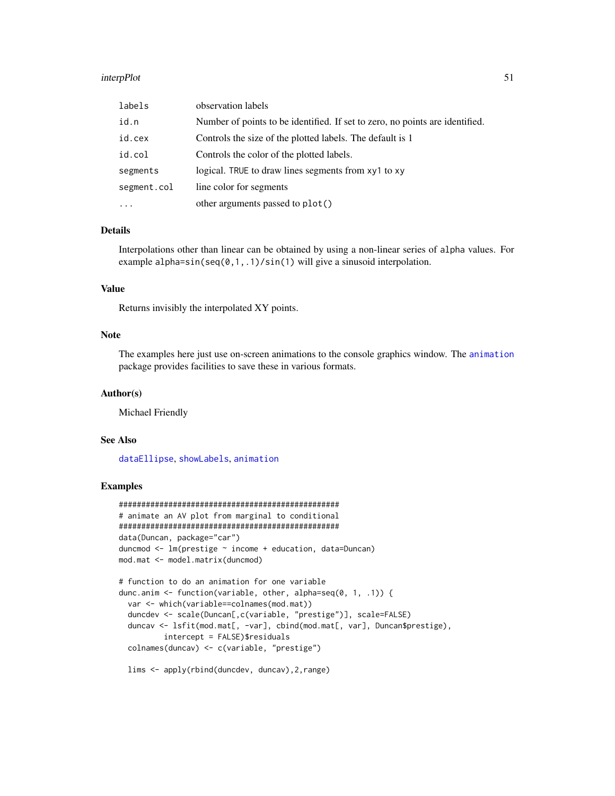#### interpPlot 51

| labels      | observation labels                                                           |
|-------------|------------------------------------------------------------------------------|
| id.n        | Number of points to be identified. If set to zero, no points are identified. |
| id.cex      | Controls the size of the plotted labels. The default is 1                    |
| id.col      | Controls the color of the plotted labels.                                    |
| segments    | logical. TRUE to draw lines segments from xy1 to xy                          |
| segment.col | line color for segments                                                      |
| $\ddotsc$   | other arguments passed to plot()                                             |

# Details

Interpolations other than linear can be obtained by using a non-linear series of alpha values. For example alpha=sin(seq( $0,1,1$ )/sin(1) will give a sinusoid interpolation.

## Value

Returns invisibly the interpolated XY points.

#### Note

The examples here just use on-screen animations to the console graphics window. The [animation](#page-0-0) package provides facilities to save these in various formats.

# Author(s)

Michael Friendly

#### See Also

[dataEllipse](#page-0-0), [showLabels](#page-0-0), [animation](#page-0-0)

# Examples

```
#################################################
# animate an AV plot from marginal to conditional
#################################################
data(Duncan, package="car")
duncmod <- lm(prestige ~ income + education, data=Duncan)
mod.mat <- model.matrix(duncmod)
# function to do an animation for one variable
dunc.anim <- function(variable, other, alpha=seq(0, 1, .1)) {
 var <- which(variable==colnames(mod.mat))
 duncdev <- scale(Duncan[,c(variable, "prestige")], scale=FALSE)
 duncav <- lsfit(mod.mat[, -var], cbind(mod.mat[, var], Duncan$prestige),
         intercept = FALSE)$residuals
 colnames(duncav) <- c(variable, "prestige")
```
lims <- apply(rbind(duncdev, duncav),2,range)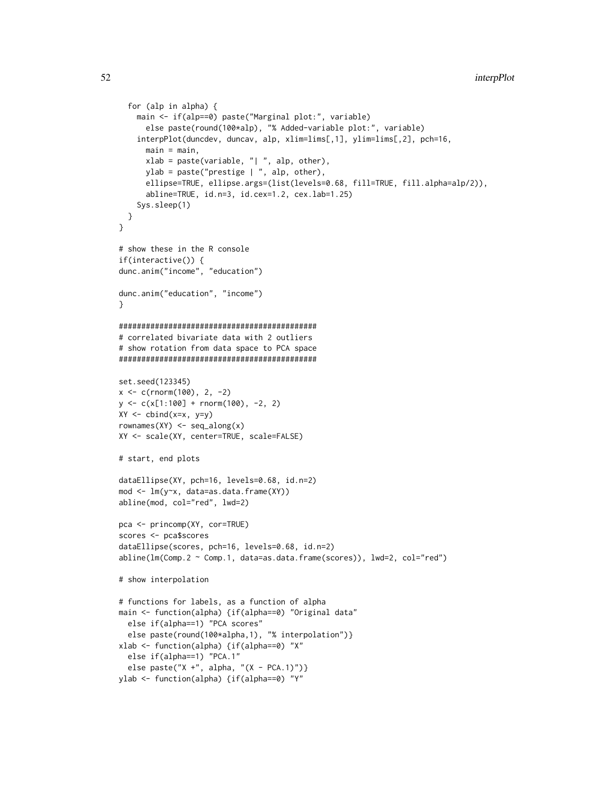```
for (alp in alpha) {
    main <- if(alp==0) paste("Marginal plot:", variable)
      else paste(round(100*alp), "% Added-variable plot:", variable)
    interpPlot(duncdev, duncav, alp, xlim=lims[,1], ylim=lims[,2], pch=16,
      main = main,xlab = paste(variable, "| ", alp, other),
      ylab = paste("prestige | ", alp, other),
      ellipse=TRUE, ellipse.args=(list(levels=0.68, fill=TRUE, fill.alpha=alp/2)),
      abline=TRUE, id.n=3, id.cex=1.2, cex.lab=1.25)
    Sys.sleep(1)
  }
}
# show these in the R console
if(interactive()) {
dunc.anim("income", "education")
dunc.anim("education", "income")
}
############################################
# correlated bivariate data with 2 outliers
# show rotation from data space to PCA space
############################################
set.seed(123345)
x < -c(rnorm(100), 2, -2)
y \leq -c(x[1:100] + rnorm(100), -2, 2)XY \leftarrow \text{cbind}(x=x, y=y)rownames(XY) <- seq_along(x)
XY <- scale(XY, center=TRUE, scale=FALSE)
# start, end plots
dataEllipse(XY, pch=16, levels=0.68, id.n=2)
mod <- lm(y~x, data=as.data.frame(XY))
abline(mod, col="red", lwd=2)
pca <- princomp(XY, cor=TRUE)
scores <- pca$scores
dataEllipse(scores, pch=16, levels=0.68, id.n=2)
abline(lm(Comp.2 ~ Comp.1, data=as.data.frame(scores)), lwd=2, col="red")
# show interpolation
# functions for labels, as a function of alpha
main <- function(alpha) {if(alpha==0) "Original data"
  else if(alpha==1) "PCA scores"
  else paste(round(100*alpha,1), "% interpolation")}
xlab <- function(alpha) {if(alpha==0) "X"
  else if(alpha==1) "PCA.1"
  else paste("X +", alpha, "(X - PCA.1)")}
ylab <- function(alpha) {if(alpha==0) "Y"
```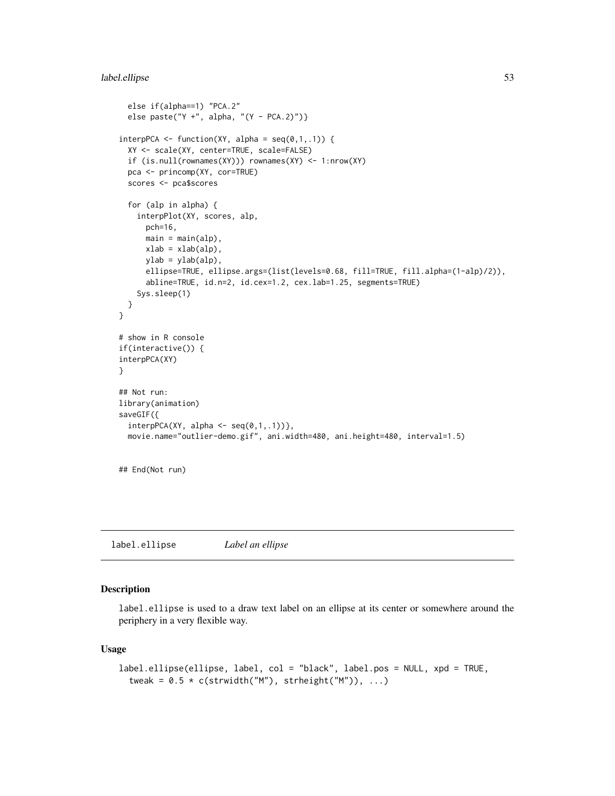# label.ellipse 53

```
else if(alpha==1) "PCA.2"
 else paste("Y +", alpha, "(Y - PCA.2)")}
interpPCA \leftarrow function(XY, alpha = seq(0,1,.1)) {
 XY <- scale(XY, center=TRUE, scale=FALSE)
 if (is.null(rownames(XY))) rownames(XY) <- 1:nrow(XY)
 pca <- princomp(XY, cor=TRUE)
 scores <- pca$scores
 for (alp in alpha) {
    interpPlot(XY, scores, alp,
      pch=16,
      main = main(alp),
      xlab = xlab(ab),ylab = ylab(alp),
      ellipse=TRUE, ellipse.args=(list(levels=0.68, fill=TRUE, fill.alpha=(1-alp)/2)),
      abline=TRUE, id.n=2, id.cex=1.2, cex.lab=1.25, segments=TRUE)
    Sys.sleep(1)
 }
}
# show in R console
if(interactive()) {
interpPCA(XY)
}
## Not run:
library(animation)
saveGIF({
 interpPCA(XY, alpha \leftarrow seq(0,1,.1)),
 movie.name="outlier-demo.gif", ani.width=480, ani.height=480, interval=1.5)
```
## End(Not run)

<span id="page-52-0"></span>label.ellipse *Label an ellipse*

## Description

label.ellipse is used to a draw text label on an ellipse at its center or somewhere around the periphery in a very flexible way.

#### Usage

```
label.ellipse(ellipse, label, col = "black", label.pos = NULL, xpd = TRUE,
  tweak = 0.5 * c(strwidth("M"), strheight("M")), ...)
```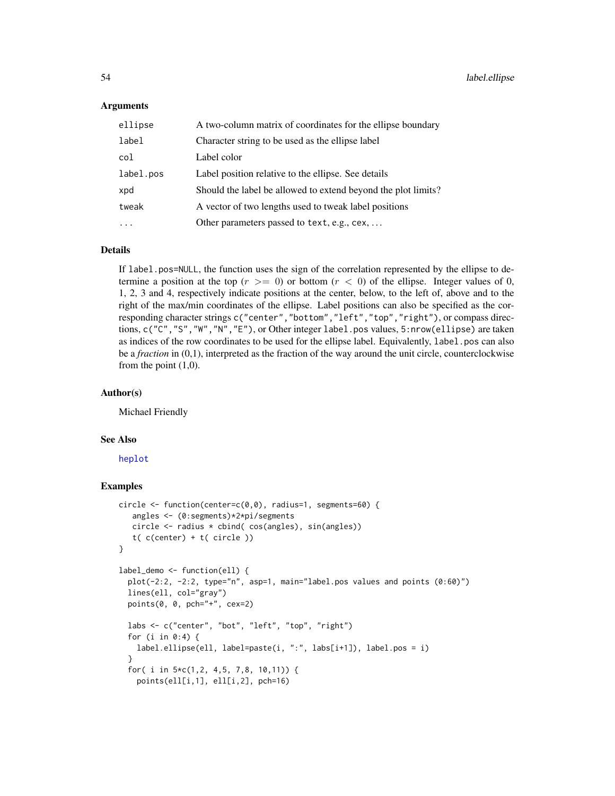## Arguments

| ellipse   | A two-column matrix of coordinates for the ellipse boundary   |
|-----------|---------------------------------------------------------------|
| label     | Character string to be used as the ellipse label              |
| col       | Label color                                                   |
| label.pos | Label position relative to the ellipse. See details           |
| xpd       | Should the label be allowed to extend beyond the plot limits? |
| tweak     | A vector of two lengths used to tweak label positions         |
|           | Other parameters passed to text, e.g., cex,                   |

# Details

If label.pos=NULL, the function uses the sign of the correlation represented by the ellipse to determine a position at the top  $(r \geq 0)$  or bottom  $(r < 0)$  of the ellipse. Integer values of 0, 1, 2, 3 and 4, respectively indicate positions at the center, below, to the left of, above and to the right of the max/min coordinates of the ellipse. Label positions can also be specified as the corresponding character strings c("center","bottom","left","top","right"), or compass directions, c("C", "S", "W", "N", "E"), or Other integer label.pos values, 5:nrow(ellipse) are taken as indices of the row coordinates to be used for the ellipse label. Equivalently, label.pos can also be a *fraction* in (0,1), interpreted as the fraction of the way around the unit circle, counterclockwise from the point (1,0).

## Author(s)

Michael Friendly

#### See Also

[heplot](#page-34-0)

```
circle <- function(center=c(0,0), radius=1, segments=60) {
   angles <- (0:segments)*2*pi/segments
   circle <- radius * cbind( cos(angles), sin(angles))
   t( c(center) + t( circle ))
}
label_demo <- function(ell) {
  plot(-2:2, -2:2, type="n", asp=1, main="label.pos values and points (0:60)")
  lines(ell, col="gray")
  points(0, 0, pch="+", cex=2)
  labs <- c("center", "bot", "left", "top", "right")
  for (i in 0:4) {
   label.ellipse(ell, label=paste(i, ":", labs[i+1]), label.pos = i)
  }
  for( i in 5*c(1,2, 4,5, 7,8, 10,11)) {
    points(ell[i,1], ell[i,2], pch=16)
```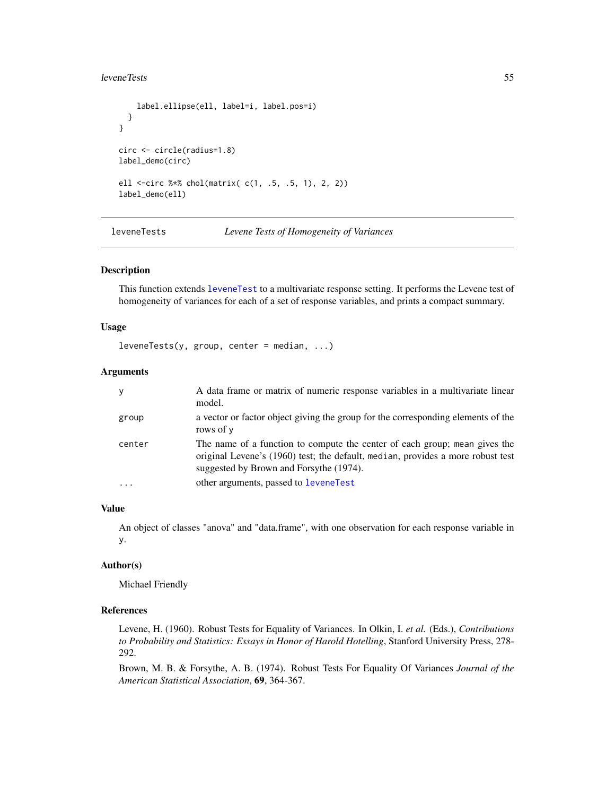#### leveneTests 55

```
label.ellipse(ell, label=i, label.pos=i)
  }
}
circ <- circle(radius=1.8)
label_demo(circ)
ell <-circ %*% chol(matrix( c(1, .5, .5, 1), 2, 2))
label_demo(ell)
```
leveneTests *Levene Tests of Homogeneity of Variances*

# **Description**

This function extends [leveneTest](#page-0-0) to a multivariate response setting. It performs the Levene test of homogeneity of variances for each of a set of response variables, and prints a compact summary.

# Usage

```
leveneTests(y, group, center = median, ...)
```
# Arguments

| y      | A data frame or matrix of numeric response variables in a multivariate linear<br>model.                                                                                                                  |
|--------|----------------------------------------------------------------------------------------------------------------------------------------------------------------------------------------------------------|
| group  | a vector or factor object giving the group for the corresponding elements of the<br>rows of y                                                                                                            |
| center | The name of a function to compute the center of each group; mean gives the<br>original Levene's (1960) test; the default, median, provides a more robust test<br>suggested by Brown and Forsythe (1974). |
|        | other arguments, passed to leveneTest                                                                                                                                                                    |

# Value

An object of classes "anova" and "data.frame", with one observation for each response variable in y.

#### Author(s)

Michael Friendly

#### References

Levene, H. (1960). Robust Tests for Equality of Variances. In Olkin, I. *et al.* (Eds.), *Contributions to Probability and Statistics: Essays in Honor of Harold Hotelling*, Stanford University Press, 278- 292.

Brown, M. B. & Forsythe, A. B. (1974). Robust Tests For Equality Of Variances *Journal of the American Statistical Association*, 69, 364-367.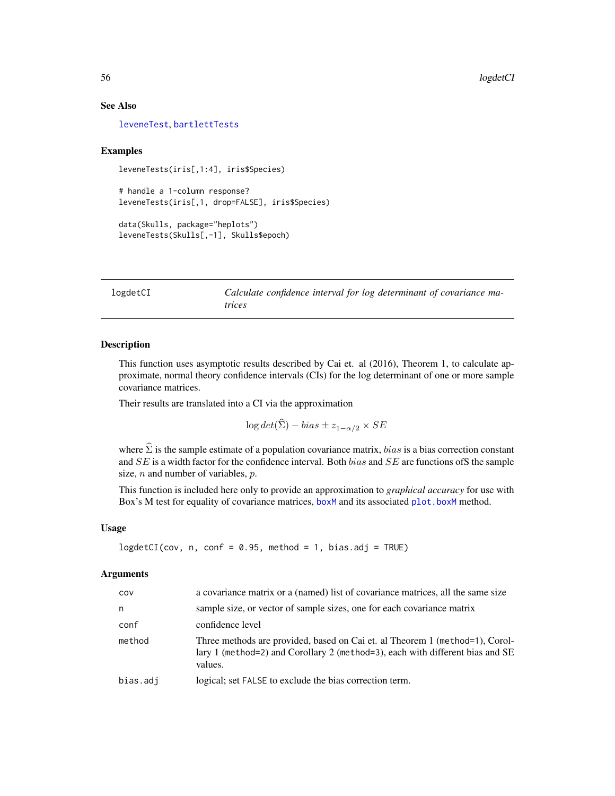## See Also

[leveneTest](#page-0-0), [bartlettTests](#page-8-0)

#### Examples

leveneTests(iris[,1:4], iris\$Species)

# handle a 1-column response? leveneTests(iris[,1, drop=FALSE], iris\$Species)

```
data(Skulls, package="heplots")
leveneTests(Skulls[,-1], Skulls$epoch)
```
logdetCI *Calculate confidence interval for log determinant of covariance matrices*

#### Description

This function uses asymptotic results described by Cai et. al (2016), Theorem 1, to calculate approximate, normal theory confidence intervals (CIs) for the log determinant of one or more sample covariance matrices.

Their results are translated into a CI via the approximation

 $\log det(\widehat{\Sigma}) - bias \pm z_{1-\alpha/2} \times SE$ 

where  $\hat{\Sigma}$  is the sample estimate of a population covariance matrix, *bias* is a bias correction constant and  $SE$  is a width factor for the confidence interval. Both bias and  $SE$  are functions of S the sample size,  $n$  and number of variables,  $p$ .

This function is included here only to provide an approximation to *graphical accuracy* for use with Box's M test for equality of covariance matrices, [boxM](#page-11-0) and its associated [plot.boxM](#page-71-0) method.

#### Usage

```
logdetCI(cov, n, conf = 0.95, method = 1, bias.add = TRUE)
```
# Arguments

| COV      | a covariance matrix or a (named) list of covariance matrices, all the same size                                                                                          |
|----------|--------------------------------------------------------------------------------------------------------------------------------------------------------------------------|
| n        | sample size, or vector of sample sizes, one for each covariance matrix                                                                                                   |
| conf     | confidence level                                                                                                                                                         |
| method   | Three methods are provided, based on Cai et. al Theorem 1 (method=1), Corol-<br>lary 1 (method=2) and Corollary 2 (method=3), each with different bias and SE<br>values. |
| bias.adj | logical; set FALSE to exclude the bias correction term.                                                                                                                  |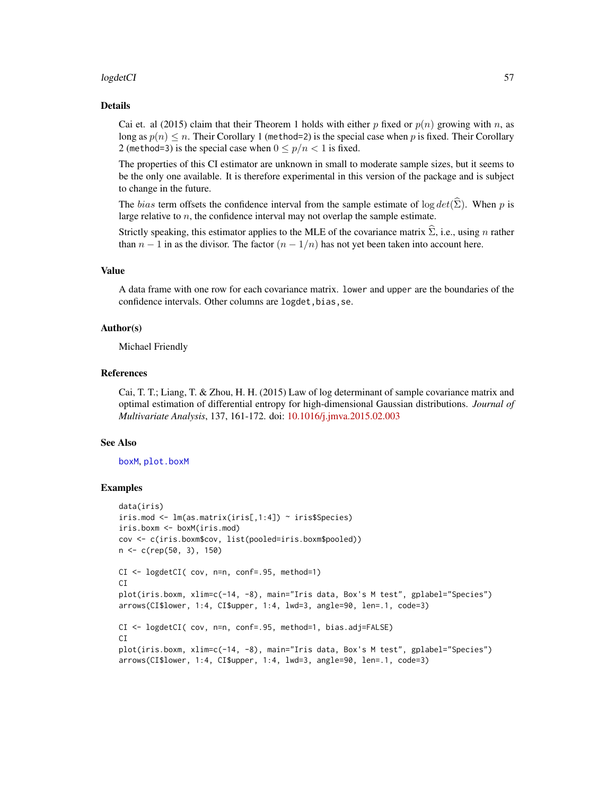## logdetCI 57

#### Details

Cai et. al (2015) claim that their Theorem 1 holds with either p fixed or  $p(n)$  growing with n, as long as  $p(n) \leq n$ . Their Corollary 1 (method=2) is the special case when p is fixed. Their Corollary 2 (method=3) is the special case when  $0 \le p/n < 1$  is fixed.

The properties of this CI estimator are unknown in small to moderate sample sizes, but it seems to be the only one available. It is therefore experimental in this version of the package and is subject to change in the future.

The *bias* term offsets the confidence interval from the sample estimate of log  $det(\hat{\Sigma})$ . When p is large relative to  $n$ , the confidence interval may not overlap the sample estimate.

Strictly speaking, this estimator applies to the MLE of the covariance matrix  $\hat{\Sigma}$ , i.e., using n rather than  $n - 1$  in as the divisor. The factor  $(n - 1/n)$  has not yet been taken into account here.

## Value

A data frame with one row for each covariance matrix. lower and upper are the boundaries of the confidence intervals. Other columns are logdet, bias, se.

#### Author(s)

Michael Friendly

#### References

Cai, T. T.; Liang, T. & Zhou, H. H. (2015) Law of log determinant of sample covariance matrix and optimal estimation of differential entropy for high-dimensional Gaussian distributions. *Journal of Multivariate Analysis*, 137, 161-172. doi: [10.1016/j.jmva.2015.02.003](https://doi.org/10.1016/j.jmva.2015.02.003)

## See Also

#### [boxM](#page-11-0), [plot.boxM](#page-71-0)

```
data(iris)
iris.mod <- lm(as.matrix(iris[,1:4]) ~ iris$Species)
iris.boxm <- boxM(iris.mod)
cov <- c(iris.boxm$cov, list(pooled=iris.boxm$pooled))
n <- c(rep(50, 3), 150)
CI <- logdetCI( cov, n=n, conf=.95, method=1)
CI
plot(iris.boxm, xlim=c(-14, -8), main="Iris data, Box's M test", gplabel="Species")
arrows(CI$lower, 1:4, CI$upper, 1:4, lwd=3, angle=90, len=.1, code=3)
CI <- logdetCI( cov, n=n, conf=.95, method=1, bias.adj=FALSE)
C<sub>T</sub>plot(iris.boxm, xlim=c(-14, -8), main="Iris data, Box's M test", gplabel="Species")
arrows(CI$lower, 1:4, CI$upper, 1:4, lwd=3, angle=90, len=.1, code=3)
```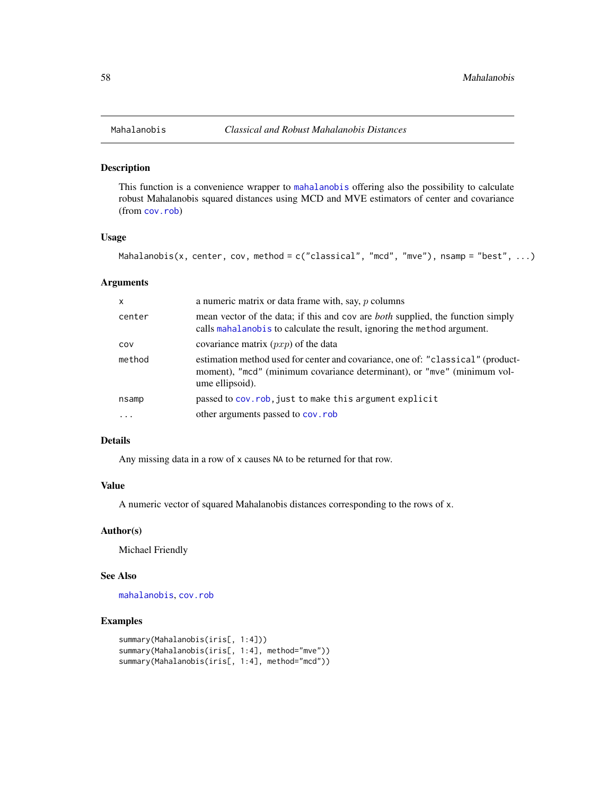This function is a convenience wrapper to [mahalanobis](#page-0-0) offering also the possibility to calculate robust Mahalanobis squared distances using MCD and MVE estimators of center and covariance (from [cov.rob](#page-0-0))

# Usage

```
Mahalanobis(x, center, cov, method = c("classical", "mod", "move"), nsamp = "best", ...)
```
# Arguments

| X       | a numeric matrix or data frame with, say, $p$ columns                                                                                                                         |
|---------|-------------------------------------------------------------------------------------------------------------------------------------------------------------------------------|
| center  | mean vector of the data; if this and cov are <i>both</i> supplied, the function simply<br>calls mahalanobis to calculate the result, ignoring the method argument.            |
| COV     | covariance matrix $(pxp)$ of the data                                                                                                                                         |
| method  | estimation method used for center and covariance, one of: "classical" (product-<br>moment), "mcd" (minimum covariance determinant), or "mve" (minimum vol-<br>ume ellipsoid). |
| nsamp   | passed to cov. rob, just to make this argument explicit                                                                                                                       |
| $\cdot$ | other arguments passed to cov.rob                                                                                                                                             |

#### Details

Any missing data in a row of x causes NA to be returned for that row.

## Value

A numeric vector of squared Mahalanobis distances corresponding to the rows of x.

## Author(s)

Michael Friendly

# See Also

[mahalanobis](#page-0-0), [cov.rob](#page-0-0)

```
summary(Mahalanobis(iris[, 1:4]))
summary(Mahalanobis(iris[, 1:4], method="mve"))
summary(Mahalanobis(iris[, 1:4], method="mcd"))
```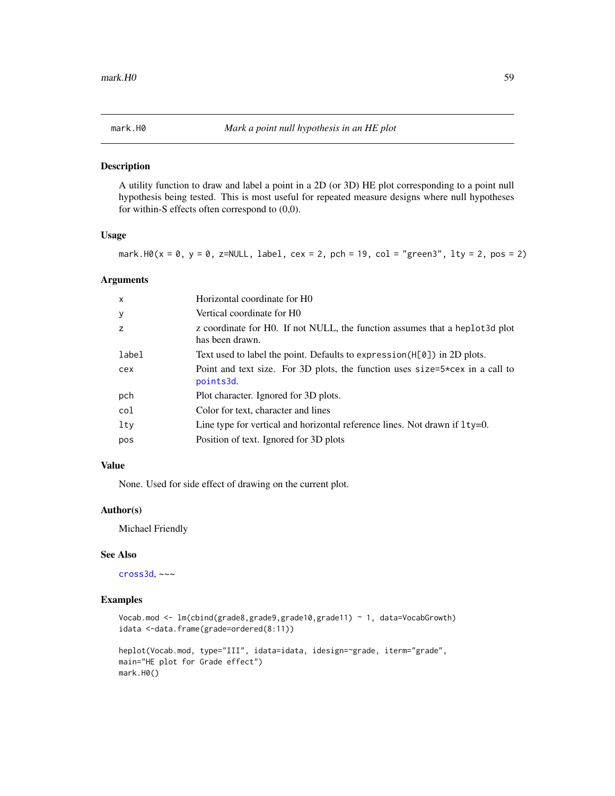<span id="page-58-0"></span>

A utility function to draw and label a point in a 2D (or 3D) HE plot corresponding to a point null hypothesis being tested. This is most useful for repeated measure designs where null hypotheses for within-S effects often correspond to (0,0).

## Usage

mark.H0( $x = 0$ ,  $y = 0$ ,  $z = NULL$ , label,  $cex = 2$ ,  $pch = 19$ ,  $col = "green3", 1ty = 2, pos = 2)$ 

#### Arguments

| $\mathsf{x}$ | Horizontal coordinate for H <sub>0</sub>                                                        |
|--------------|-------------------------------------------------------------------------------------------------|
| $\mathbf{y}$ | Vertical coordinate for H0                                                                      |
| z            | z coordinate for H0. If not NULL, the function assumes that a heplot 3d plot<br>has been drawn. |
| label        | Text used to label the point. Defaults to expression (H[0]) in 2D plots.                        |
| cex          | Point and text size. For 3D plots, the function uses $size=5*cex$ in a call to<br>points3d.     |
| pch          | Plot character. Ignored for 3D plots.                                                           |
| col          | Color for text, character and lines                                                             |
| lty          | Line type for vertical and horizontal reference lines. Not drawn if $1ty=0$ .                   |
| pos          | Position of text. Ignored for 3D plots                                                          |

# Value

None. Used for side effect of drawing on the current plot.

# Author(s)

Michael Friendly

#### See Also

[cross3d](#page-23-0), ~~~

```
Vocab.mod <- lm(cbind(grade8,grade9,grade10,grade11) ~ 1, data=VocabGrowth)
idata <-data.frame(grade=ordered(8:11))
heplot(Vocab.mod, type="III", idata=idata, idesign=~grade, iterm="grade",
main="HE plot for Grade effect")
mark.H0()
```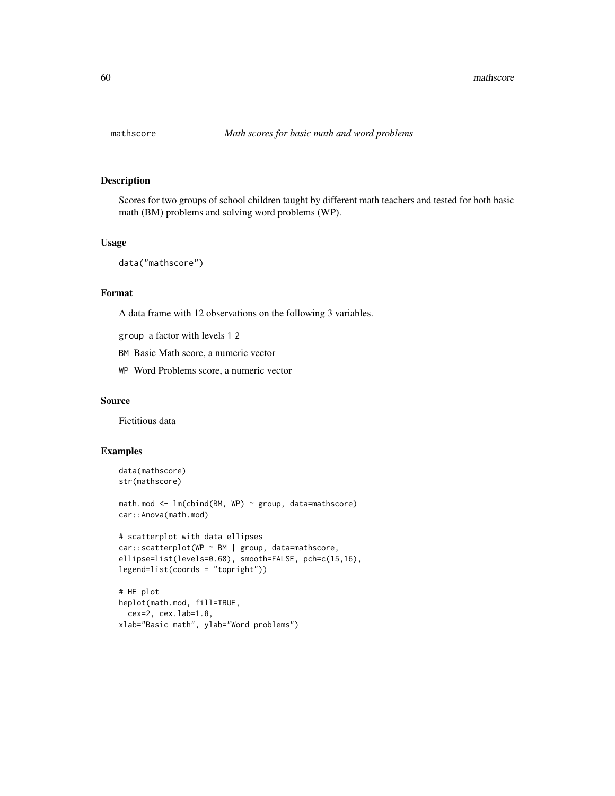Scores for two groups of school children taught by different math teachers and tested for both basic math (BM) problems and solving word problems (WP).

# Usage

```
data("mathscore")
```
# Format

A data frame with 12 observations on the following 3 variables.

group a factor with levels 1 2

BM Basic Math score, a numeric vector

WP Word Problems score, a numeric vector

#### Source

Fictitious data

```
data(mathscore)
str(mathscore)
math.mod <- lm(cbind(BM, WP) ~ group, data=mathscore)
car::Anova(math.mod)
# scatterplot with data ellipses
car::scatterplot(WP ~ BM | group, data=mathscore,
ellipse=list(levels=0.68), smooth=FALSE, pch=c(15,16),
legend=list(coords = "topright"))
# HE plot
heplot(math.mod, fill=TRUE,
```

```
cex=2, cex.lab=1.8,
xlab="Basic math", ylab="Word problems")
```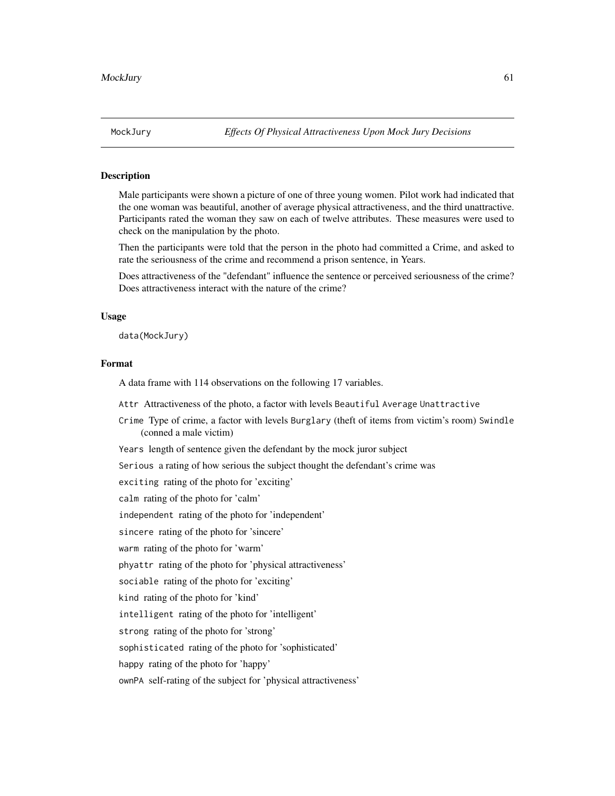Male participants were shown a picture of one of three young women. Pilot work had indicated that the one woman was beautiful, another of average physical attractiveness, and the third unattractive. Participants rated the woman they saw on each of twelve attributes. These measures were used to check on the manipulation by the photo.

Then the participants were told that the person in the photo had committed a Crime, and asked to rate the seriousness of the crime and recommend a prison sentence, in Years.

Does attractiveness of the "defendant" influence the sentence or perceived seriousness of the crime? Does attractiveness interact with the nature of the crime?

## Usage

data(MockJury)

# Format

A data frame with 114 observations on the following 17 variables.

Attr Attractiveness of the photo, a factor with levels Beautiful Average Unattractive

Crime Type of crime, a factor with levels Burglary (theft of items from victim's room) Swindle (conned a male victim)

Years length of sentence given the defendant by the mock juror subject

Serious a rating of how serious the subject thought the defendant's crime was

exciting rating of the photo for 'exciting'

calm rating of the photo for 'calm'

independent rating of the photo for 'independent'

sincere rating of the photo for 'sincere'

warm rating of the photo for 'warm'

phyattr rating of the photo for 'physical attractiveness'

sociable rating of the photo for 'exciting'

kind rating of the photo for 'kind'

intelligent rating of the photo for 'intelligent'

strong rating of the photo for 'strong'

sophisticated rating of the photo for 'sophisticated'

happy rating of the photo for 'happy'

ownPA self-rating of the subject for 'physical attractiveness'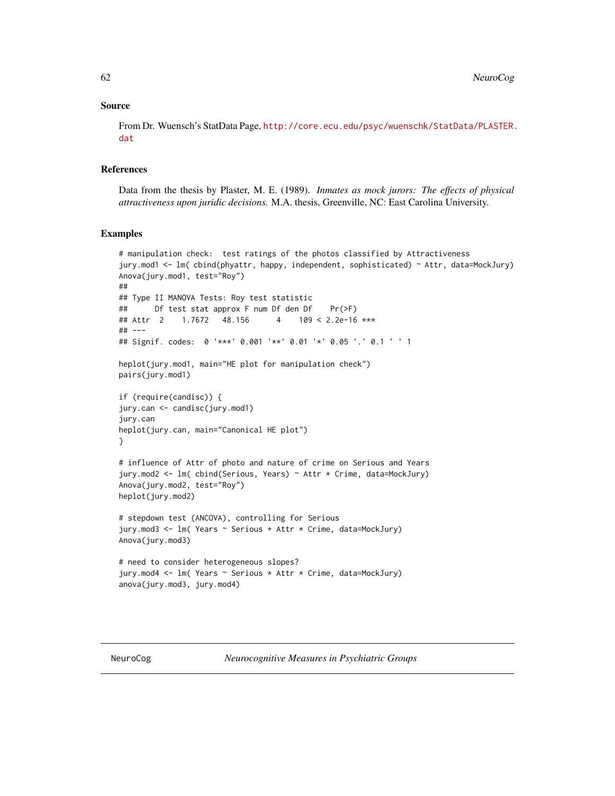## Source

From Dr. Wuensch's StatData Page, [http://core.ecu.edu/psyc/wuenschk/StatData/PLASTER.](http://core.ecu.edu/psyc/wuenschk/StatData/PLASTER.dat) [dat](http://core.ecu.edu/psyc/wuenschk/StatData/PLASTER.dat)

#### **References**

Data from the thesis by Plaster, M. E. (1989). *Inmates as mock jurors: The effects of physical attractiveness upon juridic decisions.* M.A. thesis, Greenville, NC: East Carolina University.

```
# manipulation check: test ratings of the photos classified by Attractiveness
jury.mod1 <- lm( cbind(phyattr, happy, independent, sophisticated) ~ Attr, data=MockJury)
Anova(jury.mod1, test="Roy")
##
## Type II MANOVA Tests: Roy test statistic
## Df test stat approx F num Df den Df Pr(>F)
## Attr 2 1.7672 48.156 4 109 < 2.2e-16 ***
## ---
## Signif. codes: 0 '***' 0.001 '**' 0.01 '*' 0.05 '.' 0.1 ' ' 1
heplot(jury.mod1, main="HE plot for manipulation check")
pairs(jury.mod1)
if (require(candisc)) {
jury.can <- candisc(jury.mod1)
jury.can
heplot(jury.can, main="Canonical HE plot")
}
# influence of Attr of photo and nature of crime on Serious and Years
jury.mod2 <- lm( cbind(Serious, Years) ~ Attr * Crime, data=MockJury)
Anova(jury.mod2, test="Roy")
heplot(jury.mod2)
# stepdown test (ANCOVA), controlling for Serious
jury.mod3 <- lm( Years ~ Serious + Attr * Crime, data=MockJury)
Anova(jury.mod3)
# need to consider heterogeneous slopes?
jury.mod4 <- lm( Years ~ Serious * Attr * Crime, data=MockJury)
anova(jury.mod3, jury.mod4)
```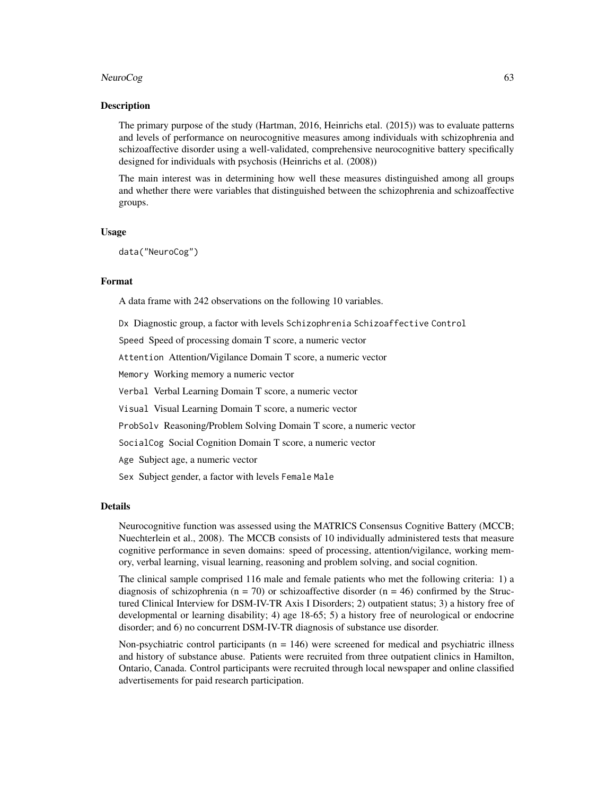#### NeuroCog 63

#### Description

The primary purpose of the study (Hartman, 2016, Heinrichs etal. (2015)) was to evaluate patterns and levels of performance on neurocognitive measures among individuals with schizophrenia and schizoaffective disorder using a well-validated, comprehensive neurocognitive battery specifically designed for individuals with psychosis (Heinrichs et al. (2008))

The main interest was in determining how well these measures distinguished among all groups and whether there were variables that distinguished between the schizophrenia and schizoaffective groups.

## Usage

data("NeuroCog")

# Format

A data frame with 242 observations on the following 10 variables.

Dx Diagnostic group, a factor with levels Schizophrenia Schizoaffective Control

Speed Speed of processing domain T score, a numeric vector

Attention Attention/Vigilance Domain T score, a numeric vector

Memory Working memory a numeric vector

Verbal Verbal Learning Domain T score, a numeric vector

Visual Visual Learning Domain T score, a numeric vector

ProbSolv Reasoning/Problem Solving Domain T score, a numeric vector

SocialCog Social Cognition Domain T score, a numeric vector

Age Subject age, a numeric vector

Sex Subject gender, a factor with levels Female Male

#### Details

Neurocognitive function was assessed using the MATRICS Consensus Cognitive Battery (MCCB; Nuechterlein et al., 2008). The MCCB consists of 10 individually administered tests that measure cognitive performance in seven domains: speed of processing, attention/vigilance, working memory, verbal learning, visual learning, reasoning and problem solving, and social cognition.

The clinical sample comprised 116 male and female patients who met the following criteria: 1) a diagnosis of schizophrenia ( $n = 70$ ) or schizoaffective disorder ( $n = 46$ ) confirmed by the Structured Clinical Interview for DSM-IV-TR Axis I Disorders; 2) outpatient status; 3) a history free of developmental or learning disability; 4) age 18-65; 5) a history free of neurological or endocrine disorder; and 6) no concurrent DSM-IV-TR diagnosis of substance use disorder.

Non-psychiatric control participants ( $n = 146$ ) were screened for medical and psychiatric illness and history of substance abuse. Patients were recruited from three outpatient clinics in Hamilton, Ontario, Canada. Control participants were recruited through local newspaper and online classified advertisements for paid research participation.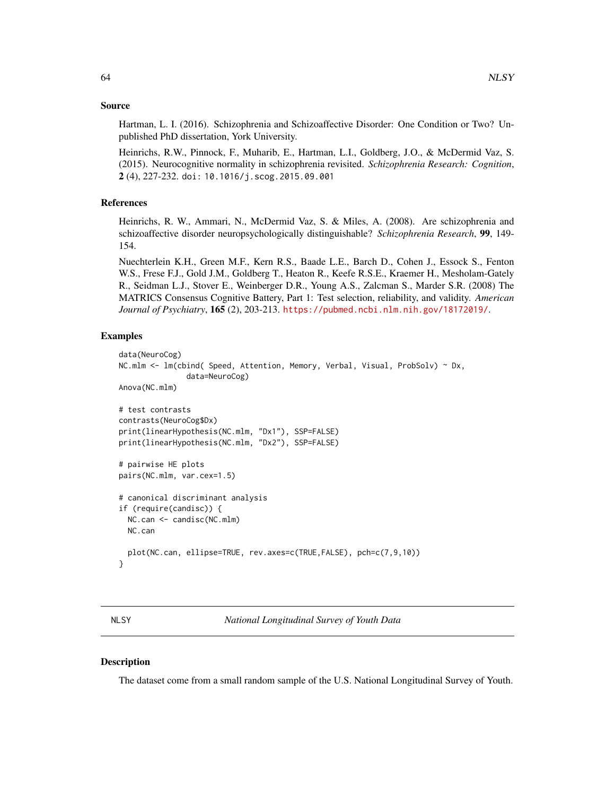## Source

Hartman, L. I. (2016). Schizophrenia and Schizoaffective Disorder: One Condition or Two? Unpublished PhD dissertation, York University.

Heinrichs, R.W., Pinnock, F., Muharib, E., Hartman, L.I., Goldberg, J.O., & McDermid Vaz, S. (2015). Neurocognitive normality in schizophrenia revisited. *Schizophrenia Research: Cognition*, 2 (4), 227-232. doi: 10.1016/j.scog.2015.09.001

# References

Heinrichs, R. W., Ammari, N., McDermid Vaz, S. & Miles, A. (2008). Are schizophrenia and schizoaffective disorder neuropsychologically distinguishable? *Schizophrenia Research*, 99, 149- 154.

Nuechterlein K.H., Green M.F., Kern R.S., Baade L.E., Barch D., Cohen J., Essock S., Fenton W.S., Frese F.J., Gold J.M., Goldberg T., Heaton R., Keefe R.S.E., Kraemer H., Mesholam-Gately R., Seidman L.J., Stover E., Weinberger D.R., Young A.S., Zalcman S., Marder S.R. (2008) The MATRICS Consensus Cognitive Battery, Part 1: Test selection, reliability, and validity. *American Journal of Psychiatry*, 165 (2), 203-213. <https://pubmed.ncbi.nlm.nih.gov/18172019/>.

# Examples

```
data(NeuroCog)
NC.mlm <- lm(cbind( Speed, Attention, Memory, Verbal, Visual, ProbSolv) ~ Dx,
               data=NeuroCog)
Anova(NC.mlm)
# test contrasts
contrasts(NeuroCog$Dx)
print(linearHypothesis(NC.mlm, "Dx1"), SSP=FALSE)
print(linearHypothesis(NC.mlm, "Dx2"), SSP=FALSE)
# pairwise HE plots
pairs(NC.mlm, var.cex=1.5)
# canonical discriminant analysis
if (require(candisc)) {
 NC.can <- candisc(NC.mlm)
 NC.can
 plot(NC.can, ellipse=TRUE, rev.axes=c(TRUE,FALSE), pch=c(7,9,10))
}
```
NLSY *National Longitudinal Survey of Youth Data*

#### **Description**

The dataset come from a small random sample of the U.S. National Longitudinal Survey of Youth.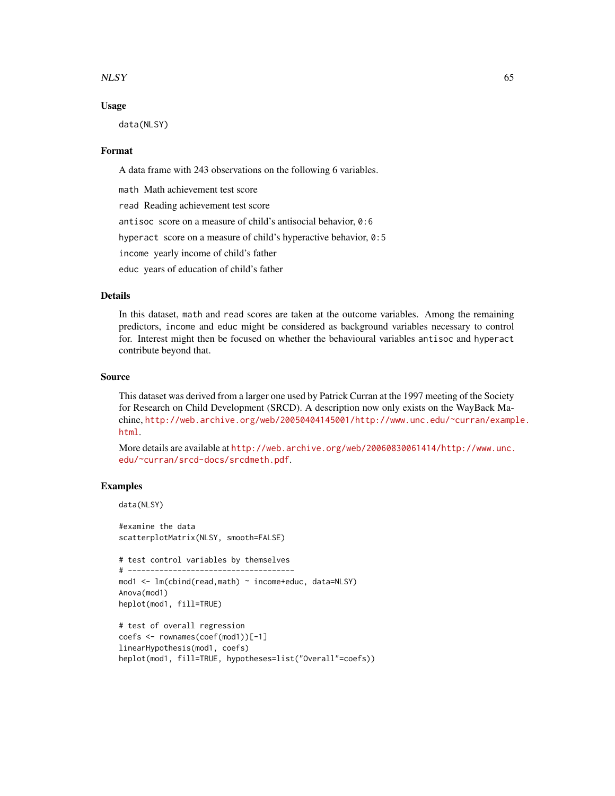#### $NLSY$  65

## Usage

data(NLSY)

#### Format

A data frame with 243 observations on the following 6 variables.

math Math achievement test score

read Reading achievement test score

antisoc score on a measure of child's antisocial behavior, 0:6

hyperact score on a measure of child's hyperactive behavior, 0:5

income yearly income of child's father

educ years of education of child's father

## Details

In this dataset, math and read scores are taken at the outcome variables. Among the remaining predictors, income and educ might be considered as background variables necessary to control for. Interest might then be focused on whether the behavioural variables antisoc and hyperact contribute beyond that.

#### Source

This dataset was derived from a larger one used by Patrick Curran at the 1997 meeting of the Society for Research on Child Development (SRCD). A description now only exists on the WayBack Machine, [http://web.archive.org/web/20050404145001/http://www.unc.edu/~curran/examp](http://web.archive.org/web/20050404145001/http://www.unc.edu/~curran/example.html)le. [html](http://web.archive.org/web/20050404145001/http://www.unc.edu/~curran/example.html).

More details are available at [http://web.archive.org/web/20060830061414/http://www.unc.](http://web.archive.org/web/20060830061414/http://www.unc.edu/~curran/srcd-docs/srcdmeth.pdf) [edu/~curran/srcd-docs/srcdmeth.pdf](http://web.archive.org/web/20060830061414/http://www.unc.edu/~curran/srcd-docs/srcdmeth.pdf).

# Examples

```
data(NLSY)
```
#examine the data scatterplotMatrix(NLSY, smooth=FALSE)

```
# test control variables by themselves
```

```
# -------------------------------------
mod1 <- lm(cbind(read,math) ~ income+educ, data=NLSY)
Anova(mod1)
```

```
heplot(mod1, fill=TRUE)
```

```
# test of overall regression
coefs <- rownames(coef(mod1))[-1]
linearHypothesis(mod1, coefs)
heplot(mod1, fill=TRUE, hypotheses=list("Overall"=coefs))
```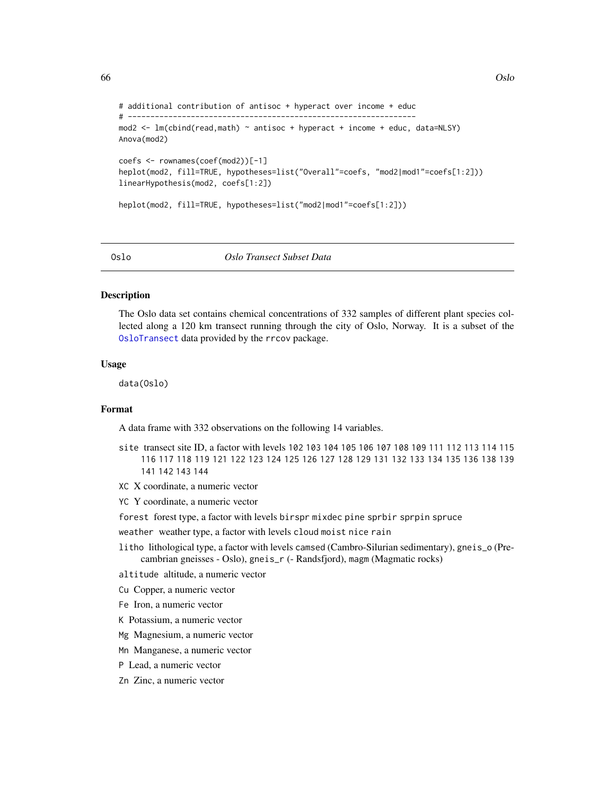```
66 Oslo 2005 and 2006 of the contract of the contract of the contract of the contract of the contract of the contract of the contract of the contract of the contract of the contract of the contract of the contract of the c
```

```
# additional contribution of antisoc + hyperact over income + educ
# ----------------------------------------------------------------
mod2 <- lm(cbind(read,math) ~ antisoc + hyperact + income + educ, data=NLSY)
Anova(mod2)
coefs <- rownames(coef(mod2))[-1]
heplot(mod2, fill=TRUE, hypotheses=list("Overall"=coefs, "mod2|mod1"=coefs[1:2]))
linearHypothesis(mod2, coefs[1:2])
heplot(mod2, fill=TRUE, hypotheses=list("mod2|mod1"=coefs[1:2]))
```
#### Oslo *Oslo Transect Subset Data*

#### Description

The Oslo data set contains chemical concentrations of 332 samples of different plant species collected along a 120 km transect running through the city of Oslo, Norway. It is a subset of the [OsloTransect](#page-0-0) data provided by the rrcov package.

# Usage

data(Oslo)

# Format

A data frame with 332 observations on the following 14 variables.

- site transect site ID, a factor with levels 102 103 104 105 106 107 108 109 111 112 113 114 115 116 117 118 119 121 122 123 124 125 126 127 128 129 131 132 133 134 135 136 138 139 141 142 143 144
- XC X coordinate, a numeric vector
- YC Y coordinate, a numeric vector
- forest forest type, a factor with levels birspr mixdec pine sprbir sprpin spruce
- weather weather type, a factor with levels cloud moist nice rain
- litho lithological type, a factor with levels camsed (Cambro-Silurian sedimentary), gneis\_o (Precambrian gneisses - Oslo), gneis\_r (- Randsfjord), magm (Magmatic rocks)
- altitude altitude, a numeric vector
- Cu Copper, a numeric vector
- Fe Iron, a numeric vector
- K Potassium, a numeric vector
- Mg Magnesium, a numeric vector
- Mn Manganese, a numeric vector
- P Lead, a numeric vector
- Zn Zinc, a numeric vector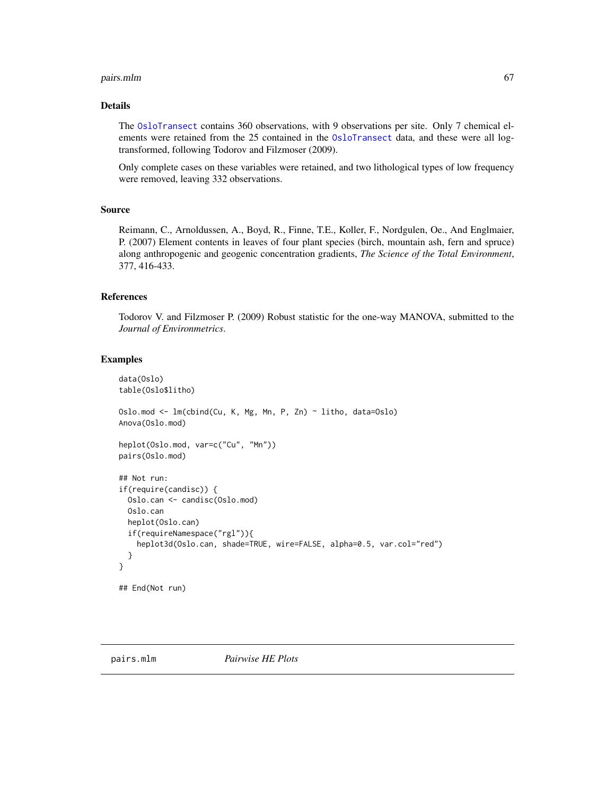#### pairs.mlm 67

# Details

The [OsloTransect](#page-0-0) contains 360 observations, with 9 observations per site. Only 7 chemical elements were retained from the 25 contained in the 0sloTransect data, and these were all logtransformed, following Todorov and Filzmoser (2009).

Only complete cases on these variables were retained, and two lithological types of low frequency were removed, leaving 332 observations.

# Source

Reimann, C., Arnoldussen, A., Boyd, R., Finne, T.E., Koller, F., Nordgulen, Oe., And Englmaier, P. (2007) Element contents in leaves of four plant species (birch, mountain ash, fern and spruce) along anthropogenic and geogenic concentration gradients, *The Science of the Total Environment*, 377, 416-433.

## References

Todorov V. and Filzmoser P. (2009) Robust statistic for the one-way MANOVA, submitted to the *Journal of Environmetrics*.

```
data(Oslo)
table(Oslo$litho)
Oslo.mod <- lm(cbind(Cu, K, Mg, Mn, P, Zn) ~ litho, data=Oslo)
Anova(Oslo.mod)
heplot(Oslo.mod, var=c("Cu", "Mn"))
pairs(Oslo.mod)
## Not run:
if(require(candisc)) {
 Oslo.can <- candisc(Oslo.mod)
 Oslo.can
 heplot(Oslo.can)
 if(requireNamespace("rgl")){
   heplot3d(Oslo.can, shade=TRUE, wire=FALSE, alpha=0.5, var.col="red")
 }
}
## End(Not run)
```
<span id="page-66-0"></span>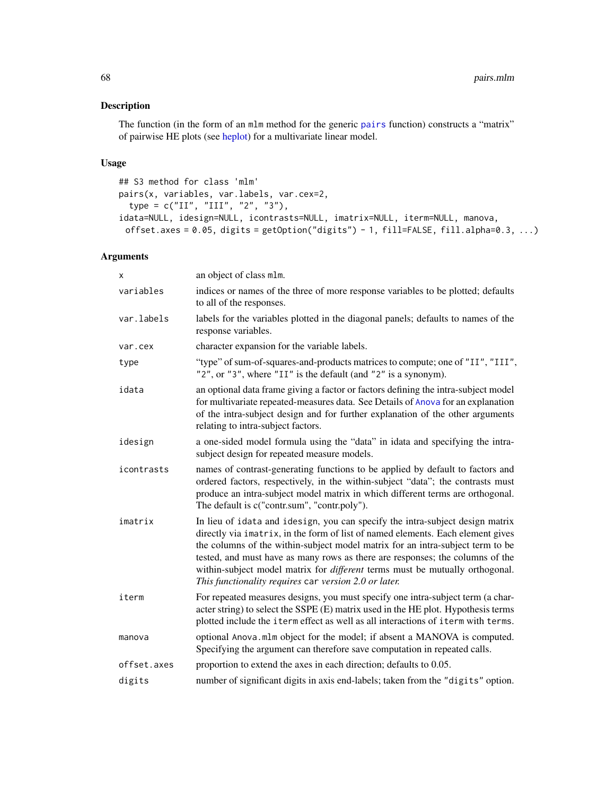The function (in the form of an mlm method for the generic [pairs](#page-0-0) function) constructs a "matrix" of pairwise HE plots (see [heplot\)](#page-34-0) for a multivariate linear model.

# Usage

```
## S3 method for class 'mlm'
pairs(x, variables, var.labels, var.cex=2,
  type = c("II", "III", "2", "3"),idata=NULL, idesign=NULL, icontrasts=NULL, imatrix=NULL, iterm=NULL, manova,
 offset.axes = 0.05, digits = getOption("digits") - 1, fill=FALSE, fill.alpha=0.3, ...)
```
# Arguments

| x           | an object of class mlm.                                                                                                                                                                                                                                                                                                                                                                                                                                                             |
|-------------|-------------------------------------------------------------------------------------------------------------------------------------------------------------------------------------------------------------------------------------------------------------------------------------------------------------------------------------------------------------------------------------------------------------------------------------------------------------------------------------|
| variables   | indices or names of the three of more response variables to be plotted; defaults<br>to all of the responses.                                                                                                                                                                                                                                                                                                                                                                        |
| var.labels  | labels for the variables plotted in the diagonal panels; defaults to names of the<br>response variables.                                                                                                                                                                                                                                                                                                                                                                            |
| var.cex     | character expansion for the variable labels.                                                                                                                                                                                                                                                                                                                                                                                                                                        |
| type        | "type" of sum-of-squares-and-products matrices to compute; one of "II", "III",<br>$"2",$ or $"3",$ where "II" is the default (and "2" is a synonym).                                                                                                                                                                                                                                                                                                                                |
| idata       | an optional data frame giving a factor or factors defining the intra-subject model<br>for multivariate repeated-measures data. See Details of Anova for an explanation<br>of the intra-subject design and for further explanation of the other arguments<br>relating to intra-subject factors.                                                                                                                                                                                      |
| idesign     | a one-sided model formula using the "data" in idata and specifying the intra-<br>subject design for repeated measure models.                                                                                                                                                                                                                                                                                                                                                        |
| icontrasts  | names of contrast-generating functions to be applied by default to factors and<br>ordered factors, respectively, in the within-subject "data"; the contrasts must<br>produce an intra-subject model matrix in which different terms are orthogonal.<br>The default is c("contr.sum", "contr.poly").                                                                                                                                                                                 |
| imatrix     | In lieu of idata and idesign, you can specify the intra-subject design matrix<br>directly via imatrix, in the form of list of named elements. Each element gives<br>the columns of the within-subject model matrix for an intra-subject term to be<br>tested, and must have as many rows as there are responses; the columns of the<br>within-subject model matrix for <i>different</i> terms must be mutually orthogonal.<br>This functionality requires car version 2.0 or later. |
| iterm       | For repeated measures designs, you must specify one intra-subject term (a char-<br>acter string) to select the SSPE (E) matrix used in the HE plot. Hypothesis terms<br>plotted include the iterm effect as well as all interactions of iterm with terms.                                                                                                                                                                                                                           |
| manova      | optional Anova.mlm object for the model; if absent a MANOVA is computed.<br>Specifying the argument can therefore save computation in repeated calls.                                                                                                                                                                                                                                                                                                                               |
| offset.axes | proportion to extend the axes in each direction; defaults to 0.05.                                                                                                                                                                                                                                                                                                                                                                                                                  |
| digits      | number of significant digits in axis end-labels; taken from the "digits" option.                                                                                                                                                                                                                                                                                                                                                                                                    |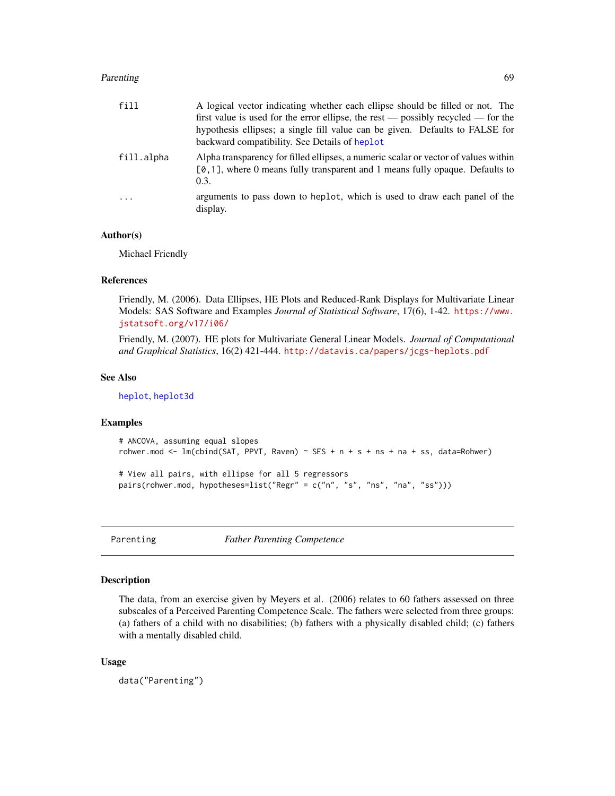## Parenting 69 and 2012 12:00 the contract of the contract of the contract of the contract of the contract of the contract of the contract of the contract of the contract of the contract of the contract of the contract of th

| fill       | A logical vector indicating whether each ellipse should be filled or not. The                                                                                                   |
|------------|---------------------------------------------------------------------------------------------------------------------------------------------------------------------------------|
|            | first value is used for the error ellipse, the rest — possibly recycled — for the                                                                                               |
|            | hypothesis ellipses; a single fill value can be given. Defaults to FALSE for                                                                                                    |
|            | backward compatibility. See Details of heplot                                                                                                                                   |
| fill.alpha | Alpha transparency for filled ellipses, a numeric scalar or vector of values within<br>$[0, 1]$ , where 0 means fully transparent and 1 means fully opaque. Defaults to<br>0.3. |
| $\ddots$   | arguments to pass down to heplot, which is used to draw each panel of the<br>display.                                                                                           |

## Author(s)

Michael Friendly

## References

Friendly, M. (2006). Data Ellipses, HE Plots and Reduced-Rank Displays for Multivariate Linear Models: SAS Software and Examples *Journal of Statistical Software*, 17(6), 1-42. [https://www.](https://www.jstatsoft.org/v17/i06/) [jstatsoft.org/v17/i06/](https://www.jstatsoft.org/v17/i06/)

Friendly, M. (2007). HE plots for Multivariate General Linear Models. *Journal of Computational and Graphical Statistics*, 16(2) 421-444. <http://datavis.ca/papers/jcgs-heplots.pdf>

## See Also

[heplot](#page-34-0), [heplot3d](#page-43-0)

# Examples

```
# ANCOVA, assuming equal slopes
rohwer.mod \leq lm(cbind(SAT, PPVT, Raven) \sim SES + n + s + ns + na + ss, data=Rohwer)
```

```
# View all pairs, with ellipse for all 5 regressors
pairs(rohwer.mod, hypotheses=list("Regr" = c("n", "s", "ns", "na", "ss")))
```
Parenting *Father Parenting Competence*

# Description

The data, from an exercise given by Meyers et al. (2006) relates to 60 fathers assessed on three subscales of a Perceived Parenting Competence Scale. The fathers were selected from three groups: (a) fathers of a child with no disabilities; (b) fathers with a physically disabled child; (c) fathers with a mentally disabled child.

#### Usage

data("Parenting")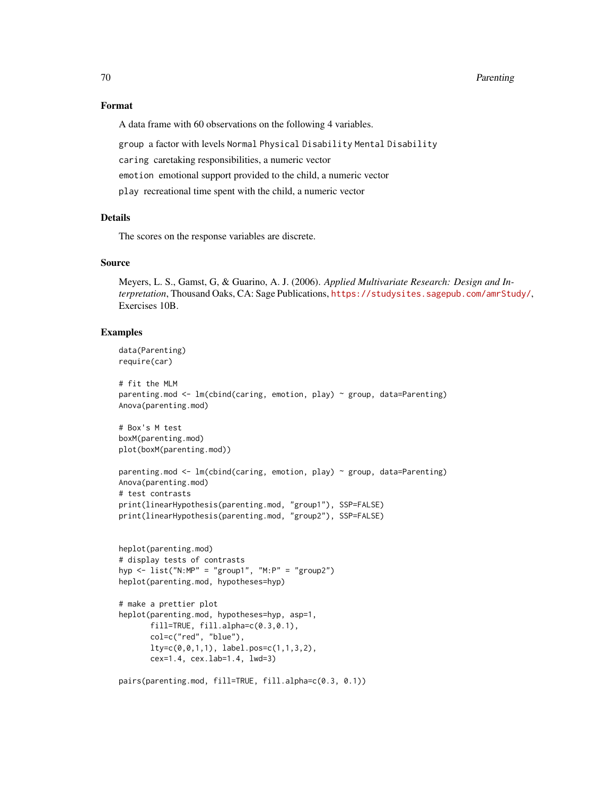#### 70 Parenting

## Format

A data frame with 60 observations on the following 4 variables.

group a factor with levels Normal Physical Disability Mental Disability

caring caretaking responsibilities, a numeric vector

emotion emotional support provided to the child, a numeric vector

play recreational time spent with the child, a numeric vector

## Details

The scores on the response variables are discrete.

# Source

Meyers, L. S., Gamst, G, & Guarino, A. J. (2006). *Applied Multivariate Research: Design and Interpretation*, Thousand Oaks, CA: Sage Publications, <https://studysites.sagepub.com/amrStudy/>, Exercises 10B.

```
data(Parenting)
require(car)
```

```
# fit the MLM
parenting.mod <- lm(cbind(caring, emotion, play) ~ group, data=Parenting)
Anova(parenting.mod)
```

```
# Box's M test
boxM(parenting.mod)
plot(boxM(parenting.mod))
```

```
parenting.mod \leq - lm(cbind(caring, emotion, play) \sim group, data=Parenting)
Anova(parenting.mod)
# test contrasts
print(linearHypothesis(parenting.mod, "group1"), SSP=FALSE)
print(linearHypothesis(parenting.mod, "group2"), SSP=FALSE)
```

```
heplot(parenting.mod)
# display tests of contrasts
hyp \le list("N:MP" = "group1", "M:P" = "group2")
heplot(parenting.mod, hypotheses=hyp)
```

```
# make a prettier plot
heplot(parenting.mod, hypotheses=hyp, asp=1,
      fill=TRUE, fill.alpha=c(0.3,0.1),
      col=c("red", "blue"),
      lty=c(0,0,1,1), label.pos=c(1,1,3,2),
      cex=1.4, cex.lab=1.4, lwd=3)
```

```
pairs(parenting.mod, fill=TRUE, fill.alpha=c(0.3, 0.1))
```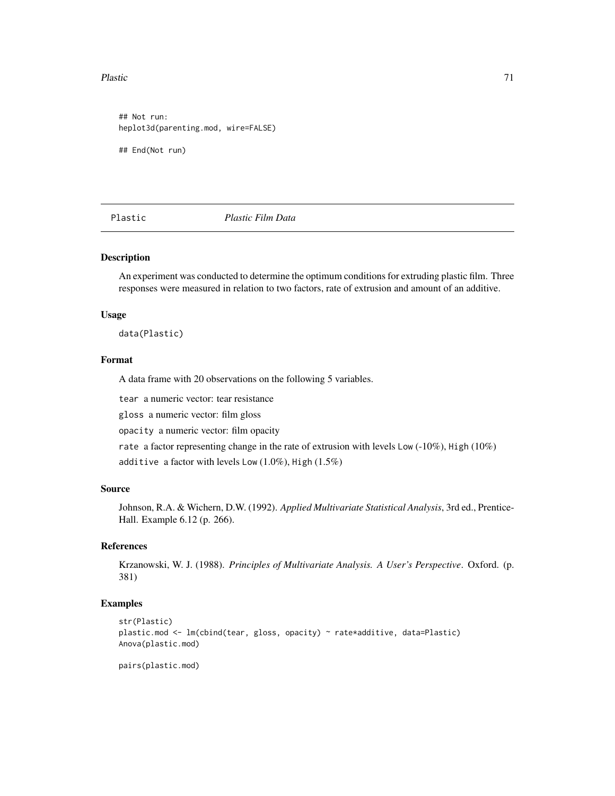#### Plastic 21 and 22 and 22 and 23 and 23 and 23 and 23 and 23 and 23 and 23 and 23 and 23 and 24 and 25 and 26 and 26 and 26 and 26 and 26 and 26 and 26 and 26 and 26 and 26 and 26 and 26 and 26 and 26 and 26 and 26 and 26 a

## Not run: heplot3d(parenting.mod, wire=FALSE) ## End(Not run)

Plastic *Plastic Film Data*

# Description

An experiment was conducted to determine the optimum conditions for extruding plastic film. Three responses were measured in relation to two factors, rate of extrusion and amount of an additive.

## Usage

data(Plastic)

# Format

A data frame with 20 observations on the following 5 variables.

tear a numeric vector: tear resistance

gloss a numeric vector: film gloss

opacity a numeric vector: film opacity

rate a factor representing change in the rate of extrusion with levels Low  $(-10\%)$ , High  $(10\%)$ 

additive a factor with levels Low (1.0%), High (1.5%)

# Source

Johnson, R.A. & Wichern, D.W. (1992). *Applied Multivariate Statistical Analysis*, 3rd ed., Prentice-Hall. Example 6.12 (p. 266).

# References

Krzanowski, W. J. (1988). *Principles of Multivariate Analysis. A User's Perspective*. Oxford. (p. 381)

# Examples

```
str(Plastic)
plastic.mod <- lm(cbind(tear, gloss, opacity) ~ rate*additive, data=Plastic)
Anova(plastic.mod)
```
pairs(plastic.mod)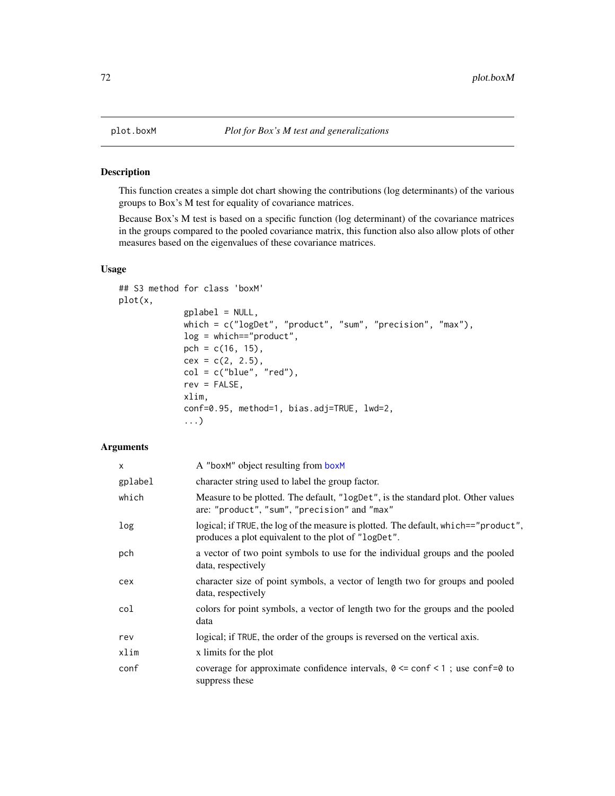<span id="page-71-0"></span>This function creates a simple dot chart showing the contributions (log determinants) of the various groups to Box's M test for equality of covariance matrices.

Because Box's M test is based on a specific function (log determinant) of the covariance matrices in the groups compared to the pooled covariance matrix, this function also also allow plots of other measures based on the eigenvalues of these covariance matrices.

# Usage

```
## S3 method for class 'boxM'
plot(x,
             gplabel = NULL,
             which = c("logDet", "product", "sum", "precision", "max"),
             log = which=="product",
             pch = c(16, 15),
             cex = c(2, 2.5),
             col = c("blue", "red"),rev = FALSE,
             xlim,
             conf=0.95, method=1, bias.adj=TRUE, lwd=2,
             ...)
```
# Arguments

| X       | A "boxM" object resulting from boxM                                                                                                        |
|---------|--------------------------------------------------------------------------------------------------------------------------------------------|
| gplabel | character string used to label the group factor.                                                                                           |
| which   | Measure to be plotted. The default, "logDet", is the standard plot. Other values<br>are: "product", "sum", "precision" and "max"           |
| log     | logical; if TRUE, the log of the measure is plotted. The default, which=="product",<br>produces a plot equivalent to the plot of "logDet". |
| pch     | a vector of two point symbols to use for the individual groups and the pooled<br>data, respectively                                        |
| cex     | character size of point symbols, a vector of length two for groups and pooled<br>data, respectively                                        |
| col     | colors for point symbols, a vector of length two for the groups and the pooled<br>data                                                     |
| rev     | logical; if TRUE, the order of the groups is reversed on the vertical axis.                                                                |
| xlim    | x limits for the plot                                                                                                                      |
| conf    | coverage for approximate confidence intervals, $0 \le$ conf $\le$ 1; use conf=0 to<br>suppress these                                       |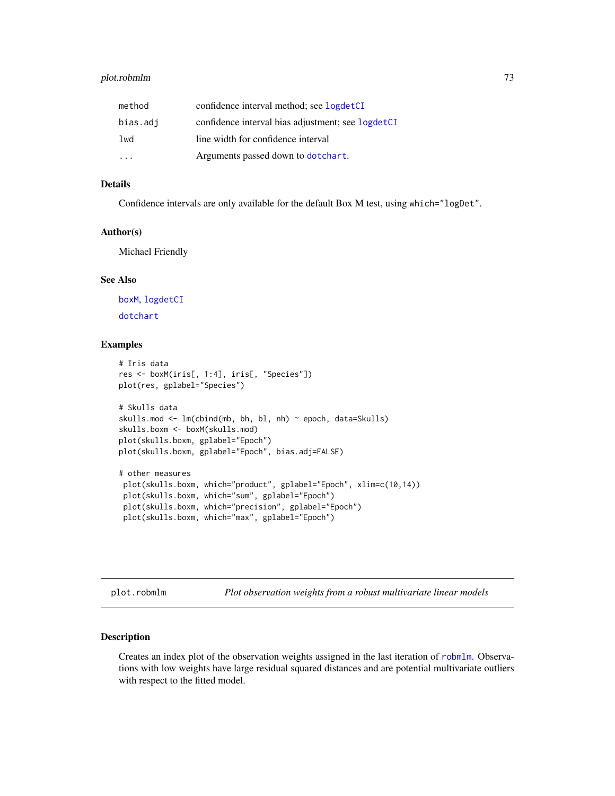## <span id="page-72-0"></span>plot.robmlm 73

| method   | confidence interval method; see logdetCI          |
|----------|---------------------------------------------------|
| bias.adj | confidence interval bias adjustment; see logdetCI |
| lwd      | line width for confidence interval                |
|          | Arguments passed down to dotchart.                |

## Details

Confidence intervals are only available for the default Box M test, using which="logDet".

## Author(s)

Michael Friendly

## See Also

[boxM](#page-11-0), [logdetCI](#page-55-0) [dotchart](#page-0-0)

#### Examples

```
# Iris data
res <- boxM(iris[, 1:4], iris[, "Species"])
plot(res, gplabel="Species")
# Skulls data
skulls.mod <- lm(cbind(mb, bh, bl, nh) ~ epoch, data=Skulls)
skulls.boxm <- boxM(skulls.mod)
plot(skulls.boxm, gplabel="Epoch")
plot(skulls.boxm, gplabel="Epoch", bias.adj=FALSE)
# other measures
plot(skulls.boxm, which="product", gplabel="Epoch", xlim=c(10,14))
plot(skulls.boxm, which="sum", gplabel="Epoch")
plot(skulls.boxm, which="precision", gplabel="Epoch")
plot(skulls.boxm, which="max", gplabel="Epoch")
```
plot.robmlm *Plot observation weights from a robust multivariate linear models*

#### Description

Creates an index plot of the observation weights assigned in the last iteration of [robmlm](#page-80-0). Observations with low weights have large residual squared distances and are potential multivariate outliers with respect to the fitted model.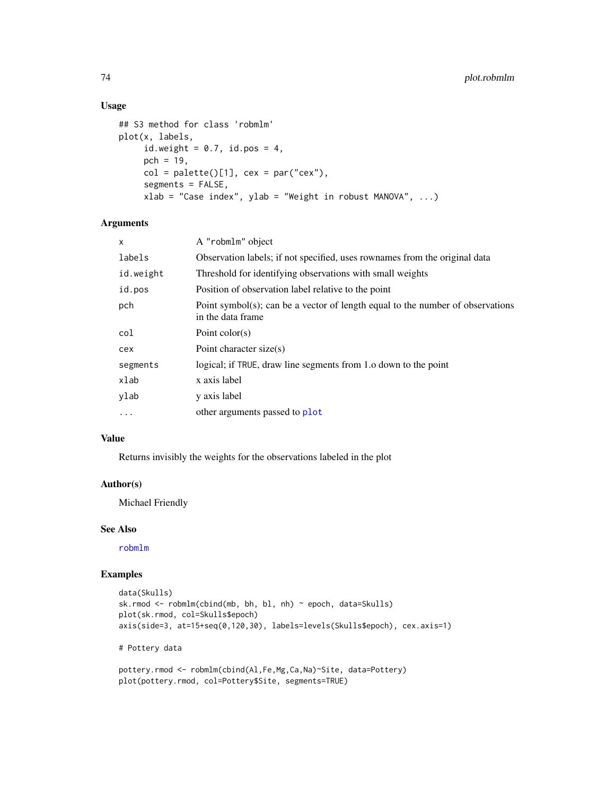## Usage

```
## S3 method for class 'robmlm'
plot(x, labels,
     id.weight = 0.7, id.pos = 4,
     pch = 19,
     col = palette()[1], cex = par("cex"),segments = FALSE,
     xlab = "Case index", ylab = "Weight in robust MANOVA", ...)
```
## Arguments

| X         | A "robmlm" object                                                                                   |
|-----------|-----------------------------------------------------------------------------------------------------|
| labels    | Observation labels; if not specified, uses rownames from the original data                          |
| id.weight | Threshold for identifying observations with small weights                                           |
| id.pos    | Position of observation label relative to the point                                                 |
| pch       | Point symbol(s); can be a vector of length equal to the number of observations<br>in the data frame |
| col       | Point $color(s)$                                                                                    |
| cex       | Point character size(s)                                                                             |
| segments  | logical; if TRUE, draw line segments from 1.0 down to the point                                     |
| xlab      | x axis label                                                                                        |
| ylab      | y axis label                                                                                        |
| $\cdots$  | other arguments passed to plot                                                                      |

## Value

Returns invisibly the weights for the observations labeled in the plot

#### Author(s)

Michael Friendly

## See Also

[robmlm](#page-80-0)

```
data(Skulls)
sk.rmod <- robmlm(cbind(mb, bh, bl, nh) ~ epoch, data=Skulls)
plot(sk.rmod, col=Skulls$epoch)
axis(side=3, at=15+seq(0,120,30), labels=levels(Skulls$epoch), cex.axis=1)
# Pottery data
```

```
pottery.rmod <- robmlm(cbind(Al,Fe,Mg,Ca,Na)~Site, data=Pottery)
plot(pottery.rmod, col=Pottery$Site, segments=TRUE)
```
<span id="page-73-0"></span>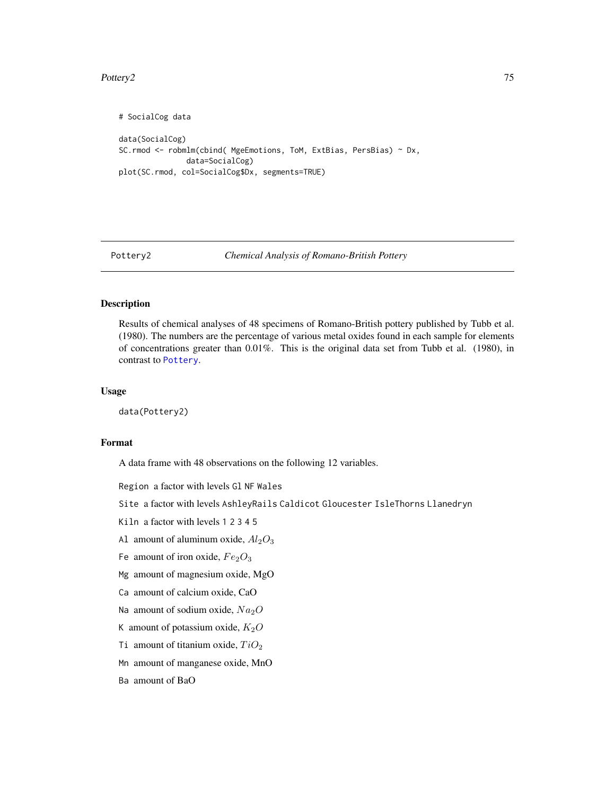#### <span id="page-74-0"></span>Pottery2 75

```
# SocialCog data
data(SocialCog)
SC.rmod <- robmlm(cbind( MgeEmotions, ToM, ExtBias, PersBias) ~ Dx,
               data=SocialCog)
plot(SC.rmod, col=SocialCog$Dx, segments=TRUE)
```
Pottery2 *Chemical Analysis of Romano-British Pottery*

## Description

Results of chemical analyses of 48 specimens of Romano-British pottery published by Tubb et al. (1980). The numbers are the percentage of various metal oxides found in each sample for elements of concentrations greater than 0.01%. This is the original data set from Tubb et al. (1980), in contrast to [Pottery](#page-0-0).

#### Usage

data(Pottery2)

#### Format

A data frame with 48 observations on the following 12 variables.

Region a factor with levels Gl NF Wales

- Site a factor with levels AshleyRails Caldicot Gloucester IsleThorns Llanedryn
- Kiln a factor with levels 1 2 3 4 5
- Al amount of aluminum oxide,  $Al_2O_3$
- Fe amount of iron oxide,  $Fe<sub>2</sub>O<sub>3</sub>$
- Mg amount of magnesium oxide, MgO
- Ca amount of calcium oxide, CaO
- Na amount of sodium oxide,  $Na<sub>2</sub>O$
- K amount of potassium oxide,  $K_2O$
- Ti amount of titanium oxide,  $TiO<sub>2</sub>$
- Mn amount of manganese oxide, MnO

Ba amount of BaO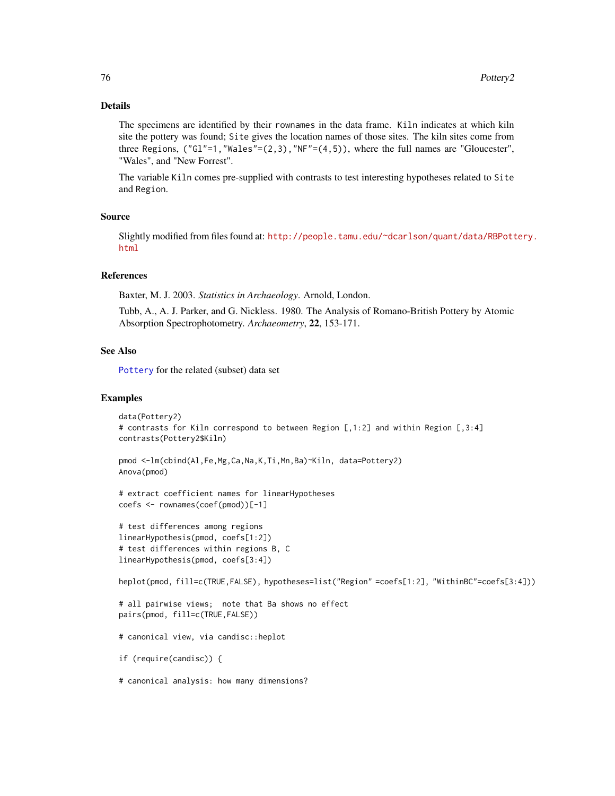## <span id="page-75-0"></span>Details

The specimens are identified by their rownames in the data frame. Kiln indicates at which kiln site the pottery was found; Site gives the location names of those sites. The kiln sites come from three Regions, ("Gl"=1, "Wales"= $(2,3)$ , "NF"= $(4,5)$ ), where the full names are "Gloucester", "Wales", and "New Forrest".

The variable Kiln comes pre-supplied with contrasts to test interesting hypotheses related to Site and Region.

#### Source

Slightly modified from files found at: [http://people.tamu.edu/~dcarlson/quant/data/RBPott](http://people.tamu.edu/~dcarlson/quant/data/RBPottery.html)ery. [html](http://people.tamu.edu/~dcarlson/quant/data/RBPottery.html)

#### References

Baxter, M. J. 2003. *Statistics in Archaeology*. Arnold, London.

Tubb, A., A. J. Parker, and G. Nickless. 1980. The Analysis of Romano-British Pottery by Atomic Absorption Spectrophotometry. *Archaeometry*, 22, 153-171.

## See Also

[Pottery](#page-0-0) for the related (subset) data set

#### Examples

```
data(Pottery2)
# contrasts for Kiln correspond to between Region [,1:2] and within Region [,3:4]
contrasts(Pottery2$Kiln)
```

```
pmod <-lm(cbind(Al,Fe,Mg,Ca,Na,K,Ti,Mn,Ba)~Kiln, data=Pottery2)
Anova(pmod)
```

```
# extract coefficient names for linearHypotheses
coefs <- rownames(coef(pmod))[-1]
```

```
# test differences among regions
linearHypothesis(pmod, coefs[1:2])
# test differences within regions B, C
linearHypothesis(pmod, coefs[3:4])
```
heplot(pmod, fill=c(TRUE,FALSE), hypotheses=list("Region" =coefs[1:2], "WithinBC"=coefs[3:4]))

```
# all pairwise views; note that Ba shows no effect
pairs(pmod, fill=c(TRUE,FALSE))
```

```
# canonical view, via candisc::heplot
```

```
if (require(candisc)) {
```
# canonical analysis: how many dimensions?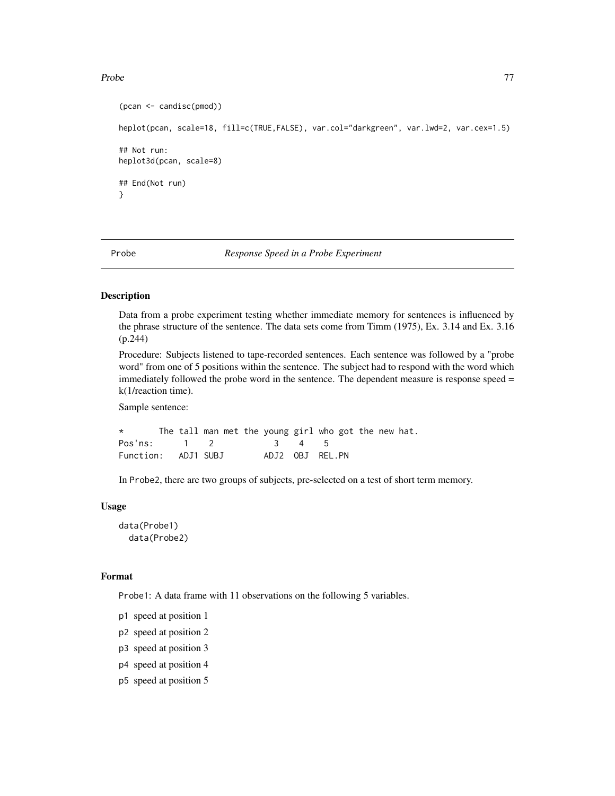#### <span id="page-76-0"></span>Probe 77

```
(pcan <- candisc(pmod))
heplot(pcan, scale=18, fill=c(TRUE,FALSE), var.col="darkgreen", var.lwd=2, var.cex=1.5)
## Not run:
heplot3d(pcan, scale=8)
## End(Not run)
}
```
Probe *Response Speed in a Probe Experiment*

## Description

Data from a probe experiment testing whether immediate memory for sentences is influenced by the phrase structure of the sentence. The data sets come from Timm (1975), Ex. 3.14 and Ex. 3.16 (p.244)

Procedure: Subjects listened to tape-recorded sentences. Each sentence was followed by a "probe word" from one of 5 positions within the sentence. The subject had to respond with the word which immediately followed the probe word in the sentence. The dependent measure is response speed = k(1/reaction time).

Sample sentence:

\* The tall man met the young girl who got the new hat. Pos'ns: 1 2 3 4 5 Function: ADJ1 SUBJ ADJ2 OBJ REL.PN

In Probe2, there are two groups of subjects, pre-selected on a test of short term memory.

#### Usage

data(Probe1) data(Probe2)

#### Format

Probe1: A data frame with 11 observations on the following 5 variables.

- p1 speed at position 1
- p2 speed at position 2
- p3 speed at position 3
- p4 speed at position 4
- p5 speed at position 5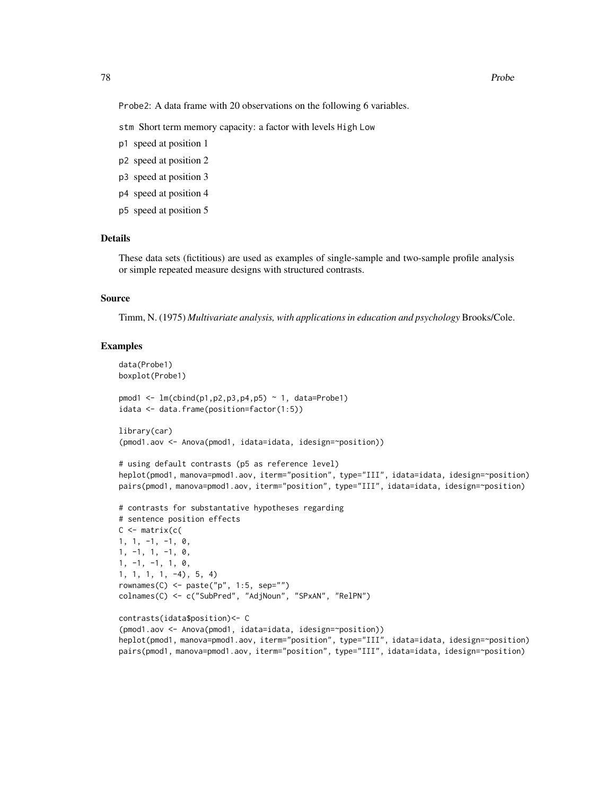Probe2: A data frame with 20 observations on the following 6 variables.

stm Short term memory capacity: a factor with levels High Low

- p1 speed at position 1
- p2 speed at position 2
- p3 speed at position 3
- p4 speed at position 4
- p5 speed at position 5

#### Details

These data sets (fictitious) are used as examples of single-sample and two-sample profile analysis or simple repeated measure designs with structured contrasts.

## Source

Timm, N. (1975) *Multivariate analysis, with applications in education and psychology* Brooks/Cole.

```
data(Probe1)
boxplot(Probe1)
pmod1 <- lm(cbind(p1,p2,p3,p4,p5) ~ 1, data=Probe1)
idata <- data.frame(position=factor(1:5))
library(car)
(pmod1.aov <- Anova(pmod1, idata=idata, idesign=~position))
# using default contrasts (p5 as reference level)
heplot(pmod1, manova=pmod1.aov, iterm="position", type="III", idata=idata, idesign=~position)
pairs(pmod1, manova=pmod1.aov, iterm="position", type="III", idata=idata, idesign=~position)
# contrasts for substantative hypotheses regarding
# sentence position effects
C \leftarrow matrix(c)1, 1, -1, -1, 0,
1, -1, 1, -1, 0,
1, -1, -1, 1, 0,
1, 1, 1, 1, -4), 5, 4)
rownames(C) <- paste("p", 1:5, sep="")
colnames(C) <- c("SubPred", "AdjNoun", "SPxAN", "RelPN")
contrasts(idata$position)<- C
(pmod1.aov <- Anova(pmod1, idata=idata, idesign=~position))
heplot(pmod1, manova=pmod1.aov, iterm="position", type="III", idata=idata, idesign=~position)
pairs(pmod1, manova=pmod1.aov, iterm="position", type="III", idata=idata, idesign=~position)
```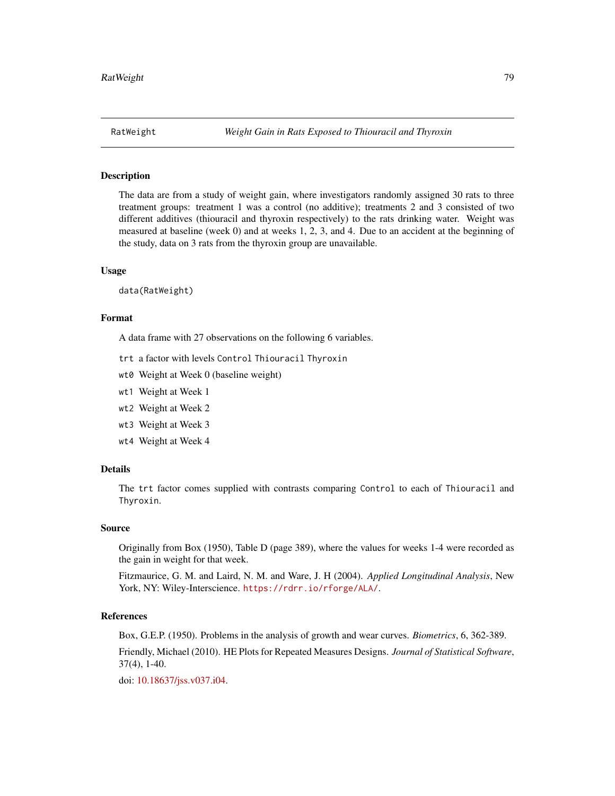<span id="page-78-0"></span>

## Description

The data are from a study of weight gain, where investigators randomly assigned 30 rats to three treatment groups: treatment 1 was a control (no additive); treatments 2 and 3 consisted of two different additives (thiouracil and thyroxin respectively) to the rats drinking water. Weight was measured at baseline (week 0) and at weeks 1, 2, 3, and 4. Due to an accident at the beginning of the study, data on 3 rats from the thyroxin group are unavailable.

#### Usage

data(RatWeight)

#### Format

A data frame with 27 observations on the following 6 variables.

- trt a factor with levels Control Thiouracil Thyroxin
- wt0 Weight at Week 0 (baseline weight)
- wt1 Weight at Week 1
- wt2 Weight at Week 2
- wt3 Weight at Week 3
- wt4 Weight at Week 4

## Details

The trt factor comes supplied with contrasts comparing Control to each of Thiouracil and Thyroxin.

## Source

Originally from Box (1950), Table D (page 389), where the values for weeks 1-4 were recorded as the gain in weight for that week.

Fitzmaurice, G. M. and Laird, N. M. and Ware, J. H (2004). *Applied Longitudinal Analysis*, New York, NY: Wiley-Interscience. <https://rdrr.io/rforge/ALA/>.

#### References

Box, G.E.P. (1950). Problems in the analysis of growth and wear curves. *Biometrics*, 6, 362-389.

Friendly, Michael (2010). HE Plots for Repeated Measures Designs. *Journal of Statistical Software*, 37(4), 1-40.

doi: [10.18637/jss.v037.i04.](https://doi.org/10.18637/jss.v037.i04)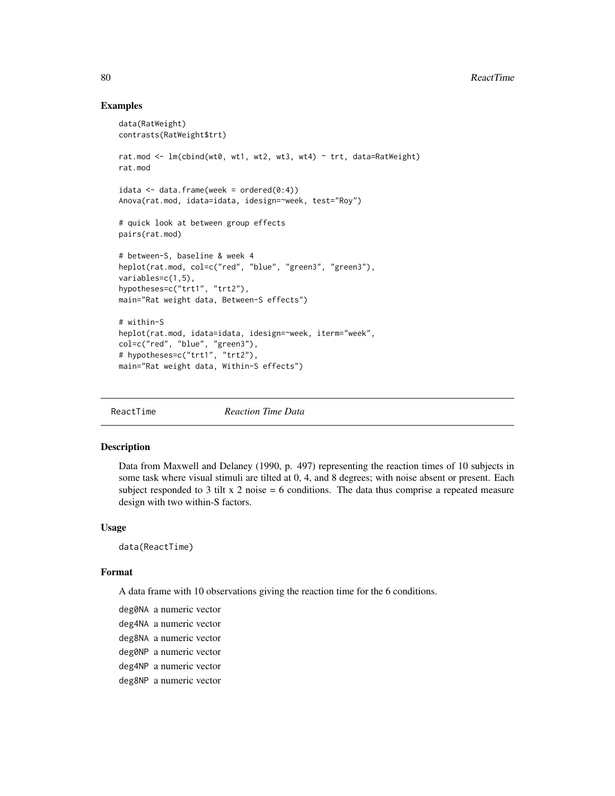## Examples

```
data(RatWeight)
contrasts(RatWeight$trt)
rat.mod <- lm(cbind(wt0, wt1, wt2, wt3, wt4) ~ trt, data=RatWeight)
rat.mod
idata \leq data.frame(week = ordered(0:4))
Anova(rat.mod, idata=idata, idesign=~week, test="Roy")
# quick look at between group effects
pairs(rat.mod)
# between-S, baseline & week 4
heplot(rat.mod, col=c("red", "blue", "green3", "green3"),
variables=c(1,5),
hypotheses=c("trt1", "trt2"),
main="Rat weight data, Between-S effects")
# within-S
heplot(rat.mod, idata=idata, idesign=~week, iterm="week",
col=c("red", "blue", "green3"),
# hypotheses=c("trt1", "trt2"),
main="Rat weight data, Within-S effects")
```

| Reaction Time Data |
|--------------------|
|--------------------|

## Description

Data from Maxwell and Delaney (1990, p. 497) representing the reaction times of 10 subjects in some task where visual stimuli are tilted at 0, 4, and 8 degrees; with noise absent or present. Each subject responded to 3 tilt x 2 noise  $= 6$  conditions. The data thus comprise a repeated measure design with two within-S factors.

#### Usage

data(ReactTime)

#### Format

A data frame with 10 observations giving the reaction time for the 6 conditions.

deg0NA a numeric vector deg4NA a numeric vector deg8NA a numeric vector deg0NP a numeric vector deg4NP a numeric vector deg8NP a numeric vector

<span id="page-79-0"></span>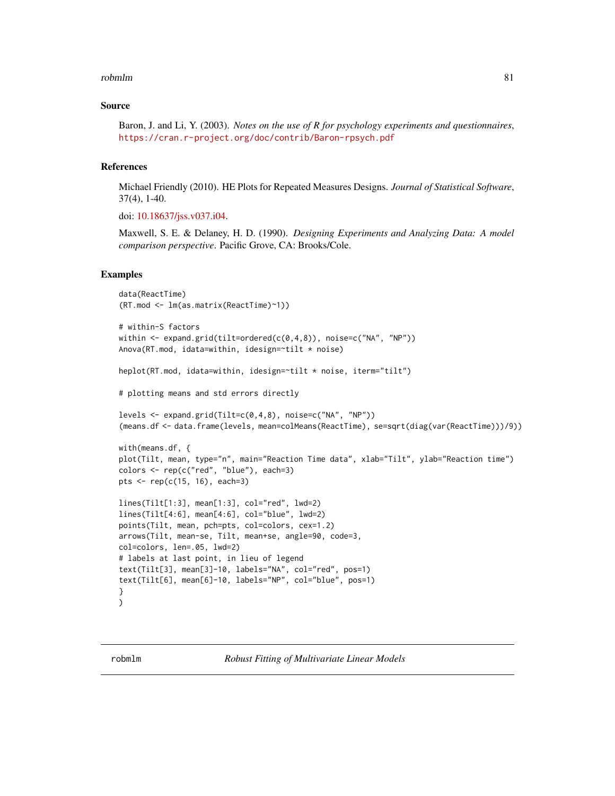#### <span id="page-80-1"></span>robmlm 81

#### Source

Baron, J. and Li, Y. (2003). *Notes on the use of R for psychology experiments and questionnaires*, <https://cran.r-project.org/doc/contrib/Baron-rpsych.pdf>

#### References

Michael Friendly (2010). HE Plots for Repeated Measures Designs. *Journal of Statistical Software*, 37(4), 1-40.

doi: [10.18637/jss.v037.i04.](https://doi.org/10.18637/jss.v037.i04)

Maxwell, S. E. & Delaney, H. D. (1990). *Designing Experiments and Analyzing Data: A model comparison perspective*. Pacific Grove, CA: Brooks/Cole.

#### Examples

```
data(ReactTime)
(RT.mod <- lm(as.matrix(ReactTime)~1))
# within-S factors
within \leq expand.grid(tilt=ordered(c(0,4,8)), noise=c("NA", "NP"))
Anova(RT.mod, idata=within, idesign=~tilt * noise)
heplot(RT.mod, idata=within, idesign=~tilt * noise, iterm="tilt")
# plotting means and std errors directly
levels <- expand.grid(Tilt=c(0,4,8), noise=c("NA", "NP"))
(means.df <- data.frame(levels, mean=colMeans(ReactTime), se=sqrt(diag(var(ReactTime)))/9))
with(means.df, {
plot(Tilt, mean, type="n", main="Reaction Time data", xlab="Tilt", ylab="Reaction time")
colors <- rep(c("red", "blue"), each=3)
pts <- rep(c(15, 16), each=3)
lines(Tilt[1:3], mean[1:3], col="red", lwd=2)
lines(Tilt[4:6], mean[4:6], col="blue", lwd=2)
points(Tilt, mean, pch=pts, col=colors, cex=1.2)
arrows(Tilt, mean-se, Tilt, mean+se, angle=90, code=3,
col=colors, len=.05, lwd=2)
# labels at last point, in lieu of legend
text(Tilt[3], mean[3]-10, labels="NA", col="red", pos=1)
text(Tilt[6], mean[6]-10, labels="NP", col="blue", pos=1)
}
)
```
<span id="page-80-0"></span>robmlm *Robust Fitting of Multivariate Linear Models*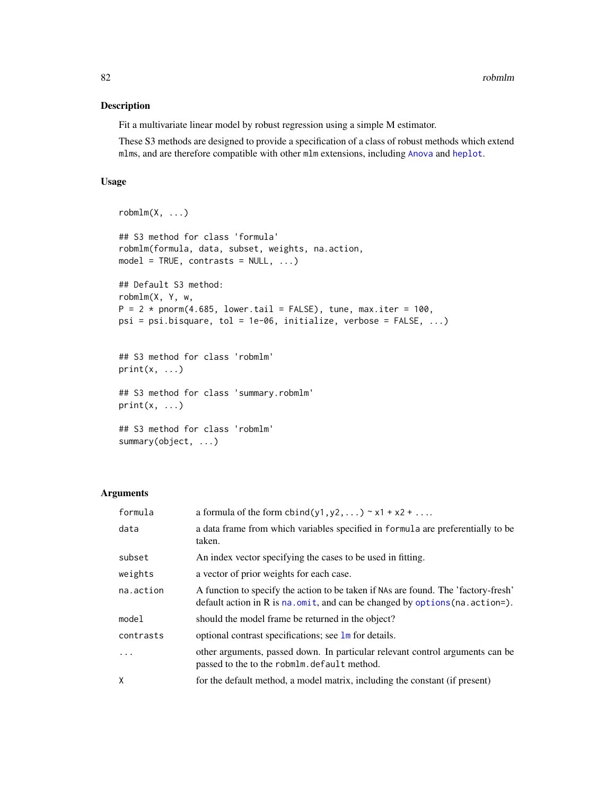## <span id="page-81-0"></span>Description

Fit a multivariate linear model by robust regression using a simple M estimator.

These S3 methods are designed to provide a specification of a class of robust methods which extend mlms, and are therefore compatible with other mlm extensions, including [Anova](#page-0-0) and [heplot](#page-34-0).

## Usage

```
robmlm(X, \ldots)## S3 method for class 'formula'
robmlm(formula, data, subset, weights, na.action,
model = TRUE, contrasts = NULL, ...)## Default S3 method:
robmlm(X, Y, w,
P = 2 * pnorm(4.685, lowerchilder = FALSE), tune, max.iter = 100,psi = psi.bisquare, tol = 1e-06, initialize, verbose = FALSE, ...)## S3 method for class 'robmlm'
print(x, \ldots)## S3 method for class 'summary.robmlm'
print(x, \ldots)## S3 method for class 'robmlm'
summary(object, ...)
```
#### Arguments

| formula   | a formula of the form cbind(y1, y2, ) $\sim x1 + x2 + $                                                                                                                        |
|-----------|--------------------------------------------------------------------------------------------------------------------------------------------------------------------------------|
| data      | a data frame from which variables specified in formula are preferentially to be<br>taken.                                                                                      |
| subset    | An index vector specifying the cases to be used in fitting.                                                                                                                    |
| weights   | a vector of prior weights for each case.                                                                                                                                       |
| na.action | A function to specify the action to be taken if NAs are found. The 'factory-fresh'<br>default action in R is $na$ . omit, and can be changed by options ( $na$ . $action =$ ). |
| model     | should the model frame be returned in the object?                                                                                                                              |
| contrasts | optional contrast specifications; see lm for details.                                                                                                                          |
| .         | other arguments, passed down. In particular relevant control arguments can be<br>passed to the to the robmlm. default method.                                                  |
| X         | for the default method, a model matrix, including the constant (if present)                                                                                                    |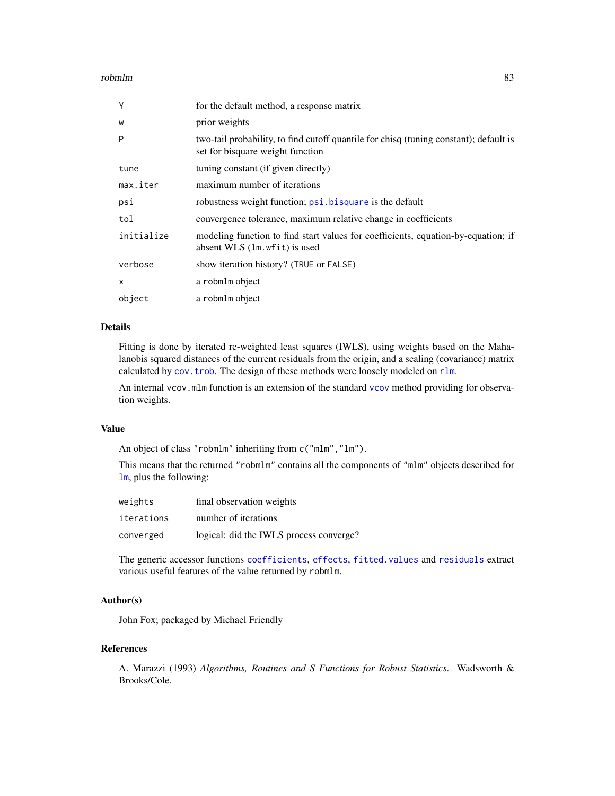#### <span id="page-82-0"></span>robmlm 83

| Y          | for the default method, a response matrix                                                                                 |
|------------|---------------------------------------------------------------------------------------------------------------------------|
| W          | prior weights                                                                                                             |
| P          | two-tail probability, to find cutoff quantile for chisq (tuning constant); default is<br>set for bisquare weight function |
| tune       | tuning constant (if given directly)                                                                                       |
| max.iter   | maximum number of iterations                                                                                              |
| psi        | robustness weight function; psi. bisquare is the default                                                                  |
| tol        | convergence tolerance, maximum relative change in coefficients                                                            |
| initialize | modeling function to find start values for coefficients, equation-by-equation; if<br>absent WLS (1m. wfit) is used        |
| verbose    | show iteration history? (TRUE or FALSE)                                                                                   |
| X          | a robmlm object                                                                                                           |
| object     | a robmlm object                                                                                                           |

## Details

Fitting is done by iterated re-weighted least squares (IWLS), using weights based on the Mahalanobis squared distances of the current residuals from the origin, and a scaling (covariance) matrix calculated by [cov.trob](#page-0-0). The design of these methods were loosely modeled on [rlm](#page-0-0).

An internal vcov.mlm function is an extension of the standard [vcov](#page-0-0) method providing for observation weights.

#### Value

An object of class "robmlm" inheriting from c("mlm","lm").

This means that the returned "robmlm" contains all the components of "mlm" objects described for [lm](#page-0-0), plus the following:

| weights    | final observation weights               |
|------------|-----------------------------------------|
| iterations | number of iterations                    |
| converged  | logical: did the IWLS process converge? |

The generic accessor functions [coefficients](#page-0-0), [effects](#page-0-0), [fitted.values](#page-0-0) and [residuals](#page-0-0) extract various useful features of the value returned by robmlm.

## Author(s)

John Fox; packaged by Michael Friendly

## References

A. Marazzi (1993) *Algorithms, Routines and S Functions for Robust Statistics*. Wadsworth & Brooks/Cole.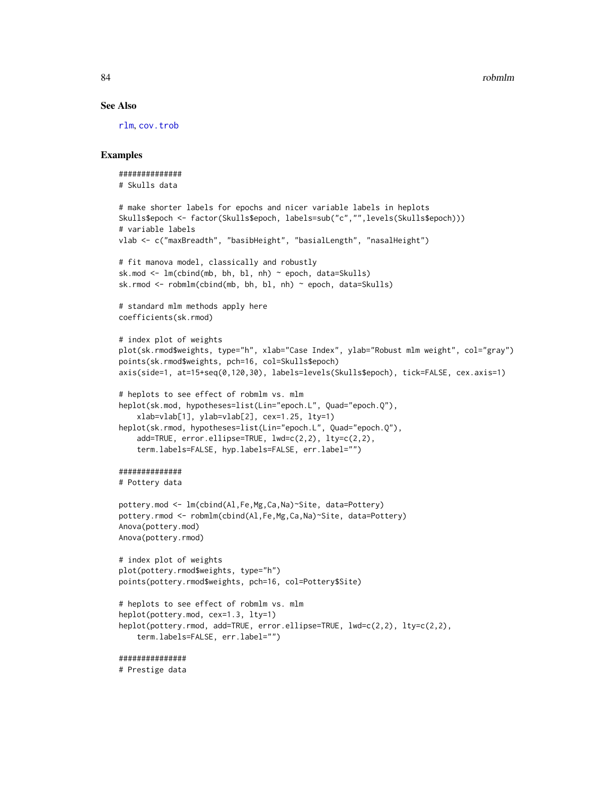#### See Also

[rlm](#page-0-0), [cov.trob](#page-0-0)

```
##############
# Skulls data
# make shorter labels for epochs and nicer variable labels in heplots
Skulls$epoch <- factor(Skulls$epoch, labels=sub("c","",levels(Skulls$epoch)))
# variable labels
vlab <- c("maxBreadth", "basibHeight", "basialLength", "nasalHeight")
# fit manova model, classically and robustly
sk.mod \leq lm(cbind(mb, bh, bl, nh) \sim epoch, data=Skulls)
sk.rmod <- robmlm(cbind(mb, bh, bl, nh) ~ epoch, data=Skulls)
# standard mlm methods apply here
coefficients(sk.rmod)
# index plot of weights
plot(sk.rmod$weights, type="h", xlab="Case Index", ylab="Robust mlm weight", col="gray")
points(sk.rmod$weights, pch=16, col=Skulls$epoch)
axis(side=1, at=15+seq(0,120,30), labels=levels(Skulls$epoch), tick=FALSE, cex.axis=1)
# heplots to see effect of robmlm vs. mlm
heplot(sk.mod, hypotheses=list(Lin="epoch.L", Quad="epoch.Q"),
    xlab=vlab[1], ylab=vlab[2], cex=1.25, lty=1)
heplot(sk.rmod, hypotheses=list(Lin="epoch.L", Quad="epoch.Q"),
    add=TRUE, error.ellipse=TRUE, lwd=c(2,2), lty=c(2,2),
    term.labels=FALSE, hyp.labels=FALSE, err.label="")
##############
# Pottery data
pottery.mod <- lm(cbind(Al,Fe,Mg,Ca,Na)~Site, data=Pottery)
pottery.rmod <- robmlm(cbind(Al,Fe,Mg,Ca,Na)~Site, data=Pottery)
Anova(pottery.mod)
Anova(pottery.rmod)
# index plot of weights
plot(pottery.rmod$weights, type="h")
points(pottery.rmod$weights, pch=16, col=Pottery$Site)
# heplots to see effect of robmlm vs. mlm
heplot(pottery.mod, cex=1.3, lty=1)
heplot(pottery.rmod, add=TRUE, error.ellipse=TRUE, lwd=c(2,2), lty=c(2,2),
    term.labels=FALSE, err.label="")
###############
# Prestige data
```
<span id="page-83-0"></span>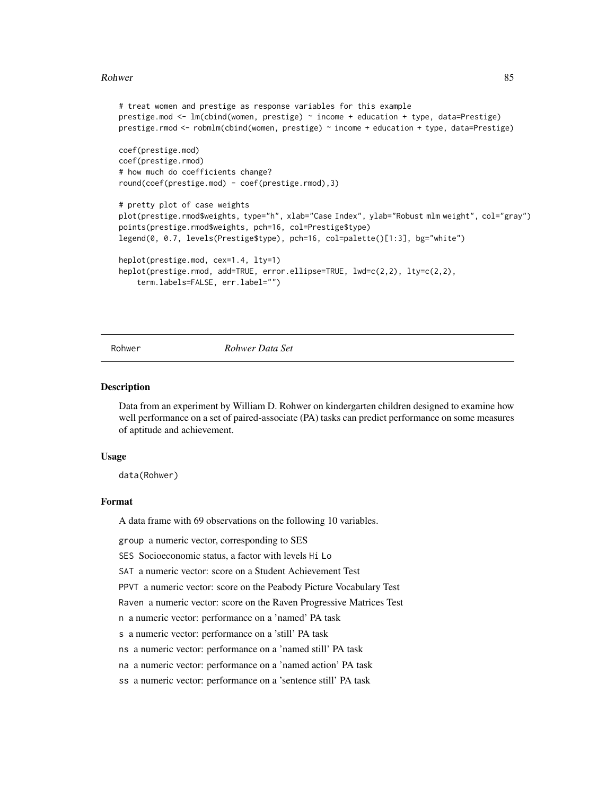#### <span id="page-84-0"></span>Rohwer 85

```
# treat women and prestige as response variables for this example
prestige.mod <- lm(cbind(women, prestige) ~ income + education + type, data=Prestige)
prestige.rmod <- robmlm(cbind(women, prestige) ~ income + education + type, data=Prestige)
coef(prestige.mod)
coef(prestige.rmod)
# how much do coefficients change?
round(coef(prestige.mod) - coef(prestige.rmod),3)
# pretty plot of case weights
plot(prestige.rmod$weights, type="h", xlab="Case Index", ylab="Robust mlm weight", col="gray")
points(prestige.rmod$weights, pch=16, col=Prestige$type)
legend(0, 0.7, levels(Prestige$type), pch=16, col=palette()[1:3], bg="white")
heplot(prestige.mod, cex=1.4, lty=1)
heplot(prestige.rmod, add=TRUE, error.ellipse=TRUE, lwd=c(2,2), lty=c(2,2),
    term.labels=FALSE, err.label="")
```
Rohwer *Rohwer Data Set*

#### Description

Data from an experiment by William D. Rohwer on kindergarten children designed to examine how well performance on a set of paired-associate (PA) tasks can predict performance on some measures of aptitude and achievement.

#### Usage

data(Rohwer)

#### Format

A data frame with 69 observations on the following 10 variables.

group a numeric vector, corresponding to SES

SES Socioeconomic status, a factor with levels Hi Lo

SAT a numeric vector: score on a Student Achievement Test

PPVT a numeric vector: score on the Peabody Picture Vocabulary Test

Raven a numeric vector: score on the Raven Progressive Matrices Test

n a numeric vector: performance on a 'named' PA task

s a numeric vector: performance on a 'still' PA task

ns a numeric vector: performance on a 'named still' PA task

na a numeric vector: performance on a 'named action' PA task

ss a numeric vector: performance on a 'sentence still' PA task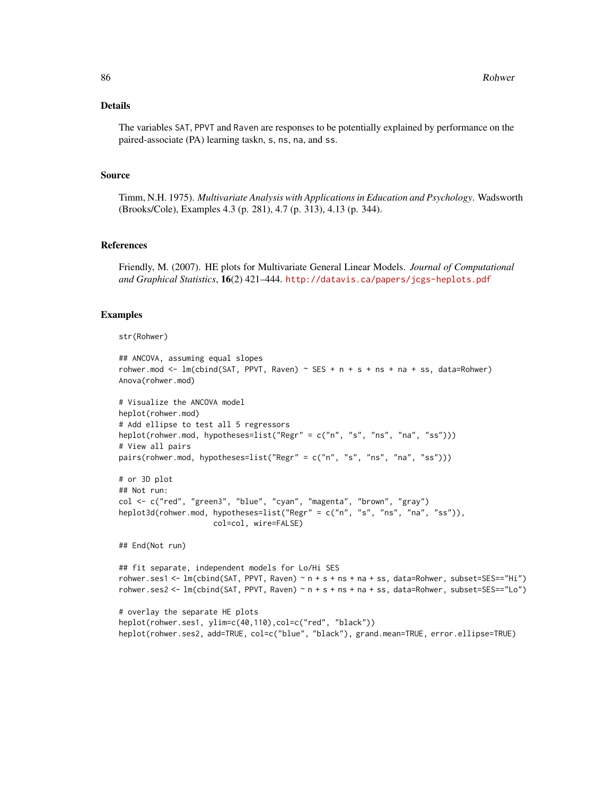## Details

The variables SAT, PPVT and Raven are responses to be potentially explained by performance on the paired-associate (PA) learning taskn, s, ns, na, and ss.

#### Source

Timm, N.H. 1975). *Multivariate Analysis with Applications in Education and Psychology*. Wadsworth (Brooks/Cole), Examples 4.3 (p. 281), 4.7 (p. 313), 4.13 (p. 344).

#### References

Friendly, M. (2007). HE plots for Multivariate General Linear Models. *Journal of Computational and Graphical Statistics*, 16(2) 421–444. <http://datavis.ca/papers/jcgs-heplots.pdf>

#### Examples

```
str(Rohwer)
```

```
## ANCOVA, assuming equal slopes
rohwer.mod \leq lm(cbind(SAT, PPVT, Raven) \sim SES + n + s + ns + na + ss, data=Rohwer)
Anova(rohwer.mod)
```

```
# Visualize the ANCOVA model
heplot(rohwer.mod)
# Add ellipse to test all 5 regressors
heplot(rohwer.mod, hypotheses=list("Regr" = c("n", "s", "ns", "na", "ss")))
# View all pairs
pairs(rohwer.mod, hypotheses=list("Regr" = c("n", "s", "ns", "na", "ss")))
```

```
# or 3D plot
## Not run:
col <- c("red", "green3", "blue", "cyan", "magenta", "brown", "gray")
heplot3d(rohwer.mod, hypotheses=list("Regr" = c("n", "s", "ns", "na", "ss")),
                     col=col, wire=FALSE)
```
## End(Not run)

```
## fit separate, independent models for Lo/Hi SES
rohwer.ses1 <- lm(cbind(SAT, PPVT, Raven) ~ n + s + ns + na + ss, data=Rohwer, subset=SES=="Hi")
rohwer.ses2 <- lm(cbind(SAT, PPVT, Raven) ~ n + s + ns + na + ss, data=Rohwer, subset=SES=="Lo")
```

```
# overlay the separate HE plots
heplot(rohwer.ses1, ylim=c(40,110),col=c("red", "black"))
heplot(rohwer.ses2, add=TRUE, col=c("blue", "black"), grand.mean=TRUE, error.ellipse=TRUE)
```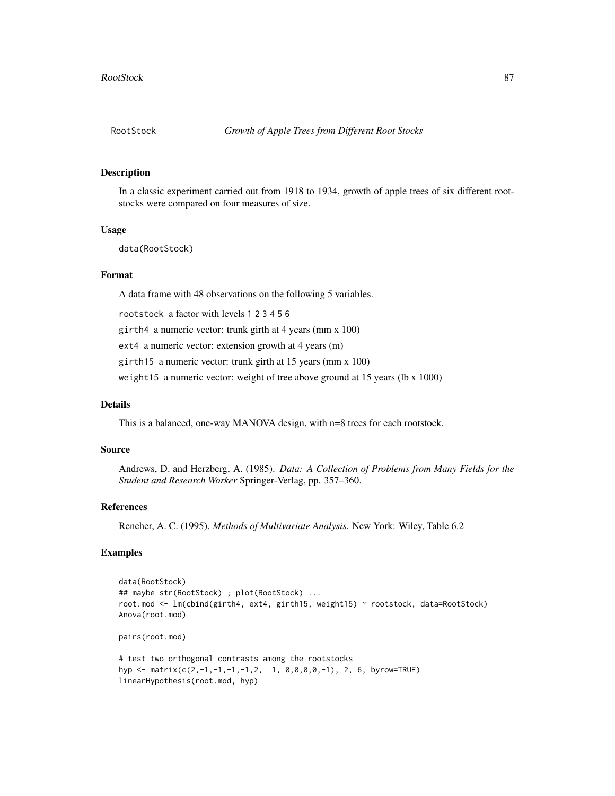<span id="page-86-0"></span>

#### **Description**

In a classic experiment carried out from 1918 to 1934, growth of apple trees of six different rootstocks were compared on four measures of size.

#### Usage

data(RootStock)

#### Format

A data frame with 48 observations on the following 5 variables.

rootstock a factor with levels 1 2 3 4 5 6

girth4 a numeric vector: trunk girth at 4 years (mm x 100)

ext4 a numeric vector: extension growth at 4 years (m)

girth15 a numeric vector: trunk girth at 15 years (mm x 100)

weight15 a numeric vector: weight of tree above ground at 15 years (lb x 1000)

## Details

This is a balanced, one-way MANOVA design, with n=8 trees for each rootstock.

#### Source

Andrews, D. and Herzberg, A. (1985). *Data: A Collection of Problems from Many Fields for the Student and Research Worker* Springer-Verlag, pp. 357–360.

## References

Rencher, A. C. (1995). *Methods of Multivariate Analysis*. New York: Wiley, Table 6.2

```
data(RootStock)
## maybe str(RootStock) ; plot(RootStock) ...
root.mod <- lm(cbind(girth4, ext4, girth15, weight15) ~ rootstock, data=RootStock)
Anova(root.mod)
pairs(root.mod)
# test two orthogonal contrasts among the rootstocks
hyp <- matrix(c(2,-1,-1,-1,-1,2, 1, 0,0,0,0,-1), 2, 6, byrow=TRUE)
linearHypothesis(root.mod, hyp)
```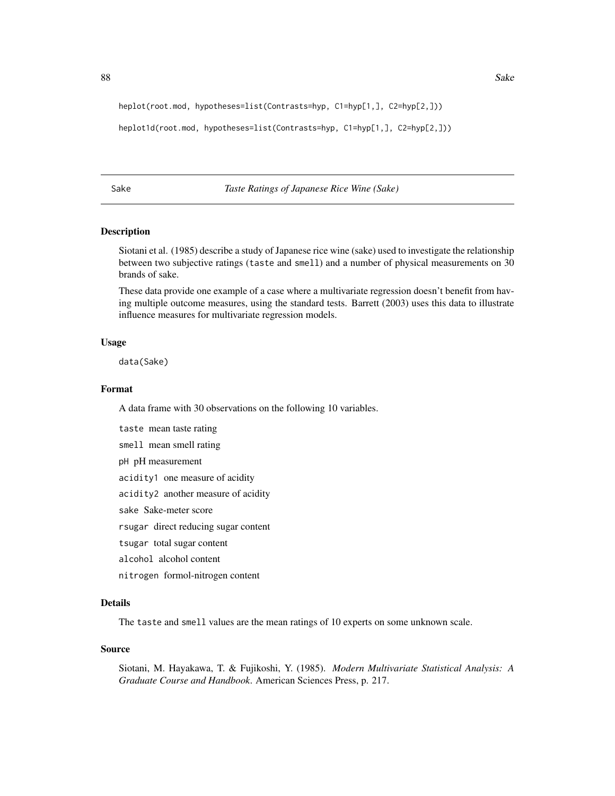<span id="page-87-0"></span>heplot(root.mod, hypotheses=list(Contrasts=hyp, C1=hyp[1,], C2=hyp[2,]))

```
heplot1d(root.mod, hypotheses=list(Contrasts=hyp, C1=hyp[1,], C2=hyp[2,]))
```
Sake *Taste Ratings of Japanese Rice Wine (Sake)*

## Description

Siotani et al. (1985) describe a study of Japanese rice wine (sake) used to investigate the relationship between two subjective ratings (taste and smell) and a number of physical measurements on 30 brands of sake.

These data provide one example of a case where a multivariate regression doesn't benefit from having multiple outcome measures, using the standard tests. Barrett (2003) uses this data to illustrate influence measures for multivariate regression models.

#### Usage

data(Sake)

## Format

A data frame with 30 observations on the following 10 variables.

taste mean taste rating

smell mean smell rating

pH pH measurement

acidity1 one measure of acidity

acidity2 another measure of acidity

sake Sake-meter score

rsugar direct reducing sugar content

tsugar total sugar content

alcohol alcohol content

nitrogen formol-nitrogen content

## Details

The taste and smell values are the mean ratings of 10 experts on some unknown scale.

#### Source

Siotani, M. Hayakawa, T. & Fujikoshi, Y. (1985). *Modern Multivariate Statistical Analysis: A Graduate Course and Handbook*. American Sciences Press, p. 217.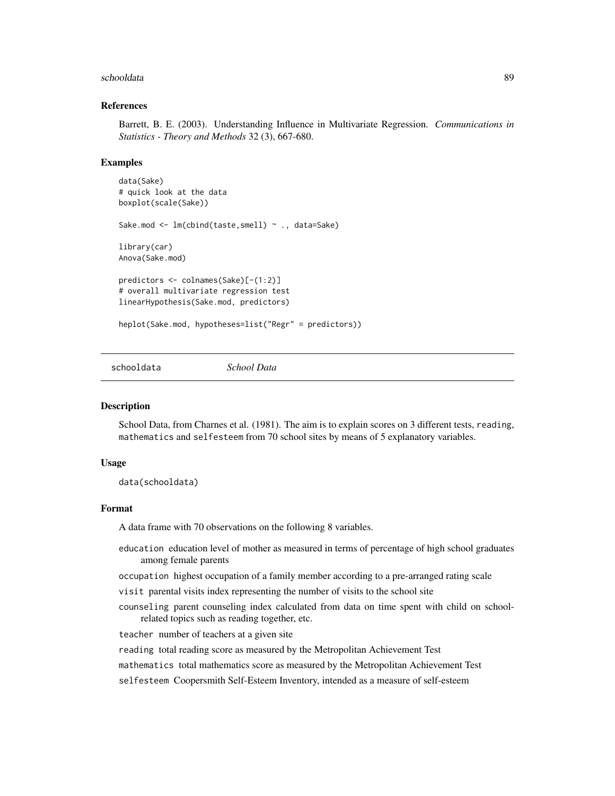#### <span id="page-88-0"></span>schooldata and the set of the set of the set of the set of the set of the set of the set of the set of the set of the set of the set of the set of the set of the set of the set of the set of the set of the set of the set o

#### References

Barrett, B. E. (2003). Understanding Influence in Multivariate Regression. *Communications in Statistics - Theory and Methods* 32 (3), 667-680.

#### Examples

```
data(Sake)
# quick look at the data
boxplot(scale(Sake))
Sake.mod <- lm(cbind(taste,smell) ~ ., data=Sake)
library(car)
Anova(Sake.mod)
predictors <- colnames(Sake)[-(1:2)]
# overall multivariate regression test
linearHypothesis(Sake.mod, predictors)
heplot(Sake.mod, hypotheses=list("Regr" = predictors))
```
schooldata *School Data*

## Description

School Data, from Charnes et al. (1981). The aim is to explain scores on 3 different tests, reading, mathematics and selfesteem from 70 school sites by means of 5 explanatory variables.

#### Usage

data(schooldata)

#### Format

A data frame with 70 observations on the following 8 variables.

- education education level of mother as measured in terms of percentage of high school graduates among female parents
- occupation highest occupation of a family member according to a pre-arranged rating scale
- visit parental visits index representing the number of visits to the school site
- counseling parent counseling index calculated from data on time spent with child on schoolrelated topics such as reading together, etc.

teacher number of teachers at a given site

reading total reading score as measured by the Metropolitan Achievement Test

mathematics total mathematics score as measured by the Metropolitan Achievement Test

selfesteem Coopersmith Self-Esteem Inventory, intended as a measure of self-esteem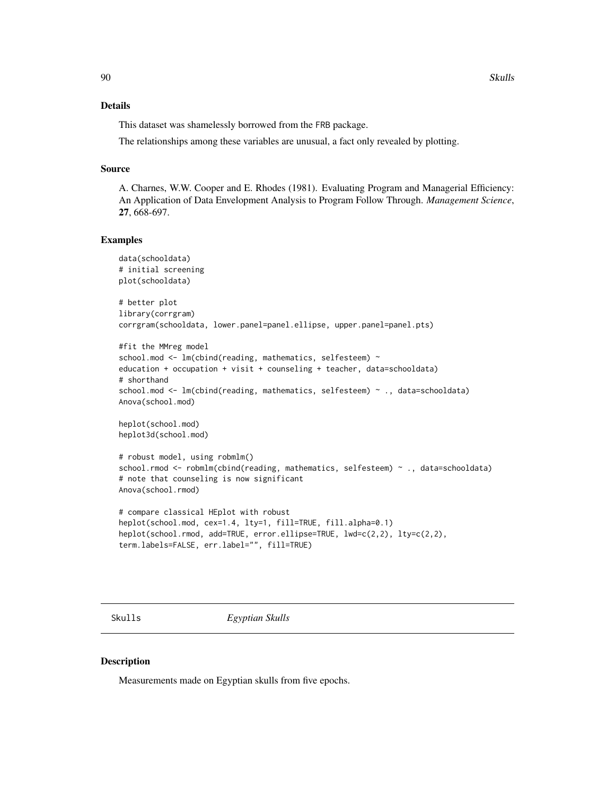## <span id="page-89-0"></span>Details

This dataset was shamelessly borrowed from the FRB package.

The relationships among these variables are unusual, a fact only revealed by plotting.

#### Source

A. Charnes, W.W. Cooper and E. Rhodes (1981). Evaluating Program and Managerial Efficiency: An Application of Data Envelopment Analysis to Program Follow Through. *Management Science*, 27, 668-697.

#### Examples

```
data(schooldata)
# initial screening
plot(schooldata)
# better plot
library(corrgram)
corrgram(schooldata, lower.panel=panel.ellipse, upper.panel=panel.pts)
#fit the MMreg model
school.mod <- lm(cbind(reading, mathematics, selfesteem) ~
education + occupation + visit + counseling + teacher, data=schooldata)
# shorthand
school.mod <- lm(cbind(reading, mathematics, selfesteem) ~ ., data=schooldata)
Anova(school.mod)
heplot(school.mod)
heplot3d(school.mod)
# robust model, using robmlm()
school.rmod <- robmlm(cbind(reading, mathematics, selfesteem) ~ ., data=schooldata)
# note that counseling is now significant
Anova(school.rmod)
# compare classical HEplot with robust
heplot(school.mod, cex=1.4, lty=1, fill=TRUE, fill.alpha=0.1)
heplot(school.rmod, add=TRUE, error.ellipse=TRUE, lwd=c(2,2), lty=c(2,2),
term.labels=FALSE, err.label="", fill=TRUE)
```
Skulls *Egyptian Skulls*

## Description

Measurements made on Egyptian skulls from five epochs.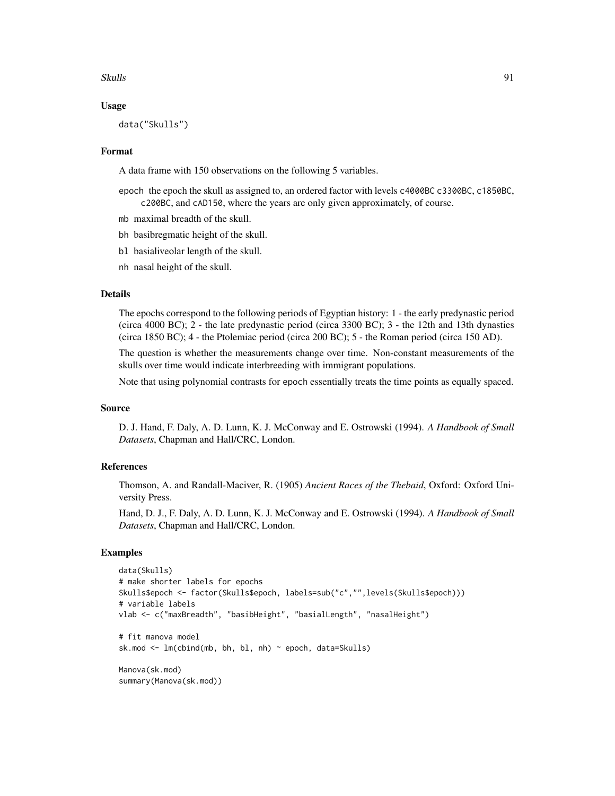#### $S$ kulls  $91$

#### Usage

data("Skulls")

#### Format

A data frame with 150 observations on the following 5 variables.

- epoch the epoch the skull as assigned to, an ordered factor with levels c4000BC c3300BC, c1850BC, c200BC, and cAD150, where the years are only given approximately, of course.
- mb maximal breadth of the skull.
- bh basibregmatic height of the skull.
- bl basialiveolar length of the skull.
- nh nasal height of the skull.

#### Details

The epochs correspond to the following periods of Egyptian history: 1 - the early predynastic period (circa 4000 BC); 2 - the late predynastic period (circa 3300 BC); 3 - the 12th and 13th dynasties (circa 1850 BC); 4 - the Ptolemiac period (circa 200 BC); 5 - the Roman period (circa 150 AD).

The question is whether the measurements change over time. Non-constant measurements of the skulls over time would indicate interbreeding with immigrant populations.

Note that using polynomial contrasts for epoch essentially treats the time points as equally spaced.

#### Source

D. J. Hand, F. Daly, A. D. Lunn, K. J. McConway and E. Ostrowski (1994). *A Handbook of Small Datasets*, Chapman and Hall/CRC, London.

#### References

Thomson, A. and Randall-Maciver, R. (1905) *Ancient Races of the Thebaid*, Oxford: Oxford University Press.

Hand, D. J., F. Daly, A. D. Lunn, K. J. McConway and E. Ostrowski (1994). *A Handbook of Small Datasets*, Chapman and Hall/CRC, London.

```
data(Skulls)
# make shorter labels for epochs
Skulls$epoch <- factor(Skulls$epoch, labels=sub("c","",levels(Skulls$epoch)))
# variable labels
vlab <- c("maxBreadth", "basibHeight", "basialLength", "nasalHeight")
# fit manova model
sk.mod \leq lm(cbind(mb, bh, bl, nh) \sim epoch, data=Skulls)
Manova(sk.mod)
summary(Manova(sk.mod))
```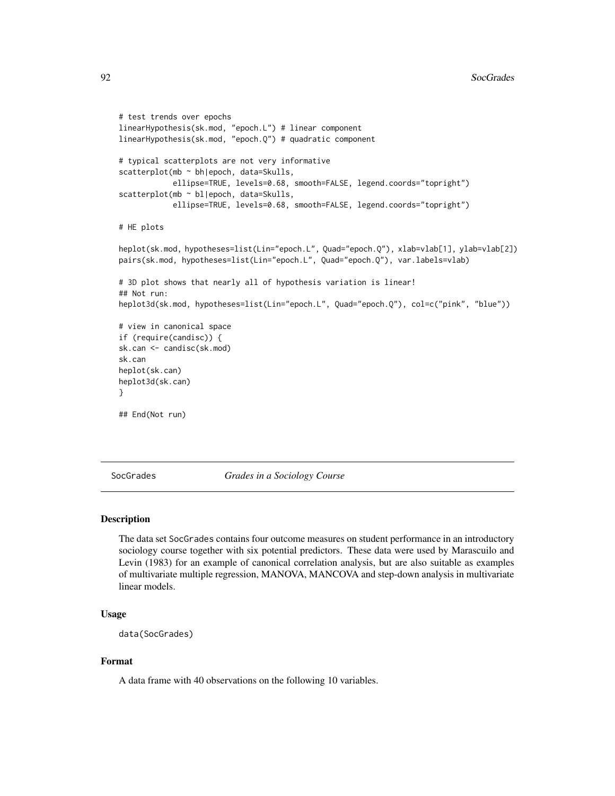```
# test trends over epochs
linearHypothesis(sk.mod, "epoch.L") # linear component
linearHypothesis(sk.mod, "epoch.Q") # quadratic component
# typical scatterplots are not very informative
scatterplot(mb ~ bh|epoch, data=Skulls,
            ellipse=TRUE, levels=0.68, smooth=FALSE, legend.coords="topright")
scatterplot(mb ~ bl|epoch, data=Skulls,
            ellipse=TRUE, levels=0.68, smooth=FALSE, legend.coords="topright")
# HE plots
heplot(sk.mod, hypotheses=list(Lin="epoch.L", Quad="epoch.Q"), xlab=vlab[1], ylab=vlab[2])
pairs(sk.mod, hypotheses=list(Lin="epoch.L", Quad="epoch.Q"), var.labels=vlab)
# 3D plot shows that nearly all of hypothesis variation is linear!
## Not run:
heplot3d(sk.mod, hypotheses=list(Lin="epoch.L", Quad="epoch.Q"), col=c("pink", "blue"))
# view in canonical space
if (require(candisc)) {
sk.can <- candisc(sk.mod)
sk.can
heplot(sk.can)
heplot3d(sk.can)
}
## End(Not run)
```
SocGrades *Grades in a Sociology Course*

## Description

The data set SocGrades contains four outcome measures on student performance in an introductory sociology course together with six potential predictors. These data were used by Marascuilo and Levin (1983) for an example of canonical correlation analysis, but are also suitable as examples of multivariate multiple regression, MANOVA, MANCOVA and step-down analysis in multivariate linear models.

## Usage

```
data(SocGrades)
```
#### Format

A data frame with 40 observations on the following 10 variables.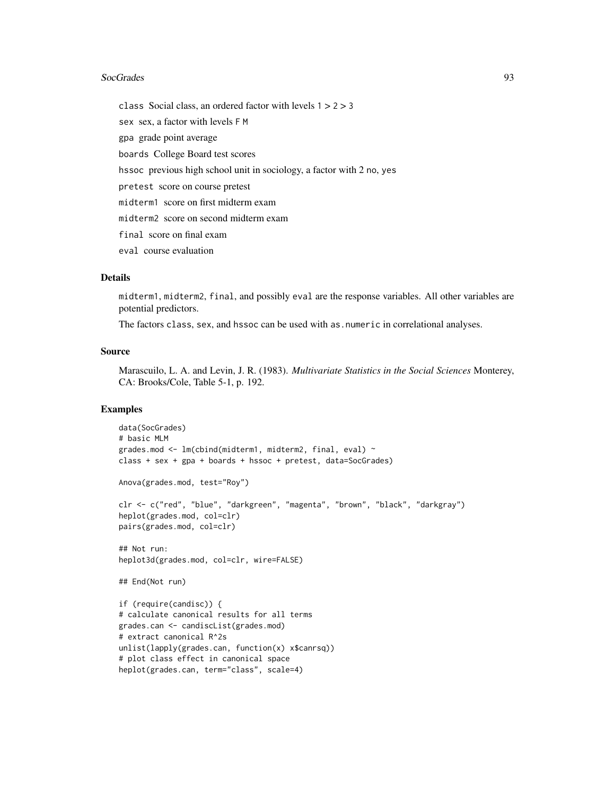#### SocGrades 93

class Social class, an ordered factor with levels 1 > 2 > 3 sex sex, a factor with levels F M gpa grade point average boards College Board test scores hssoc previous high school unit in sociology, a factor with 2 no, yes pretest score on course pretest midterm1 score on first midterm exam midterm2 score on second midterm exam final score on final exam eval course evaluation

## Details

midterm1, midterm2, final, and possibly eval are the response variables. All other variables are potential predictors.

The factors class, sex, and hssoc can be used with as.numeric in correlational analyses.

## Source

Marascuilo, L. A. and Levin, J. R. (1983). *Multivariate Statistics in the Social Sciences* Monterey, CA: Brooks/Cole, Table 5-1, p. 192.

```
data(SocGrades)
# basic MLM
grades.mod <- lm(cbind(midterm1, midterm2, final, eval) ~
class + sex + gpa + boards + hssoc + pretest, data=SocGrades)
Anova(grades.mod, test="Roy")
clr <- c("red", "blue", "darkgreen", "magenta", "brown", "black", "darkgray")
heplot(grades.mod, col=clr)
pairs(grades.mod, col=clr)
## Not run:
heplot3d(grades.mod, col=clr, wire=FALSE)
## End(Not run)
if (require(candisc)) {
# calculate canonical results for all terms
grades.can <- candiscList(grades.mod)
# extract canonical R^2s
unlist(lapply(grades.can, function(x) x$canrsq))
# plot class effect in canonical space
heplot(grades.can, term="class", scale=4)
```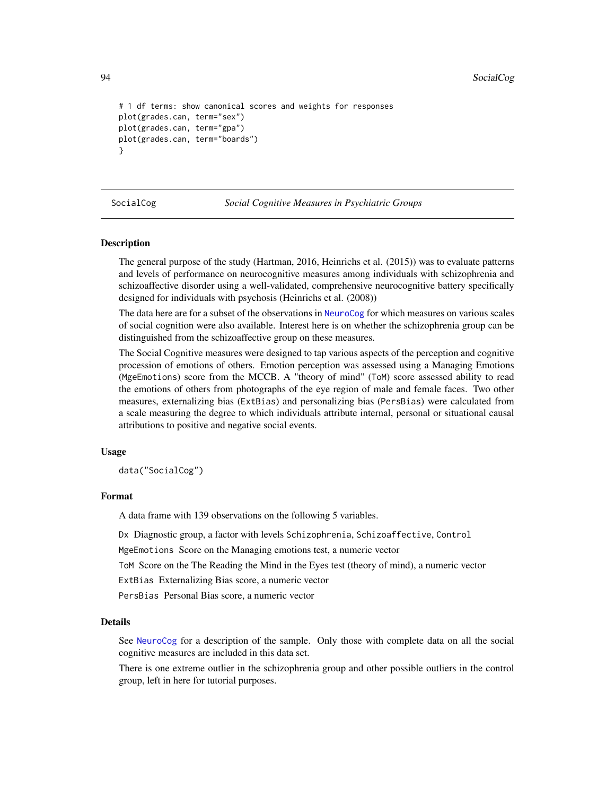```
# 1 df terms: show canonical scores and weights for responses
plot(grades.can, term="sex")
plot(grades.can, term="gpa")
plot(grades.can, term="boards")
}
```
SocialCog *Social Cognitive Measures in Psychiatric Groups*

#### Description

The general purpose of the study (Hartman, 2016, Heinrichs et al. (2015)) was to evaluate patterns and levels of performance on neurocognitive measures among individuals with schizophrenia and schizoaffective disorder using a well-validated, comprehensive neurocognitive battery specifically designed for individuals with psychosis (Heinrichs et al. (2008))

The data here are for a subset of the observations in [NeuroCog](#page-61-0) for which measures on various scales of social cognition were also available. Interest here is on whether the schizophrenia group can be distinguished from the schizoaffective group on these measures.

The Social Cognitive measures were designed to tap various aspects of the perception and cognitive procession of emotions of others. Emotion perception was assessed using a Managing Emotions (MgeEmotions) score from the MCCB. A "theory of mind" (ToM) score assessed ability to read the emotions of others from photographs of the eye region of male and female faces. Two other measures, externalizing bias (ExtBias) and personalizing bias (PersBias) were calculated from a scale measuring the degree to which individuals attribute internal, personal or situational causal attributions to positive and negative social events.

## Usage

data("SocialCog")

## Format

A data frame with 139 observations on the following 5 variables.

Dx Diagnostic group, a factor with levels Schizophrenia, Schizoaffective, Control

MgeEmotions Score on the Managing emotions test, a numeric vector

ToM Score on the The Reading the Mind in the Eyes test (theory of mind), a numeric vector

ExtBias Externalizing Bias score, a numeric vector

PersBias Personal Bias score, a numeric vector

#### Details

See [NeuroCog](#page-61-0) for a description of the sample. Only those with complete data on all the social cognitive measures are included in this data set.

There is one extreme outlier in the schizophrenia group and other possible outliers in the control group, left in here for tutorial purposes.

<span id="page-93-0"></span>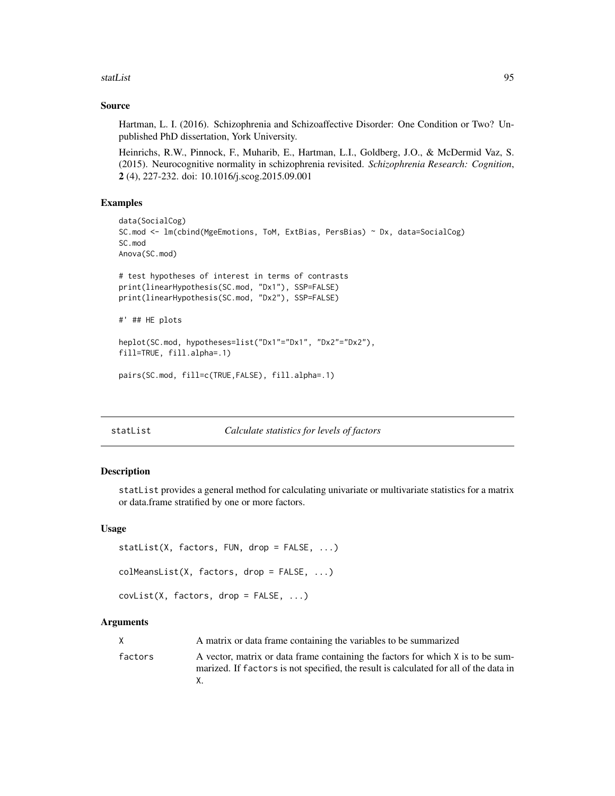#### <span id="page-94-2"></span>statList 95

## Source

Hartman, L. I. (2016). Schizophrenia and Schizoaffective Disorder: One Condition or Two? Unpublished PhD dissertation, York University.

Heinrichs, R.W., Pinnock, F., Muharib, E., Hartman, L.I., Goldberg, J.O., & McDermid Vaz, S. (2015). Neurocognitive normality in schizophrenia revisited. *Schizophrenia Research: Cognition*, 2 (4), 227-232. doi: 10.1016/j.scog.2015.09.001

## Examples

```
data(SocialCog)
SC.mod <- lm(cbind(MgeEmotions, ToM, ExtBias, PersBias) ~ Dx, data=SocialCog)
SC.mod
Anova(SC.mod)
# test hypotheses of interest in terms of contrasts
print(linearHypothesis(SC.mod, "Dx1"), SSP=FALSE)
print(linearHypothesis(SC.mod, "Dx2"), SSP=FALSE)
#' ## HE plots
heplot(SC.mod, hypotheses=list("Dx1"="Dx1", "Dx2"="Dx2"),
fill=TRUE, fill.alpha=.1)
pairs(SC.mod, fill=c(TRUE,FALSE), fill.alpha=.1)
```
## <span id="page-94-0"></span>statList *Calculate statistics for levels of factors*

#### <span id="page-94-1"></span>**Description**

statList provides a general method for calculating univariate or multivariate statistics for a matrix or data.frame stratified by one or more factors.

#### Usage

```
statList(X, factors, FUN, drop = FALSE, ...)
colMeansList(X, factors, drop = FALSE, ...)
covList(X, factors, drop = FALSE, ...)
```
## Arguments

|         | A matrix or data frame containing the variables to be summarized                                                                                                         |
|---------|--------------------------------------------------------------------------------------------------------------------------------------------------------------------------|
| factors | A vector, matrix or data frame containing the factors for which X is to be sum-<br>marized. If factors is not specified, the result is calculated for all of the data in |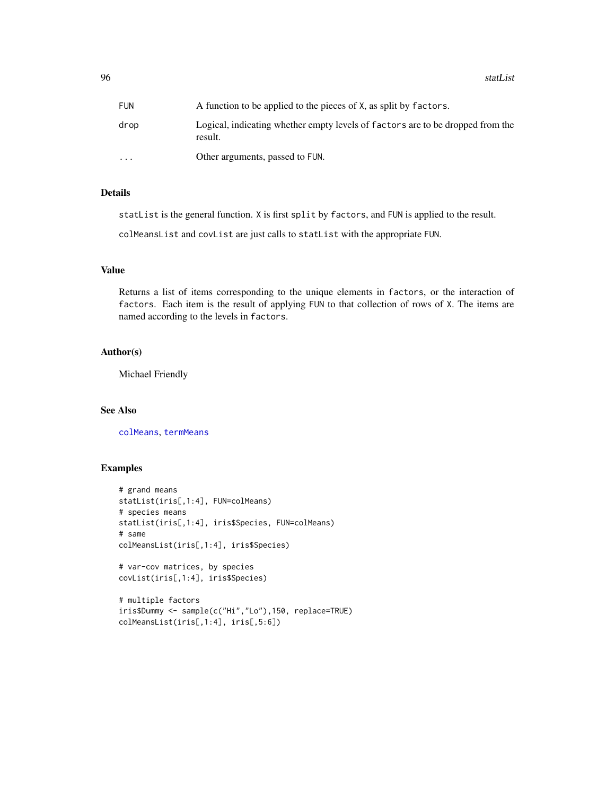<span id="page-95-0"></span>96 statList statList statList statList statList statList statList statList statList statList statList statList

| FUN      | A function to be applied to the pieces of X, as split by factors.                         |
|----------|-------------------------------------------------------------------------------------------|
| drop     | Logical, indicating whether empty levels of factors are to be dropped from the<br>result. |
| $\cdots$ | Other arguments, passed to FUN.                                                           |

## Details

statList is the general function. X is first split by factors, and FUN is applied to the result.

colMeansList and covList are just calls to statList with the appropriate FUN.

## Value

Returns a list of items corresponding to the unique elements in factors, or the interaction of factors. Each item is the result of applying FUN to that collection of rows of X. The items are named according to the levels in factors.

#### Author(s)

Michael Friendly

## See Also

[colMeans](#page-0-0), [termMeans](#page-96-0)

```
# grand means
statList(iris[,1:4], FUN=colMeans)
# species means
statList(iris[,1:4], iris$Species, FUN=colMeans)
# same
colMeansList(iris[,1:4], iris$Species)
# var-cov matrices, by species
covList(iris[,1:4], iris$Species)
# multiple factors
iris$Dummy <- sample(c("Hi","Lo"),150, replace=TRUE)
colMeansList(iris[,1:4], iris[,5:6])
```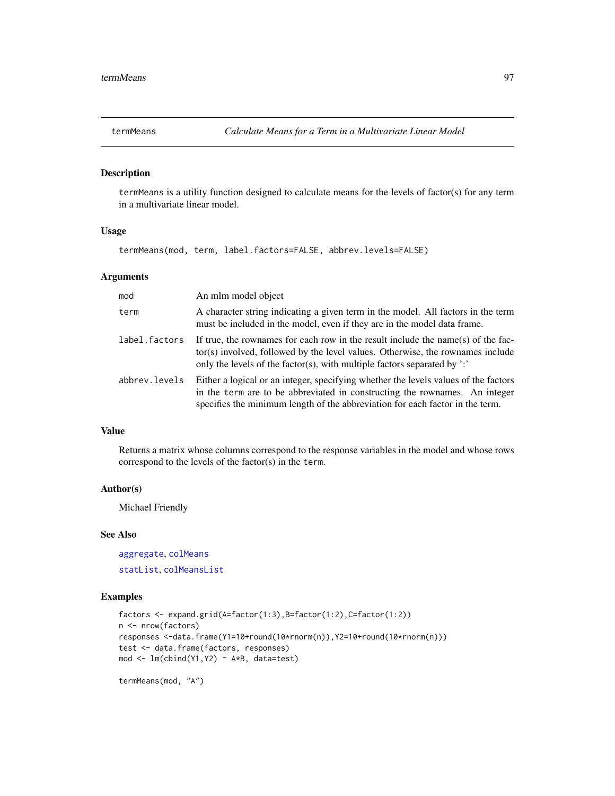<span id="page-96-1"></span><span id="page-96-0"></span>

## Description

termMeans is a utility function designed to calculate means for the levels of factor(s) for any term in a multivariate linear model.

## Usage

termMeans(mod, term, label.factors=FALSE, abbrev.levels=FALSE)

## Arguments

| mod           | An mlm model object                                                                                                                                                                                                                                  |
|---------------|------------------------------------------------------------------------------------------------------------------------------------------------------------------------------------------------------------------------------------------------------|
| term          | A character string indicating a given term in the model. All factors in the term<br>must be included in the model, even if they are in the model data frame.                                                                                         |
| label.factors | If true, the rownames for each row in the result include the name(s) of the fac-<br>tor(s) involved, followed by the level values. Otherwise, the rownames include<br>only the levels of the factor(s), with multiple factors separated by $\cdot$ . |
| abbrev.levels | Either a logical or an integer, specifying whether the levels values of the factors<br>in the term are to be abbreviated in constructing the rownames. An integer<br>specifies the minimum length of the abbreviation for each factor in the term.   |

## Value

Returns a matrix whose columns correspond to the response variables in the model and whose rows correspond to the levels of the factor(s) in the term.

#### Author(s)

Michael Friendly

## See Also

[aggregate](#page-0-0), [colMeans](#page-0-0) [statList](#page-94-0), [colMeansList](#page-94-1)

## Examples

```
factors \leq expand.grid(A=factor(1:3),B=factor(1:2),C=factor(1:2))
n <- nrow(factors)
responses <-data.frame(Y1=10+round(10*rnorm(n)),Y2=10+round(10*rnorm(n)))
test <- data.frame(factors, responses)
mod <- lm(cbind(Y1,Y2) ~ A*B, data=test)
```
termMeans(mod, "A")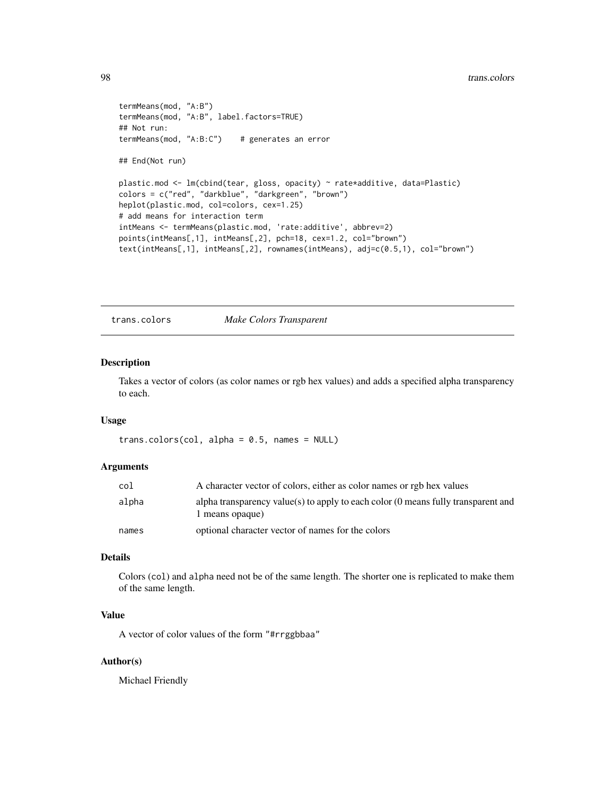```
termMeans(mod, "A:B")
termMeans(mod, "A:B", label.factors=TRUE)
## Not run:
termMeans(mod, "A:B:C") # generates an error
## End(Not run)
plastic.mod <- lm(cbind(tear, gloss, opacity) ~ rate*additive, data=Plastic)
colors = c("red", "darkblue", "darkgreen", "brown")
heplot(plastic.mod, col=colors, cex=1.25)
# add means for interaction term
intMeans <- termMeans(plastic.mod, 'rate:additive', abbrev=2)
points(intMeans[,1], intMeans[,2], pch=18, cex=1.2, col="brown")
text(intMeans[,1], intMeans[,2], rownames(intMeans), adj=c(0.5,1), col="brown")
```
trans.colors *Make Colors Transparent*

#### Description

Takes a vector of colors (as color names or rgb hex values) and adds a specified alpha transparency to each.

## Usage

trans.colors(col, alpha =  $0.5$ , names =  $NULL$ )

#### **Arguments**

| col   | A character vector of colors, either as color names or rgb hex values                                           |
|-------|-----------------------------------------------------------------------------------------------------------------|
| alpha | alpha transparency value(s) to apply to each color $(0 \text{ means fully transparent and})$<br>1 means opaque) |
| names | optional character vector of names for the colors                                                               |

## Details

Colors (col) and alpha need not be of the same length. The shorter one is replicated to make them of the same length.

## Value

A vector of color values of the form "#rrggbbaa"

#### Author(s)

Michael Friendly

<span id="page-97-0"></span>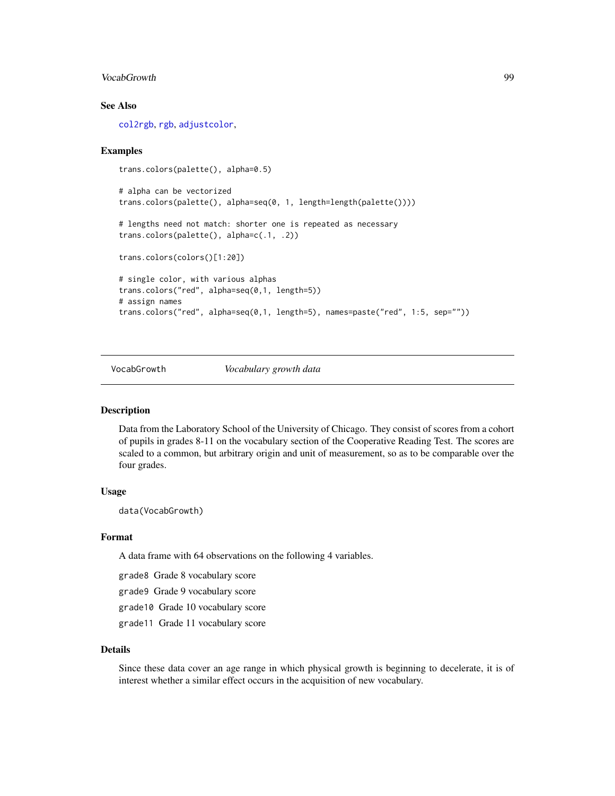## <span id="page-98-0"></span>VocabGrowth 99

## See Also

[col2rgb](#page-0-0), [rgb](#page-0-0), [adjustcolor](#page-0-0),

#### Examples

```
trans.colors(palette(), alpha=0.5)
# alpha can be vectorized
trans.colors(palette(), alpha=seq(0, 1, length=length(palette())))
# lengths need not match: shorter one is repeated as necessary
trans.colors(palette(), alpha=c(.1, .2))
trans.colors(colors()[1:20])
# single color, with various alphas
trans.colors("red", alpha=seq(0,1, length=5))
# assign names
trans.colors("red", alpha=seq(0,1, length=5), names=paste("red", 1:5, sep=""))
```
VocabGrowth *Vocabulary growth data*

#### Description

Data from the Laboratory School of the University of Chicago. They consist of scores from a cohort of pupils in grades 8-11 on the vocabulary section of the Cooperative Reading Test. The scores are scaled to a common, but arbitrary origin and unit of measurement, so as to be comparable over the four grades.

#### Usage

data(VocabGrowth)

## Format

A data frame with 64 observations on the following 4 variables.

grade8 Grade 8 vocabulary score

grade9 Grade 9 vocabulary score

grade10 Grade 10 vocabulary score

grade11 Grade 11 vocabulary score

#### Details

Since these data cover an age range in which physical growth is beginning to decelerate, it is of interest whether a similar effect occurs in the acquisition of new vocabulary.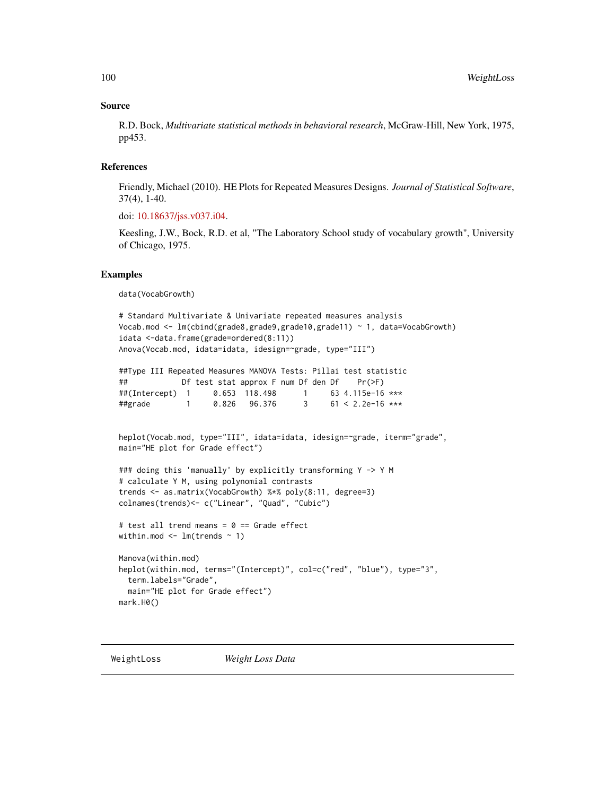#### Source

R.D. Bock, *Multivariate statistical methods in behavioral research*, McGraw-Hill, New York, 1975, pp453.

#### References

Friendly, Michael (2010). HE Plots for Repeated Measures Designs. *Journal of Statistical Software*, 37(4), 1-40.

doi: [10.18637/jss.v037.i04.](https://doi.org/10.18637/jss.v037.i04)

Keesling, J.W., Bock, R.D. et al, "The Laboratory School study of vocabulary growth", University of Chicago, 1975.

#### Examples

data(VocabGrowth)

```
# Standard Multivariate & Univariate repeated measures analysis
Vocab.mod <- lm(cbind(grade8,grade9,grade10,grade11) ~ 1, data=VocabGrowth)
idata <-data.frame(grade=ordered(8:11))
Anova(Vocab.mod, idata=idata, idesign=~grade, type="III")
##Type III Repeated Measures MANOVA Tests: Pillai test statistic
## Df test stat approx F num Df den Df Pr(>F)
##(Intercept) 1 0.653 118.498 1 63 4.115e-16 ***
##grade 1 0.826 96.376 3 61 < 2.2e-16 ***
heplot(Vocab.mod, type="III", idata=idata, idesign=~grade, iterm="grade",
main="HE plot for Grade effect")
### doing this 'manually' by explicitly transforming Y -> Y M
# calculate Y M, using polynomial contrasts
trends <- as.matrix(VocabGrowth) %*% poly(8:11, degree=3)
colnames(trends)<- c("Linear", "Quad", "Cubic")
# test all trend means = 0 == Grade effect
within.mod \leq lm(trends \sim 1)
Manova(within.mod)
heplot(within.mod, terms="(Intercept)", col=c("red", "blue"), type="3",
 term.labels="Grade",
 main="HE plot for Grade effect")
mark.H0()
```
<span id="page-99-0"></span>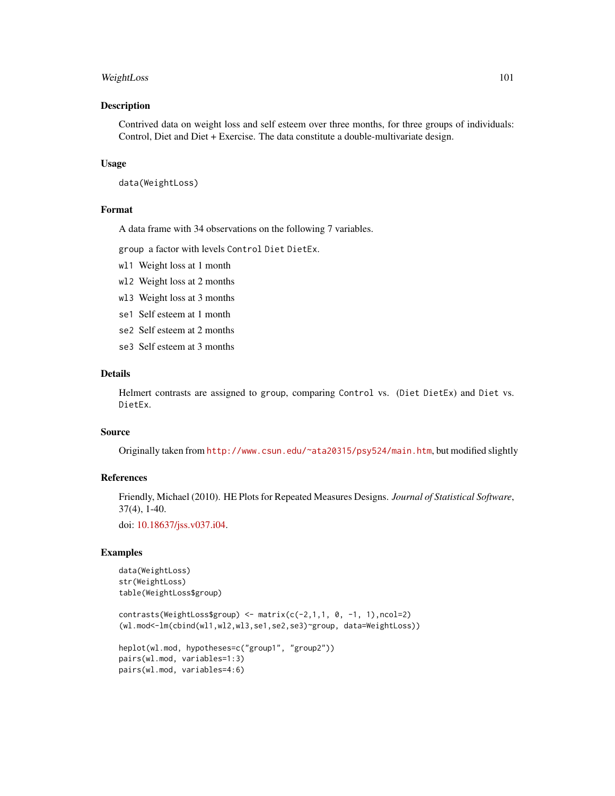## WeightLoss 101

#### Description

Contrived data on weight loss and self esteem over three months, for three groups of individuals: Control, Diet and Diet + Exercise. The data constitute a double-multivariate design.

#### Usage

```
data(WeightLoss)
```
## Format

A data frame with 34 observations on the following 7 variables.

group a factor with levels Control Diet DietEx.

- wl1 Weight loss at 1 month
- wl2 Weight loss at 2 months
- wl3 Weight loss at 3 months
- se1 Self esteem at 1 month
- se2 Self esteem at 2 months
- se3 Self esteem at 3 months

#### Details

Helmert contrasts are assigned to group, comparing Control vs. (Diet DietEx) and Diet vs. DietEx.

## Source

Originally taken from <http://www.csun.edu/~ata20315/psy524/main.htm>, but modified slightly

#### References

Friendly, Michael (2010). HE Plots for Repeated Measures Designs. *Journal of Statistical Software*, 37(4), 1-40.

doi: [10.18637/jss.v037.i04.](https://doi.org/10.18637/jss.v037.i04)

## Examples

```
data(WeightLoss)
str(WeightLoss)
table(WeightLoss$group)
```
contrasts(WeightLoss\$group) <- matrix( $c(-2,1,1, 0, -1, 1)$ ,ncol=2) (wl.mod<-lm(cbind(wl1,wl2,wl3,se1,se2,se3)~group, data=WeightLoss))

```
heplot(wl.mod, hypotheses=c("group1", "group2"))
pairs(wl.mod, variables=1:3)
pairs(wl.mod, variables=4:6)
```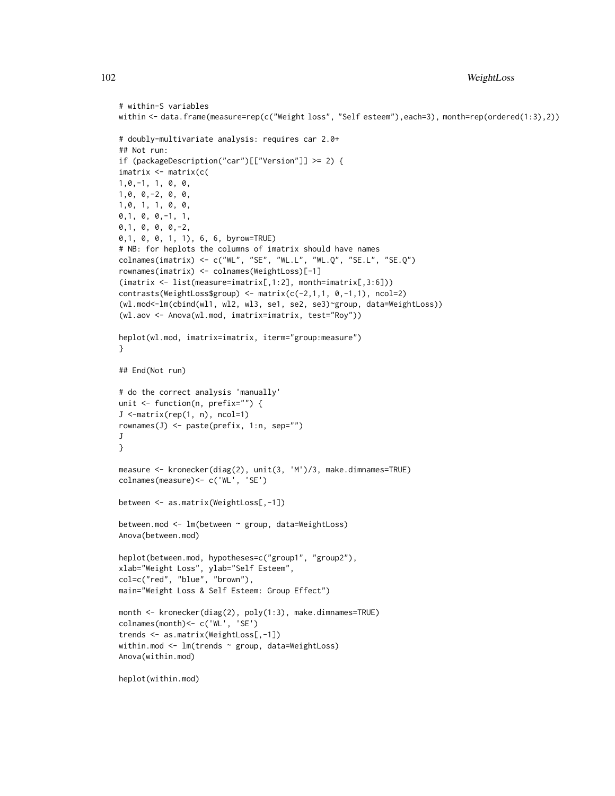```
# within-S variables
within <- data.frame(measure=rep(c("Weight loss", "Self esteem"), each=3), month=rep(ordered(1:3),2))
# doubly-multivariate analysis: requires car 2.0+
## Not run:
if (packageDescription("car")[["Version"]] >= 2) {
imatrix <- matrix(c(
1,0,-1, 1, 0, 0,
1,0, 0,-2, 0, 0,
1,0, 1, 1, 0, 0,
0,1, 0, 0,-1, 1,
0,1, 0, 0, 0,-2,
0,1, 0, 0, 1, 1), 6, 6, byrow=TRUE)
# NB: for heplots the columns of imatrix should have names
colnames(imatrix) <- c("WL", "SE", "WL.L", "WL.Q", "SE.L", "SE.Q")
rownames(imatrix) <- colnames(WeightLoss)[-1]
(imatrix <- list(measure=imatrix[,1:2], month=imatrix[,3:6]))
contrasts(WeightLoss$group) <- matrix(c(-2,1,1, 0,-1,1), ncol=2)
(wl.mod<-lm(cbind(wl1, wl2, wl3, se1, se2, se3)~group, data=WeightLoss))
(wl.aov <- Anova(wl.mod, imatrix=imatrix, test="Roy"))
heplot(wl.mod, imatrix=imatrix, iterm="group:measure")
}
## End(Not run)
# do the correct analysis 'manually'
unit <- function(n, prefix="") {
J <-matrix(rep(1, n), ncol=1)
rownames(J) <- paste(prefix, 1:n, sep="")
J}
measure <- kronecker(diag(2), unit(3, 'M')/3, make.dimnames=TRUE)
colnames(measure)<- c('WL', 'SE')
between <- as.matrix(WeightLoss[,-1])
between.mod <- lm(between ~ group, data=WeightLoss)
Anova(between.mod)
heplot(between.mod, hypotheses=c("group1", "group2"),
xlab="Weight Loss", ylab="Self Esteem",
col=c("red", "blue", "brown"),
main="Weight Loss & Self Esteem: Group Effect")
month <- kronecker(diag(2), poly(1:3), make.dimnames=TRUE)
colnames(month)<- c('WL', 'SE')
trends <- as.matrix(WeightLoss[,-1])
within.mod <- lm(trends ~ group, data=WeightLoss)
Anova(within.mod)
```

```
heplot(within.mod)
```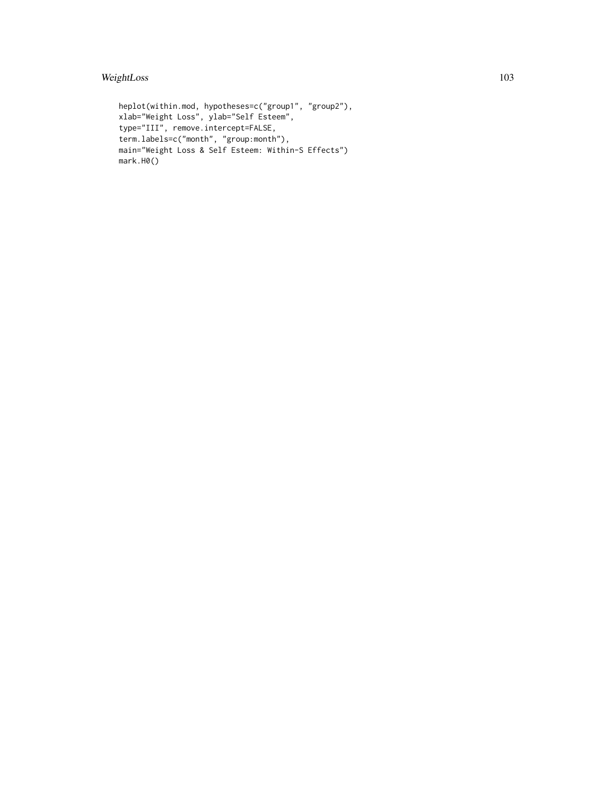## WeightLoss 103

```
heplot(within.mod, hypotheses=c("group1", "group2"),
xlab="Weight Loss", ylab="Self Esteem",
type="III", remove.intercept=FALSE,
term.labels=c("month", "group:month"),
main="Weight Loss & Self Esteem: Within-S Effects")
mark.H0()
```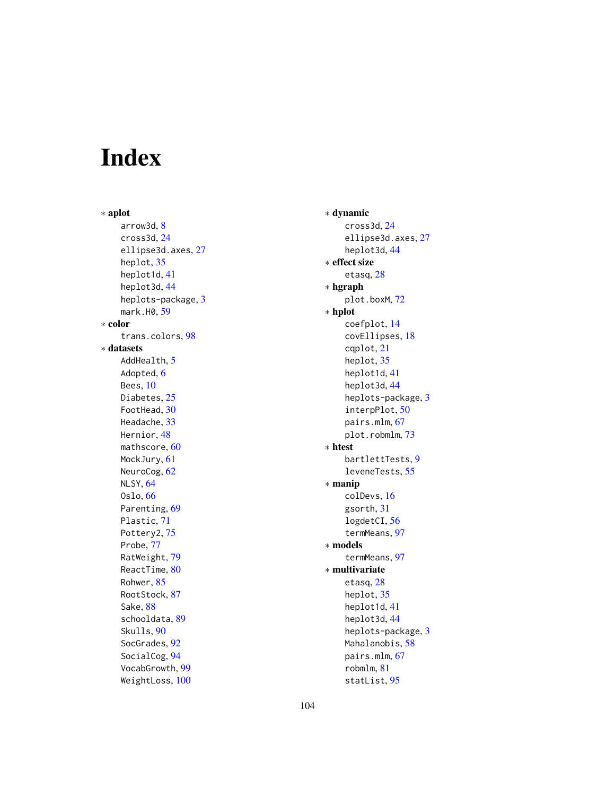# Index

∗ aplot arrow3d, [8](#page-7-0) cross3d, [24](#page-23-0) ellipse3d.axes, [27](#page-26-0) heplot, [35](#page-34-1) heplot1d, [41](#page-40-0) heplot3d, [44](#page-43-0) heplots-package, [3](#page-2-0) mark.H0, [59](#page-58-0) ∗ color trans.colors, [98](#page-97-0) ∗ datasets AddHealth, [5](#page-4-0) Adopted, [6](#page-5-0) Bees, [10](#page-9-0) Diabetes, [25](#page-24-0) FootHead, [30](#page-29-0) Headache, [33](#page-32-0) Hernior, [48](#page-47-0) mathscore, [60](#page-59-0) MockJury, [61](#page-60-0) NeuroCog, [62](#page-61-1) NLSY, [64](#page-63-0) Oslo, [66](#page-65-0) Parenting, [69](#page-68-0) Plastic, [71](#page-70-0) Pottery2, [75](#page-74-0) Probe, [77](#page-76-0) RatWeight, [79](#page-78-0) ReactTime, [80](#page-79-0) Rohwer, [85](#page-84-0) RootStock, [87](#page-86-0) Sake, [88](#page-87-0) schooldata, [89](#page-88-0) Skulls, [90](#page-89-0) SocGrades, [92](#page-91-0) SocialCog, [94](#page-93-0) VocabGrowth, [99](#page-98-0) WeightLoss, [100](#page-99-0)

∗ dynamic cross3d, [24](#page-23-0) ellipse3d.axes, [27](#page-26-0) heplot3d, [44](#page-43-0) ∗ effect size etasq, [28](#page-27-0) ∗ hgraph plot.boxM, [72](#page-71-0) ∗ hplot coefplot, [14](#page-13-0) covEllipses, [18](#page-17-0) cqplot, [21](#page-20-0) heplot, [35](#page-34-1) heplot1d, [41](#page-40-0) heplot3d, [44](#page-43-0) heplots-package, [3](#page-2-0) interpPlot, [50](#page-49-0) pairs.mlm, [67](#page-66-0) plot.robmlm, [73](#page-72-0) ∗ htest bartlettTests, [9](#page-8-0) leveneTests, [55](#page-54-0) ∗ manip colDevs, [16](#page-15-0) gsorth, [31](#page-30-0) logdetCI, [56](#page-55-1) termMeans, [97](#page-96-1) ∗ models termMeans, [97](#page-96-1) ∗ multivariate etasq, [28](#page-27-0) heplot, [35](#page-34-1) heplot1d, [41](#page-40-0) heplot3d, [44](#page-43-0) heplots-package, [3](#page-2-0) Mahalanobis, [58](#page-57-0) pairs.mlm, [67](#page-66-0) robmlm, [81](#page-80-1) statList, [95](#page-94-2)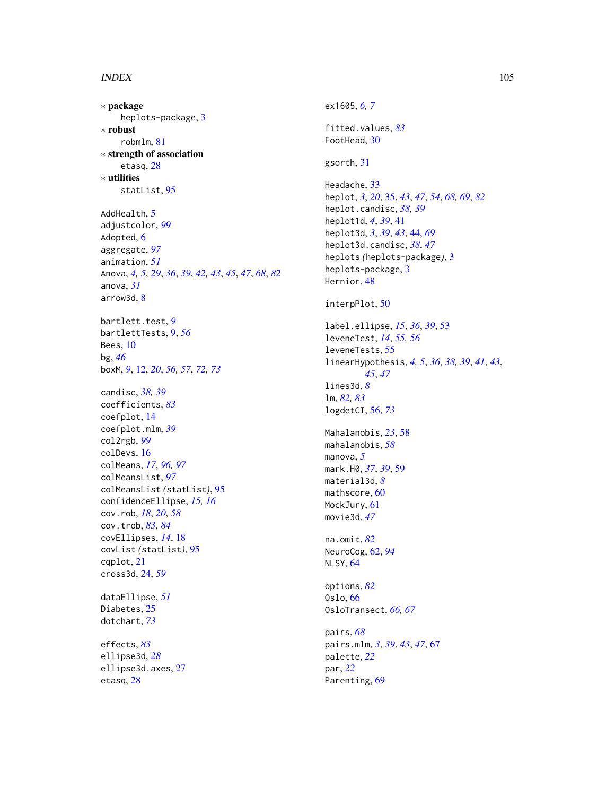#### INDEX 105

∗ package heplots-package, [3](#page-2-0) ∗ robust robmlm, [81](#page-80-1) ∗ strength of association etasq, [28](#page-27-0) ∗ utilities statList, [95](#page-94-2) AddHealth, [5](#page-4-0) adjustcolor, *[99](#page-98-0)* Adopted, [6](#page-5-0) aggregate, *[97](#page-96-1)* animation, *[51](#page-50-0)* Anova, *[4,](#page-3-0) [5](#page-4-0)*, *[29](#page-28-0)*, *[36](#page-35-0)*, *[39](#page-38-0)*, *[42,](#page-41-0) [43](#page-42-0)*, *[45](#page-44-0)*, *[47](#page-46-0)*, *[68](#page-67-0)*, *[82](#page-81-0)* anova, *[31](#page-30-0)* arrow3d, [8](#page-7-0) bartlett.test, *[9](#page-8-0)* bartlettTests, [9,](#page-8-0) *[56](#page-55-1)* Bees, [10](#page-9-0) bg, *[46](#page-45-0)* boxM, *[9](#page-8-0)*, [12,](#page-11-1) *[20](#page-19-0)*, *[56,](#page-55-1) [57](#page-56-0)*, *[72,](#page-71-0) [73](#page-72-0)* candisc, *[38,](#page-37-0) [39](#page-38-0)* coefficients, *[83](#page-82-0)* coefplot, [14](#page-13-0) coefplot.mlm, *[39](#page-38-0)* col2rgb, *[99](#page-98-0)* colDevs, [16](#page-15-0) colMeans, *[17](#page-16-0)*, *[96,](#page-95-0) [97](#page-96-1)* colMeansList, *[97](#page-96-1)* colMeansList *(*statList*)*, [95](#page-94-2) confidenceEllipse, *[15,](#page-14-0) [16](#page-15-0)* cov.rob, *[18](#page-17-0)*, *[20](#page-19-0)*, *[58](#page-57-0)* cov.trob, *[83,](#page-82-0) [84](#page-83-0)* covEllipses, *[14](#page-13-0)*, [18](#page-17-0) covList *(*statList*)*, [95](#page-94-2) cqplot, [21](#page-20-0) cross3d, [24,](#page-23-0) *[59](#page-58-0)* dataEllipse, *[51](#page-50-0)* Diabetes, [25](#page-24-0) dotchart, *[73](#page-72-0)* effects, *[83](#page-82-0)* ellipse3d, *[28](#page-27-0)* ellipse3d.axes, [27](#page-26-0) etasq, [28](#page-27-0)

ex1605, *[6,](#page-5-0) [7](#page-6-0)* fitted.values, *[83](#page-82-0)* FootHead, [30](#page-29-0) gsorth, [31](#page-30-0) Headache, [33](#page-32-0) heplot, *[3](#page-2-0)*, *[20](#page-19-0)*, [35,](#page-34-1) *[43](#page-42-0)*, *[47](#page-46-0)*, *[54](#page-53-0)*, *[68,](#page-67-0) [69](#page-68-0)*, *[82](#page-81-0)* heplot.candisc, *[38,](#page-37-0) [39](#page-38-0)* heplot1d, *[4](#page-3-0)*, *[39](#page-38-0)*, [41](#page-40-0) heplot3d, *[3](#page-2-0)*, *[39](#page-38-0)*, *[43](#page-42-0)*, [44,](#page-43-0) *[69](#page-68-0)* heplot3d.candisc, *[38](#page-37-0)*, *[47](#page-46-0)* heplots *(*heplots-package*)*, [3](#page-2-0) heplots-package, [3](#page-2-0) Hernior, [48](#page-47-0) interpPlot, [50](#page-49-0) label.ellipse, *[15](#page-14-0)*, *[36](#page-35-0)*, *[39](#page-38-0)*, [53](#page-52-0) leveneTest, *[14](#page-13-0)*, *[55,](#page-54-0) [56](#page-55-1)* leveneTests, [55](#page-54-0) linearHypothesis, *[4,](#page-3-0) [5](#page-4-0)*, *[36](#page-35-0)*, *[38,](#page-37-0) [39](#page-38-0)*, *[41](#page-40-0)*, *[43](#page-42-0)*, *[45](#page-44-0)*, *[47](#page-46-0)* lines3d, *[8](#page-7-0)* lm, *[82,](#page-81-0) [83](#page-82-0)* logdetCI, [56,](#page-55-1) *[73](#page-72-0)* Mahalanobis, *[23](#page-22-0)*, [58](#page-57-0) mahalanobis, *[58](#page-57-0)* manova, *[5](#page-4-0)* mark.H0, *[37](#page-36-0)*, *[39](#page-38-0)*, [59](#page-58-0) material3d, *[8](#page-7-0)* mathscore, [60](#page-59-0) MockJury, [61](#page-60-0) movie3d, *[47](#page-46-0)* na.omit, *[82](#page-81-0)* NeuroCog, [62,](#page-61-1) *[94](#page-93-0)* NLSY, [64](#page-63-0) options, *[82](#page-81-0)* Oslo, [66](#page-65-0) OsloTransect, *[66,](#page-65-0) [67](#page-66-0)* pairs, *[68](#page-67-0)* pairs.mlm, *[3](#page-2-0)*, *[39](#page-38-0)*, *[43](#page-42-0)*, *[47](#page-46-0)*, [67](#page-66-0) palette, *[22](#page-21-0)* par, *[22](#page-21-0)* Parenting, [69](#page-68-0)